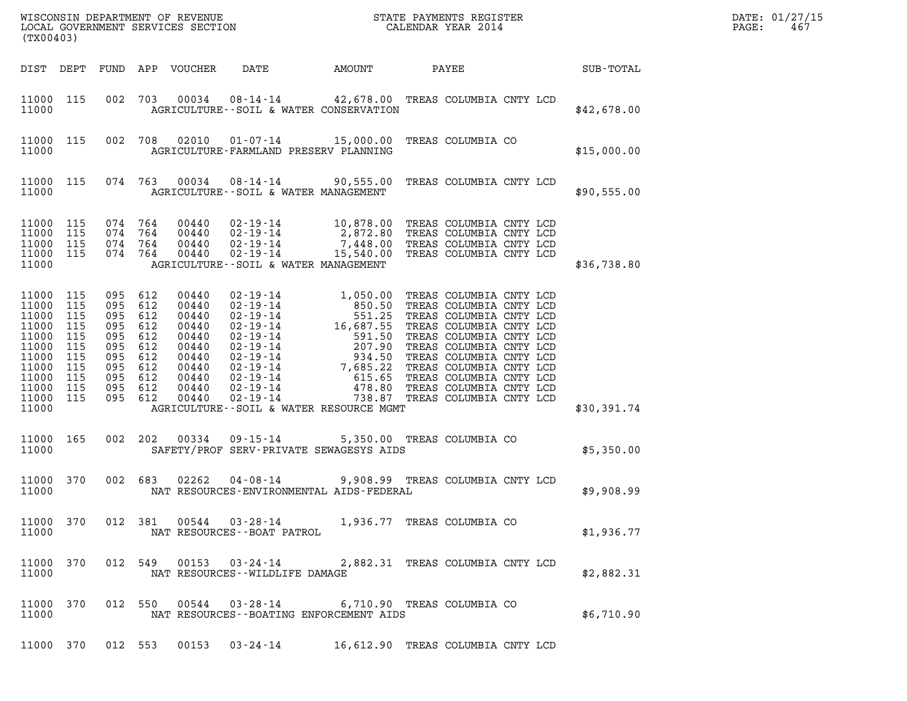| (TX00403)                                                                                                    |                                                                    |                                                                           |                                          |                                                                                                 |                                                                                                                                                                                                                                                                                                                                                                                                                           |                            |             | DATE: 01/27/15<br>PAGE:<br>467 |
|--------------------------------------------------------------------------------------------------------------|--------------------------------------------------------------------|---------------------------------------------------------------------------|------------------------------------------|-------------------------------------------------------------------------------------------------|---------------------------------------------------------------------------------------------------------------------------------------------------------------------------------------------------------------------------------------------------------------------------------------------------------------------------------------------------------------------------------------------------------------------------|----------------------------|-------------|--------------------------------|
|                                                                                                              |                                                                    |                                                                           |                                          |                                                                                                 |                                                                                                                                                                                                                                                                                                                                                                                                                           |                            |             |                                |
| 11000 115<br>11000                                                                                           |                                                                    |                                                                           |                                          |                                                                                                 | 002 703 00034 08-14-14 42,678.00 TREAS COLUMBIA CNTY LCD<br>AGRICULTURE -- SOIL & WATER CONSERVATION                                                                                                                                                                                                                                                                                                                      |                            | \$42,678.00 |                                |
| 11000 115<br>11000                                                                                           |                                                                    |                                                                           |                                          |                                                                                                 | 002 708 02010 01-07-14 15,000.00 TREAS COLUMBIA CO<br>AGRICULTURE-FARMLAND PRESERV PLANNING                                                                                                                                                                                                                                                                                                                               |                            | \$15,000.00 |                                |
| 11000 115<br>11000                                                                                           |                                                                    |                                                                           |                                          |                                                                                                 | 074 763 00034 08-14-14 90,555.00 TREAS COLUMBIA CNTY LCD<br>AGRICULTURE--SOIL & WATER MANAGEMENT                                                                                                                                                                                                                                                                                                                          |                            | \$90,555.00 |                                |
| 11000 115<br>11000<br>11000<br>11000<br>11000                                                                | 115<br>115<br>115                                                  |                                                                           |                                          |                                                                                                 | $\begin{array}{cccc} 074 & 764 & 00440 & 02\texttt{-}19\texttt{-}14 & 10,878.00 & \texttt{TREAS}\ \texttt{COLUMBIA}\ \texttt{CNTY}\ \texttt{LCD} \\ 074 & 764 & 00440 & 02\texttt{-}19\texttt{-}14 & 2,872.80 & \texttt{TREAS}\ \texttt{COLUMBIA}\ \texttt{CNTY}\ \texttt{LCD} \\ 074 & 764 & 00440 & 02\texttt{-}19\texttt{-}14 & 7,448.00 & \texttt{TREAS}\ \texttt{COLUMBIA}\$<br>AGRICULTURE--SOIL & WATER MANAGEMENT |                            | \$36,738.80 |                                |
| 11000 115<br>11000<br>11000<br>11000<br>11000<br>11000<br>11000<br>11000<br>11000<br>11000<br>11000<br>11000 | 115<br>115<br>115<br>115<br>115<br>115<br>115<br>115<br>115<br>115 | 095 612<br>095 612<br>095 612<br>095 612<br>095 612<br>095 612<br>095 612 | 095 612<br>095 612<br>095 612<br>095 612 | 00440<br>00440<br>00440<br>00440<br>00440<br>00440<br>00440<br>00440<br>00440<br>00440<br>00440 | AGRICULTURE--SOIL & WATER RESOURCE MGMT                                                                                                                                                                                                                                                                                                                                                                                   |                            | \$30,391.74 |                                |
| 11000 165<br>11000                                                                                           |                                                                    |                                                                           |                                          |                                                                                                 | 002 202 00334 09-15-14 5,350.00 TREAS COLUMBIA CO<br>SAFETY/PROF SERV-PRIVATE SEWAGESYS AIDS                                                                                                                                                                                                                                                                                                                              |                            | \$5,350.00  |                                |
| 11000 370<br>11000                                                                                           |                                                                    |                                                                           |                                          |                                                                                                 | 002 683 02262 04-08-14 9,908.99 TREAS COLUMBIA CNTY LCD<br>NAT RESOURCES-ENVIRONMENTAL AIDS-FEDERAL                                                                                                                                                                                                                                                                                                                       |                            | \$9,908.99  |                                |
| 11000 370<br>11000                                                                                           |                                                                    |                                                                           |                                          |                                                                                                 | 012 381 00544 03-28-14 1,936.77 TREAS COLUMBIA CO<br>NAT RESOURCES - - BOAT PATROL                                                                                                                                                                                                                                                                                                                                        |                            | \$1,936.77  |                                |
| 11000 370<br>11000                                                                                           |                                                                    |                                                                           |                                          |                                                                                                 | 012 549 00153 03-24-14 2,882.31 TREAS COLUMBIA CNTY LCD<br>NAT RESOURCES--WILDLIFE DAMAGE                                                                                                                                                                                                                                                                                                                                 |                            | \$2,882.31  |                                |
| 11000 370<br>11000                                                                                           |                                                                    |                                                                           |                                          |                                                                                                 | 012 550 00544 03-28-14<br>NAT RESOURCES--BOATING ENFORCEMENT AIDS                                                                                                                                                                                                                                                                                                                                                         | 6,710.90 TREAS COLUMBIA CO | \$6,710.90  |                                |
| 11000 370                                                                                                    |                                                                    |                                                                           |                                          |                                                                                                 | 012 553 00153 03-24-14 16,612.90 TREAS COLUMBIA CNTY LCD                                                                                                                                                                                                                                                                                                                                                                  |                            |             |                                |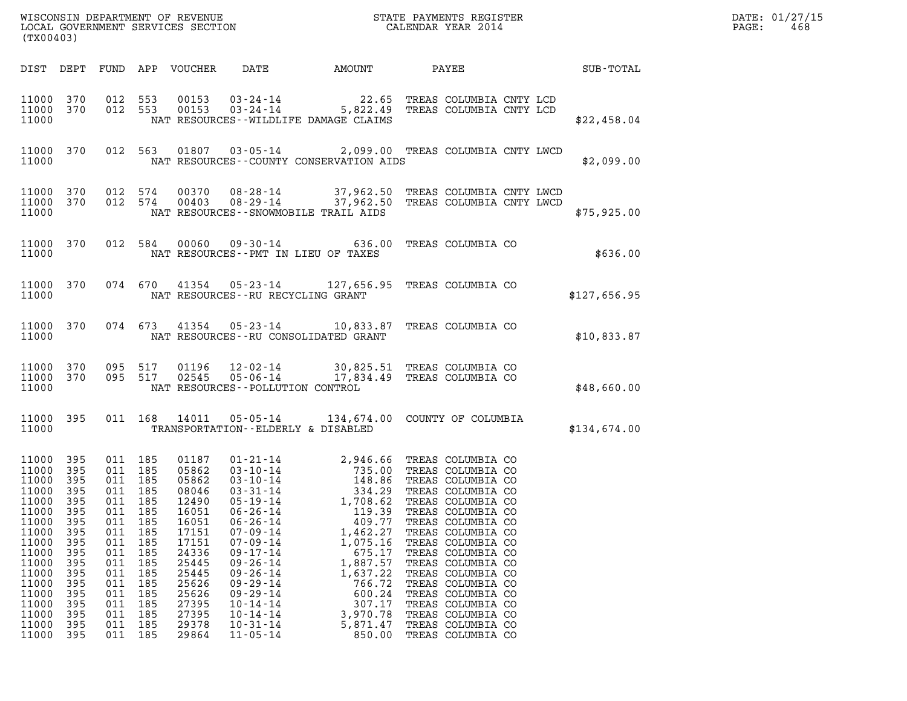| WISCONSIN DEPARTMENT OF REVENUE<br>LOCAL GOVERNMENT SERVICES SECTION $\rm CALENDAR$ YEAR 2014<br>(TX00403)                                                     |                                                                                                                            |                                                                                                                                            |                                                                                                |                                                                                                                                                                |                                                                                                                                                                                                                                                                                                                            |                                                                                                                                                                            |                                                                                                                                                                                                                                                                                                                                                                                                        |              | DATE: 01/27/15<br>PAGE:<br>468 |
|----------------------------------------------------------------------------------------------------------------------------------------------------------------|----------------------------------------------------------------------------------------------------------------------------|--------------------------------------------------------------------------------------------------------------------------------------------|------------------------------------------------------------------------------------------------|----------------------------------------------------------------------------------------------------------------------------------------------------------------|----------------------------------------------------------------------------------------------------------------------------------------------------------------------------------------------------------------------------------------------------------------------------------------------------------------------------|----------------------------------------------------------------------------------------------------------------------------------------------------------------------------|--------------------------------------------------------------------------------------------------------------------------------------------------------------------------------------------------------------------------------------------------------------------------------------------------------------------------------------------------------------------------------------------------------|--------------|--------------------------------|
|                                                                                                                                                                |                                                                                                                            |                                                                                                                                            |                                                                                                | DIST DEPT FUND APP VOUCHER                                                                                                                                     | DATE                                                                                                                                                                                                                                                                                                                       | AMOUNT                                                                                                                                                                     | PAYEE SUB-TOTAL                                                                                                                                                                                                                                                                                                                                                                                        |              |                                |
| 11000 370<br>11000 370<br>11000                                                                                                                                |                                                                                                                            | 012 553<br>012 553                                                                                                                         |                                                                                                | 00153<br>00153                                                                                                                                                 |                                                                                                                                                                                                                                                                                                                            | NAT RESOURCES--WILDLIFE DAMAGE CLAIMS                                                                                                                                      | 03-24-14 22.65 TREAS COLUMBIA CNTY LCD<br>03-24-14 5,822.49 TREAS COLUMBIA CNTY LCD                                                                                                                                                                                                                                                                                                                    | \$22,458.04  |                                |
| 11000 370<br>11000                                                                                                                                             |                                                                                                                            |                                                                                                                                            |                                                                                                |                                                                                                                                                                |                                                                                                                                                                                                                                                                                                                            | NAT RESOURCES -- COUNTY CONSERVATION AIDS                                                                                                                                  | 012 563 01807 03-05-14 2,099.00 TREAS COLUMBIA CNTY LWCD                                                                                                                                                                                                                                                                                                                                               | \$2,099.00   |                                |
| 11000 370<br>11000 370<br>11000                                                                                                                                |                                                                                                                            | 012 574                                                                                                                                    | 012 574                                                                                        | 00370<br>00403                                                                                                                                                 |                                                                                                                                                                                                                                                                                                                            | NAT RESOURCES--SNOWMOBILE TRAIL AIDS                                                                                                                                       | 08-28-14 37,962.50 TREAS COLUMBIA CNTY LWCD<br>08-29-14 37,962.50 TREAS COLUMBIA CNTY LWCD                                                                                                                                                                                                                                                                                                             | \$75,925.00  |                                |
| 11000 370<br>11000                                                                                                                                             |                                                                                                                            |                                                                                                                                            |                                                                                                |                                                                                                                                                                |                                                                                                                                                                                                                                                                                                                            | NAT RESOURCES -- PMT IN LIEU OF TAXES                                                                                                                                      | 012 584 00060 09-30-14 636.00 TREAS COLUMBIA CO                                                                                                                                                                                                                                                                                                                                                        | \$636.00     |                                |
| 11000 370<br>11000                                                                                                                                             |                                                                                                                            |                                                                                                                                            |                                                                                                |                                                                                                                                                                | NAT RESOURCES -- RU RECYCLING GRANT                                                                                                                                                                                                                                                                                        |                                                                                                                                                                            | 074 670 41354 05-23-14 127,656.95 TREAS COLUMBIA CO                                                                                                                                                                                                                                                                                                                                                    | \$127,656.95 |                                |
| 11000 370<br>11000                                                                                                                                             |                                                                                                                            |                                                                                                                                            |                                                                                                |                                                                                                                                                                |                                                                                                                                                                                                                                                                                                                            | NAT RESOURCES -- RU CONSOLIDATED GRANT                                                                                                                                     | 074 673 41354 05-23-14 10,833.87 TREAS COLUMBIA CO                                                                                                                                                                                                                                                                                                                                                     | \$10,833.87  |                                |
| 11000 370<br>11000 370<br>11000                                                                                                                                |                                                                                                                            | 095 517                                                                                                                                    | 095 517                                                                                        | 01196<br>02545                                                                                                                                                 | $05 - 06 - 14$<br>NAT RESOURCES - - POLLUTION CONTROL                                                                                                                                                                                                                                                                      |                                                                                                                                                                            | 12-02-14 30,825.51 TREAS COLUMBIA CO<br>17,834.49 TREAS COLUMBIA CO                                                                                                                                                                                                                                                                                                                                    | \$48,660.00  |                                |
| 11000 395<br>11000                                                                                                                                             |                                                                                                                            |                                                                                                                                            | 011 168                                                                                        | 14011                                                                                                                                                          | TRANSPORTATION--ELDERLY & DISABLED                                                                                                                                                                                                                                                                                         |                                                                                                                                                                            | 05-05-14 134,674.00 COUNTY OF COLUMBIA                                                                                                                                                                                                                                                                                                                                                                 | \$134,674.00 |                                |
| 11000<br>11000<br>11000<br>11000<br>11000<br>11000<br>11000<br>11000<br>11000<br>11000<br>11000<br>11000<br>11000<br>11000<br>11000<br>11000<br>11000<br>11000 | 395<br>395<br>395<br>395<br>395<br>395<br>395<br>395<br>395<br>395<br>395<br>395<br>395<br>395<br>395<br>395<br>395<br>395 | 011 185<br>011 185<br>011 185<br>011 185<br>011<br>011<br>011<br>011<br>011<br>011<br>011<br>011<br>011<br>011<br>011<br>011<br>011<br>011 | 185<br>185<br>185<br>185<br>185<br>185<br>185<br>185<br>185<br>185<br>185<br>185<br>185<br>185 | 01187<br>05862<br>05862<br>08046<br>12490<br>16051<br>16051<br>17151<br>17151<br>24336<br>25445<br>25445<br>25626<br>25626<br>27395<br>27395<br>29378<br>29864 | 01 - 21 - 14<br>03 - 10 - 14<br>03 - 10 - 14<br>$03 - 31 - 14$<br>$05 - 19 - 14$<br>$06 - 26 - 14$<br>$06 - 26 - 14$<br>$07 - 09 - 14$<br>$07 - 09 - 14$<br>$09 - 17 - 14$<br>$09 - 26 - 14$<br>$09 - 26 - 14$<br>$09 - 29 - 14$<br>$09 - 29 - 14$<br>$10 - 14 - 14$<br>$10 - 14 - 14$<br>$10 - 31 - 14$<br>$11 - 05 - 14$ | 148.86<br>334.29<br>1,708.62<br>119.39<br>409.77<br>1,462.27<br>1,075.16<br>675.17<br>1,887.57<br>1,637.22<br>766.72<br>600.24<br>307.17<br>3,970.78<br>5,871.47<br>850.00 | 2,946.66 TREAS COLUMBIA CO<br>735.00 TREAS COLUMBIA CO<br>TREAS COLUMBIA CO<br>TREAS COLUMBIA CO<br>TREAS COLUMBIA CO<br>TREAS COLUMBIA CO<br>TREAS COLUMBIA CO<br>TREAS COLUMBIA CO<br>TREAS COLUMBIA CO<br>TREAS COLUMBIA CO<br>TREAS COLUMBIA CO<br>TREAS COLUMBIA CO<br>TREAS COLUMBIA CO<br>TREAS COLUMBIA CO<br>TREAS COLUMBIA CO<br>TREAS COLUMBIA CO<br>TREAS COLUMBIA CO<br>TREAS COLUMBIA CO |              |                                |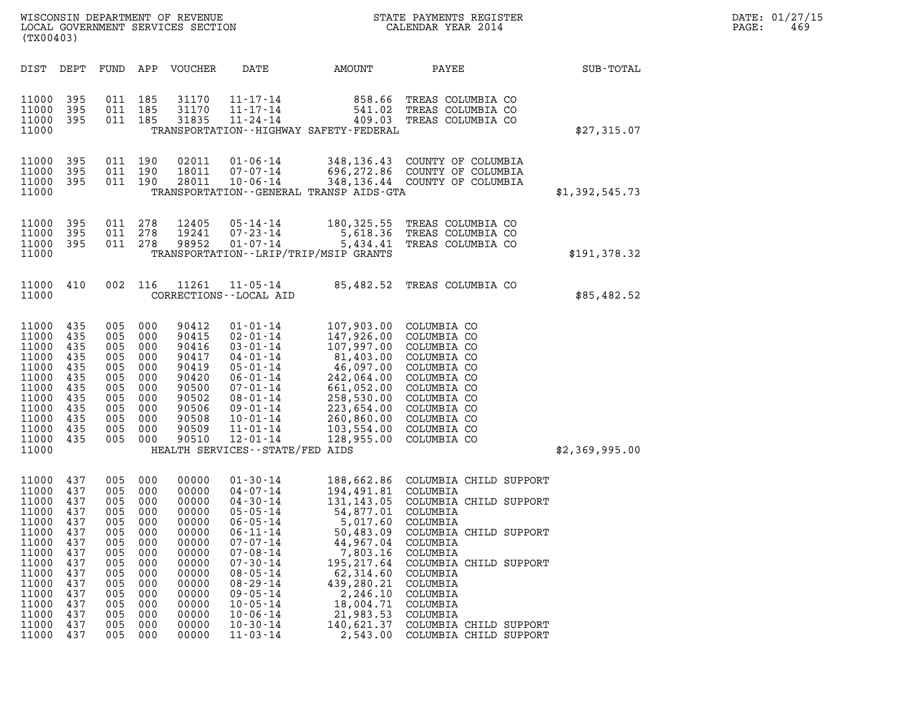| WISCONSIN DEPARTMENT OF REVENUE   | STATE PAYMENTS REGISTER | DATE: 01/27/15 |
|-----------------------------------|-------------------------|----------------|
| LOCAL GOVERNMENT SERVICES SECTION | CALENDAR YEAR 2014      | PAGE:<br>469   |

| (TX00403)                                                                                                                                        |                                                                                                       |                                                                                                                  |                                                                                                       | WISCONSIN DEPARTMENT OF REVENUE<br>LOCAL GOVERNMENT SERVICES SECTION                                                                         | $\overline{N}$                                                                                                                                                                                                                                                                   | STATE PAYMENTS REGISTER<br>CALENDAR YEAR 2014                                                                                                                                                                |                                                                                                                                                                                                                                                                                            |                | DATE: 01/27/15<br>PAGE:<br>469 |
|--------------------------------------------------------------------------------------------------------------------------------------------------|-------------------------------------------------------------------------------------------------------|------------------------------------------------------------------------------------------------------------------|-------------------------------------------------------------------------------------------------------|----------------------------------------------------------------------------------------------------------------------------------------------|----------------------------------------------------------------------------------------------------------------------------------------------------------------------------------------------------------------------------------------------------------------------------------|--------------------------------------------------------------------------------------------------------------------------------------------------------------------------------------------------------------|--------------------------------------------------------------------------------------------------------------------------------------------------------------------------------------------------------------------------------------------------------------------------------------------|----------------|--------------------------------|
| DIST DEPT                                                                                                                                        |                                                                                                       |                                                                                                                  |                                                                                                       | FUND APP VOUCHER                                                                                                                             | DATE                                                                                                                                                                                                                                                                             | AMOUNT                                                                                                                                                                                                       | PAYEE                                                                                                                                                                                                                                                                                      | SUB-TOTAL      |                                |
| 11000<br>11000<br>11000<br>11000                                                                                                                 | 395<br>395<br>395                                                                                     | 011 185<br>011 185<br>011 185                                                                                    |                                                                                                       | 31170<br>31170<br>31835                                                                                                                      |                                                                                                                                                                                                                                                                                  | 11-17-14 858.66<br>11-17-14 541.02<br>11-24-14 409.03<br>TRANSPORTATION - - HIGHWAY SAFETY - FEDERAL                                                                                                         | TREAS COLUMBIA CO<br>541.02 TREAS COLUMBIA CO<br>TREAS COLUMBIA CO                                                                                                                                                                                                                         | \$27,315.07    |                                |
| 11000<br>11000<br>11000<br>11000                                                                                                                 | 395<br>395<br>395                                                                                     | 011 190<br>011 190<br>011 190                                                                                    |                                                                                                       | 02011<br>18011<br>28011                                                                                                                      | $01 - 06 - 14$<br>$07 - 07 - 14$<br>$10 - 06 - 14$                                                                                                                                                                                                                               | TRANSPORTATION - - GENERAL TRANSP AIDS - GTA                                                                                                                                                                 | 348,136.43 COUNTY OF COLUMBIA<br>696,272.86 COUNTY OF COLUMBIA<br>348,136.44 COUNTY OF COLUMBIA                                                                                                                                                                                            | \$1,392,545.73 |                                |
| 11000<br>11000<br>11000<br>11000                                                                                                                 | 395<br>395<br>395                                                                                     | 011 278<br>011 278<br>011 278                                                                                    |                                                                                                       | 12405<br>19241<br>98952                                                                                                                      | 05-14-14<br>$07 - 23 - 14$<br>$01 - 07 - 14$                                                                                                                                                                                                                                     | 180,325.55<br>5,434.41<br>TRANSPORTATION - - LRIP/TRIP/MSIP GRANTS                                                                                                                                           | TREAS COLUMBIA CO<br>5,618.36 TREAS COLUMBIA CO<br>TREAS COLUMBIA CO                                                                                                                                                                                                                       | \$191,378.32   |                                |
| 11000<br>11000                                                                                                                                   | 410                                                                                                   | 002 116                                                                                                          |                                                                                                       | 11261                                                                                                                                        | 11-05-14<br>CORRECTIONS - - LOCAL AID                                                                                                                                                                                                                                            | 85,482.52                                                                                                                                                                                                    | TREAS COLUMBIA CO                                                                                                                                                                                                                                                                          | \$85,482.52    |                                |
| 11000<br>11000<br>11000<br>11000<br>11000<br>11000<br>11000<br>11000<br>11000<br>11000<br>11000<br>11000<br>11000                                | 435<br>435<br>435<br>435<br>435<br>435<br>435<br>435<br>435<br>435<br>435<br>435                      | 005<br>005<br>005<br>005<br>005<br>005<br>005<br>005<br>005<br>005<br>005<br>005                                 | 000<br>000<br>000<br>000<br>000<br>000<br>000<br>000<br>- 000<br>000<br>000<br>000                    | 90412<br>90415<br>90416<br>90417<br>90419<br>90420<br>90500<br>90502<br>90506<br>90508<br>90509<br>90510                                     | $01 - 01 - 14$<br>$02 - 01 - 14$<br>$03 - 01 - 14$<br>04-01-14<br>$05 - 01 - 14$<br>$06 - 01 - 14$<br>$07 - 01 - 14$<br>$08 - 01 - 14$<br>$09 - 01 - 14$<br>$10 - 01 - 14$<br>$11 - 01 - 14$<br>$12 - 01 - 14$<br>HEALTH SERVICES - - STATE/FED AIDS                             | 107,903.00<br>107,997.00<br>81,403.00<br>$\begin{smallmatrix} 61,4097.00\ 46,097.00\ 242,064.00\ 661,052.00\ 258,530.00\ 223,654.00\ 260,860.00 \end{smallmatrix}$<br>260,860.00<br>103,554.00<br>128,955.00 | COLUMBIA CO<br>147,926.00 COLUMBIA CO<br>COLUMBIA CO<br>COLUMBIA CO<br>COLUMBIA CO<br>COLUMBIA CO<br>COLUMBIA CO<br>COLUMBIA CO<br>COLUMBIA CO<br>COLUMBIA CO<br>COLUMBIA CO<br>COLUMBIA CO                                                                                                | \$2,369,995.00 |                                |
| 11000 437<br>11000<br>11000<br>11000<br>11000<br>11000<br>11000<br>11000<br>11000<br>11000<br>11000<br>11000<br>11000<br>11000<br>11000<br>11000 | 437<br>437<br>437<br>437<br>437<br>437<br>437<br>437<br>437<br>437<br>437<br>437<br>437<br>437<br>437 | 005 000<br>005<br>005<br>005<br>005<br>005<br>005<br>005<br>005<br>005<br>005<br>005<br>005<br>005<br>005<br>005 | 000<br>000<br>000<br>000<br>000<br>000<br>000<br>000<br>000<br>000<br>000<br>000<br>000<br>000<br>000 | 00000<br>00000<br>00000<br>00000<br>00000<br>00000<br>00000<br>00000<br>00000<br>00000<br>00000<br>00000<br>00000<br>00000<br>00000<br>00000 | 01-30-14<br>04-07-14<br>$04 - 30 - 14$<br>$05 - 05 - 14$<br>$06 - 05 - 14$<br>$06 - 11 - 14$<br>$07 - 07 - 14$<br>$07 - 08 - 14$<br>$07 - 30 - 14$<br>$08 - 05 - 14$<br>$08 - 29 - 14$<br>$09 - 05 - 14$<br>$10 - 05 - 14$<br>$10 - 06 - 14$<br>$10 - 30 - 14$<br>$11 - 03 - 14$ | 194,491.81 COLUMBIA<br>54,877.01<br>5,017.60<br>50,483.09<br>44,967.04<br>7,803.16<br>195,217.64<br>62,314.60<br>439,280.21<br>2,246.10<br>18,004.71<br>21,983.53<br>140,621.37<br>2,543.00                  | 188,662.86 COLUMBIA CHILD SUPPORT<br>131,143.05 COLUMBIA CHILD SUPPORT<br>COLUMBIA<br>COLUMBIA<br>COLUMBIA CHILD SUPPORT<br>COLUMBIA<br>COLUMBIA<br>COLUMBIA CHILD SUPPORT<br>COLUMBIA<br>COLUMBIA<br>COLUMBIA<br>COLUMBIA<br>COLUMBIA<br>COLUMBIA CHILD SUPPORT<br>COLUMBIA CHILD SUPPORT |                |                                |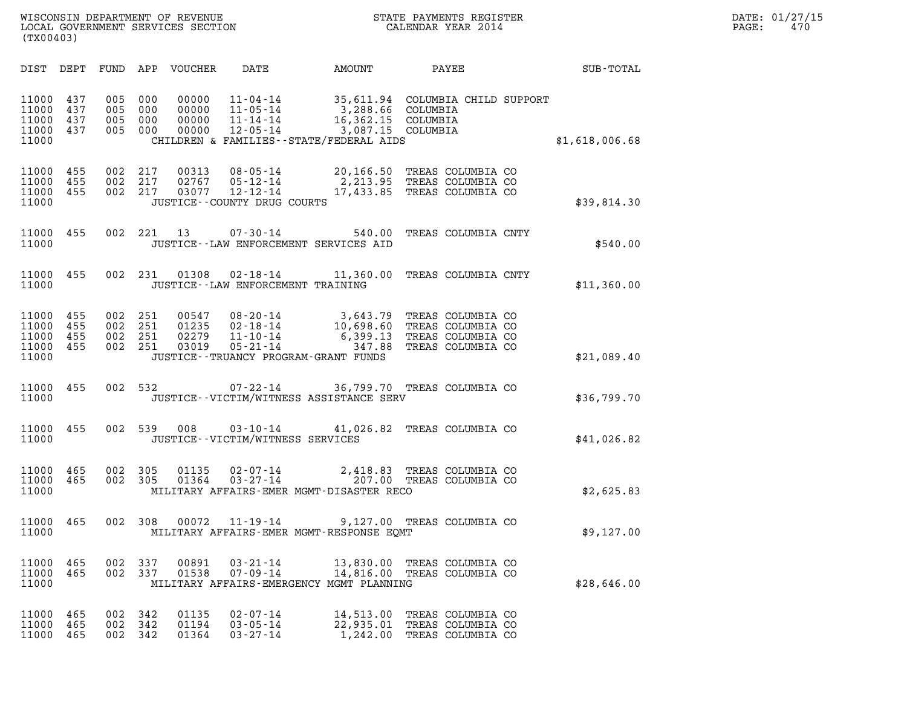| WISCONSIN DEPARTMENT OF REVENUE<br>LOCAL GOVERNMENT SERVICES SECTION | STATE PAYMENTS REGISTER<br>CALENDAR YEAR 2014 | DATE: 01/27/15<br>470<br>PAGE: |
|----------------------------------------------------------------------|-----------------------------------------------|--------------------------------|

| (TX00403)                                         |                   |                                          |            |                                  |                                                    | WISCONSIN DEPARTMENT OF REVENUE<br>LOCAL GOVERNMENT SERVICES SECTION<br>CALENDAR YEAR 2014                                                                                                                                   |                                        |                | PAGE: | DATE: 01/27/15<br>470 |
|---------------------------------------------------|-------------------|------------------------------------------|------------|----------------------------------|----------------------------------------------------|------------------------------------------------------------------------------------------------------------------------------------------------------------------------------------------------------------------------------|----------------------------------------|----------------|-------|-----------------------|
|                                                   |                   |                                          |            | DIST DEPT FUND APP VOUCHER       | DATE                                               |                                                                                                                                                                                                                              |                                        |                |       |                       |
| 11000 437<br>11000<br>11000<br>11000 437<br>11000 | 437<br>437        | 005<br>005 000<br>005<br>005 000         | 000<br>000 | 00000<br>00000<br>00000<br>00000 |                                                    | 11-04-14 35,611.94 COLUMBIA CHILD SUPPORT<br>11-05-14 3,288.66 COLUMBIA<br>11-14-14 16,362.15 COLUMBIA<br>12-05-14 3,087.15 COLUMBIA<br>CHILDREN & FAMILIES--STATE/FEDERAL AIDS                                              |                                        | \$1,618,006.68 |       |                       |
| 11000 455<br>11000<br>11000 455<br>11000          | 455               | 002 217<br>002 217<br>002 217            |            | 02767                            | 03077 12-12-14<br>JUSTICE -- COUNTY DRUG COURTS    | 00313  08-05-14  20,166.50  TREAS COLUMBIA CO<br>05-12-14 2,213.95 TREAS COLUMBIA CO<br>17,433.85 TREAS COLUMBIA CO                                                                                                          |                                        | \$39,814.30    |       |                       |
| 11000 455<br>11000                                |                   |                                          |            |                                  |                                                    | 002 221 13 07-30-14 540.00 TREAS COLUMBIA CNTY<br>JUSTICE -- LAW ENFORCEMENT SERVICES AID                                                                                                                                    |                                        | \$540.00       |       |                       |
| 11000                                             | 11000 455         |                                          |            |                                  | JUSTICE - - LAW ENFORCEMENT TRAINING               | 002 231 01308 02-18-14 11,360.00 TREAS COLUMBIA CNTY                                                                                                                                                                         |                                        | \$11,360.00    |       |                       |
| 11000 455<br>11000<br>11000<br>11000 455<br>11000 | 455<br>455        | 002 251<br>002 251<br>002 251<br>002 251 |            |                                  |                                                    | 00547 08-20-14 3,643.79 TREAS COLUMBIA CO<br>01235 02-18-14 10,698.60 TREAS COLUMBIA CO<br>02279 11-10-14 6,399.13 TREAS COLUMBIA CO<br>03019 05-21-14 347.88 TREAS COLUMBIA CO<br>JUSTICE - - TRUANCY PROGRAM - GRANT FUNDS |                                        | \$21,089.40    |       |                       |
| 11000 455<br>11000                                |                   |                                          |            |                                  |                                                    | 002 532 07-22-14 36,799.70 TREAS COLUMBIA CO<br>JUSTICE--VICTIM/WITNESS ASSISTANCE SERV                                                                                                                                      |                                        | \$36,799.70    |       |                       |
| 11000 455<br>11000                                |                   | 002 539                                  |            | 008                              | JUSTICE -- VICTIM/WITNESS SERVICES                 | 03-10-14 41,026.82 TREAS COLUMBIA CO                                                                                                                                                                                         |                                        | \$41,026.82    |       |                       |
| 11000 465<br>11000 465<br>11000                   |                   | 002 305<br>002 305                       |            | 01135<br>01364                   |                                                    | 02-07-14 2,418.83 TREAS COLUMBIA CO<br>03-27-14 207.00 TREAS COLUMBIA CO<br>MILITARY AFFAIRS-EMER MGMT-DISASTER RECO                                                                                                         |                                        | \$2,625.83     |       |                       |
| 11000 465<br>11000                                |                   | 002 308                                  |            | 00072                            | 11-19-14                                           | 9,127.00 TREAS COLUMBIA CO<br>MILITARY AFFAIRS-EMER MGMT-RESPONSE EQMT                                                                                                                                                       |                                        | \$9,127.00     |       |                       |
| 11000 465<br>11000<br>11000                       | 465               | 002 337<br>002 337                       |            | 00891<br>01538                   | $03 - 21 - 14$<br>$07 - 09 - 14$                   | 13,830.00 TREAS COLUMBIA CO<br>14,816.00 TREAS COLUMBIA CO<br>MILITARY AFFAIRS-EMERGENCY MGMT PLANNING                                                                                                                       |                                        | \$28,646.00    |       |                       |
| 11000<br>11000<br>11000                           | 465<br>465<br>465 | 002 342<br>002 342<br>002 342            |            | 01135<br>01194<br>01364          | $02 - 07 - 14$<br>$03 - 05 - 14$<br>$03 - 27 - 14$ | 14,513.00<br>22,935.01 TREAS COLUMBIA CO<br>1,242.00                                                                                                                                                                         | TREAS COLUMBIA CO<br>TREAS COLUMBIA CO |                |       |                       |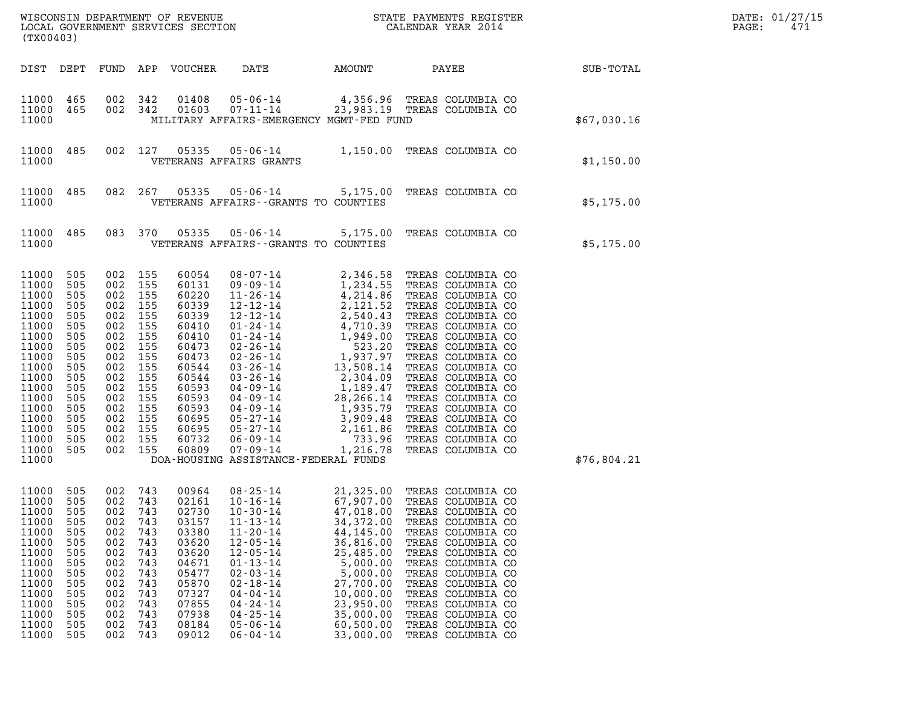| (TX00403)                                                                                                                                                               |                                                                                                                            |                                                                                                                                |                                                                                                                     |                                                                                                                                                                |                                                                                                                                                                                                                                                                                                                                                                          |                                                                                                                                                                                                                                                                 |                                                                                                                                                                                                                                                                                                                                                                                        |                  | DATE: 01/27/15<br>$\mathtt{PAGE}$ :<br>471 |
|-------------------------------------------------------------------------------------------------------------------------------------------------------------------------|----------------------------------------------------------------------------------------------------------------------------|--------------------------------------------------------------------------------------------------------------------------------|---------------------------------------------------------------------------------------------------------------------|----------------------------------------------------------------------------------------------------------------------------------------------------------------|--------------------------------------------------------------------------------------------------------------------------------------------------------------------------------------------------------------------------------------------------------------------------------------------------------------------------------------------------------------------------|-----------------------------------------------------------------------------------------------------------------------------------------------------------------------------------------------------------------------------------------------------------------|----------------------------------------------------------------------------------------------------------------------------------------------------------------------------------------------------------------------------------------------------------------------------------------------------------------------------------------------------------------------------------------|------------------|--------------------------------------------|
| DIST DEPT                                                                                                                                                               |                                                                                                                            |                                                                                                                                |                                                                                                                     | FUND APP VOUCHER                                                                                                                                               | DATE                                                                                                                                                                                                                                                                                                                                                                     | AMOUNT PAYEE                                                                                                                                                                                                                                                    |                                                                                                                                                                                                                                                                                                                                                                                        | <b>SUB-TOTAL</b> |                                            |
| 11000 465<br>11000<br>11000                                                                                                                                             | 465                                                                                                                        | 002 342<br>002 342                                                                                                             |                                                                                                                     | 01408<br>01603                                                                                                                                                 | MILITARY AFFAIRS-EMERGENCY MGMT-FED FUND                                                                                                                                                                                                                                                                                                                                 |                                                                                                                                                                                                                                                                 | 05-06-14 4,356.96 TREAS COLUMBIA CO<br>07-11-14 23,983.19 TREAS COLUMBIA CO                                                                                                                                                                                                                                                                                                            | \$67,030.16      |                                            |
| 11000<br>11000                                                                                                                                                          | 485                                                                                                                        |                                                                                                                                | 002 127                                                                                                             |                                                                                                                                                                | VETERANS AFFAIRS GRANTS                                                                                                                                                                                                                                                                                                                                                  |                                                                                                                                                                                                                                                                 | 05335  05-06-14   1,150.00   TREAS COLUMBIA CO                                                                                                                                                                                                                                                                                                                                         | \$1,150.00       |                                            |
| 11000<br>11000                                                                                                                                                          | 485                                                                                                                        |                                                                                                                                | 082 267                                                                                                             | 05335                                                                                                                                                          | VETERANS AFFAIRS -- GRANTS TO COUNTIES                                                                                                                                                                                                                                                                                                                                   |                                                                                                                                                                                                                                                                 | 05-06-14 5,175.00 TREAS COLUMBIA CO                                                                                                                                                                                                                                                                                                                                                    | \$5,175.00       |                                            |
| 11000<br>11000                                                                                                                                                          | 485                                                                                                                        |                                                                                                                                | 083 370                                                                                                             | 05335                                                                                                                                                          | $05 - 06 - 14$ 5, 175.00<br>VETERANS AFFAIRS -- GRANTS TO COUNTIES                                                                                                                                                                                                                                                                                                       |                                                                                                                                                                                                                                                                 | TREAS COLUMBIA CO                                                                                                                                                                                                                                                                                                                                                                      | \$5,175.00       |                                            |
| 11000<br>11000<br>11000<br>11000<br>11000<br>11000<br>11000<br>11000<br>11000<br>11000<br>11000<br>11000<br>11000<br>11000<br>11000<br>11000<br>11000<br>11000<br>11000 | 505<br>505<br>505<br>505<br>505<br>505<br>505<br>505<br>505<br>505<br>505<br>505<br>505<br>505<br>505<br>505<br>505<br>505 | 002<br>002<br>002<br>002<br>002<br>002<br>002<br>002<br>002<br>002<br>002<br>002<br>002<br>002<br>002<br>002<br>002<br>002 155 | 155<br>155<br>155<br>155<br>155<br>155<br>155<br>155<br>155<br>155<br>155<br>155<br>155<br>155<br>155<br>155<br>155 | 60054<br>60131<br>60220<br>60339<br>60339<br>60410<br>60410<br>60473<br>60473<br>60544<br>60544<br>60593<br>60593<br>60593<br>60695<br>60695<br>60732<br>60809 | $08 - 07 - 14$<br>$09 - 09 - 14$<br>$11 - 26 - 14$<br>$12 - 12 - 14$<br>$12 - 12 - 14$<br>$01 - 24 - 14$<br>$01 - 24 - 14$<br>$02 - 26 - 14$<br>$02 - 26 - 14$<br>$03 - 26 - 14$<br>$03 - 26 - 14$<br>$04 - 09 - 14$<br>$04 - 09 - 14$<br>$04 - 09 - 14$<br>$05 - 27 - 14$<br>$05 - 27 - 14$<br>$06 - 09 - 14$<br>$07 - 09 - 14$<br>DOA-HOUSING ASSISTANCE-FEDERAL FUNDS | 2, 346.58<br>1, 234.55<br>4, 214.86<br>2, 121.52<br>2, 540.43<br>4, 710.39<br>1, 949.00<br>523.20<br>1, 937.97<br>13, 508.14<br>2, 304.09<br>1, 189.47<br>523.20<br>$1,189.47$<br>$28,266.14$<br>$1,935.79$<br>$3,909.48$<br>$2,161.86$<br>$733.96$<br>1,216.78 | TREAS COLUMBIA CO<br>TREAS COLUMBIA CO<br>TREAS COLUMBIA CO<br>TREAS COLUMBIA CO<br>TREAS COLUMBIA CO<br>TREAS COLUMBIA CO<br>TREAS COLUMBIA CO<br>TREAS COLUMBIA CO<br>TREAS COLUMBIA CO<br>TREAS COLUMBIA CO<br>TREAS COLUMBIA CO<br>TREAS COLUMBIA CO<br>TREAS COLUMBIA CO<br>TREAS COLUMBIA CO<br>TREAS COLUMBIA CO<br>TREAS COLUMBIA CO<br>TREAS COLUMBIA CO<br>TREAS COLUMBIA CO | \$76,804.21      |                                            |
| 11000 505<br>11000<br>11000<br>11000<br>11000<br>11000<br>11000<br>11000<br>11000<br>11000<br>11000<br>11000<br>11000<br>11000<br>11000                                 | 505<br>505<br>505<br>505<br>505<br>505<br>505<br>505<br>505<br>505<br>505<br>505<br>505<br>505                             | 002<br>002<br>002<br>002<br>002<br>002<br>002<br>002<br>002<br>002<br>002<br>002<br>002<br>002                                 | 002 743<br>743<br>743<br>743<br>743<br>743<br>743<br>743<br>743<br>743<br>743<br>743<br>743<br>743<br>743           | 00964<br>02161<br>02730<br>03157<br>03380<br>03620<br>03620<br>04671<br>05477<br>05870<br>07327<br>07855<br>07938<br>08184<br>09012                            | $08 - 25 - 14$<br>$10 - 16 - 14$<br>$10 - 30 - 14$<br>$11 - 13 - 14$<br>$11 - 20 - 14$<br>$12 - 05 - 14$<br>$12 - 05 - 14$<br>$01 - 13 - 14$<br>$02 - 03 - 14$<br>$02 - 18 - 14$<br>$04 - 04 - 14$<br>$04 - 24 - 14$<br>$04 - 25 - 14$<br>$05 - 06 - 14$<br>$06 - 04 - 14$                                                                                               | 67,907.00<br>47,018.00<br>34,372.00<br>44,145.00<br>36,816.00<br>25,485.00<br>5,000.00<br>5,000.00<br>27,700.00<br>10,000.00<br>23,950.00<br>35,000.00<br>60,500.00<br>33,000.00                                                                                | 21,325.00 TREAS COLUMBIA CO<br>TREAS COLUMBIA CO<br>TREAS COLUMBIA CO<br>TREAS COLUMBIA CO<br>TREAS COLUMBIA CO<br>TREAS COLUMBIA CO<br>TREAS COLUMBIA CO<br>TREAS COLUMBIA CO<br>TREAS COLUMBIA CO<br>TREAS COLUMBIA CO<br>TREAS COLUMBIA CO<br>TREAS COLUMBIA CO<br>TREAS COLUMBIA CO<br>TREAS COLUMBIA CO<br>TREAS COLUMBIA CO                                                      |                  |                                            |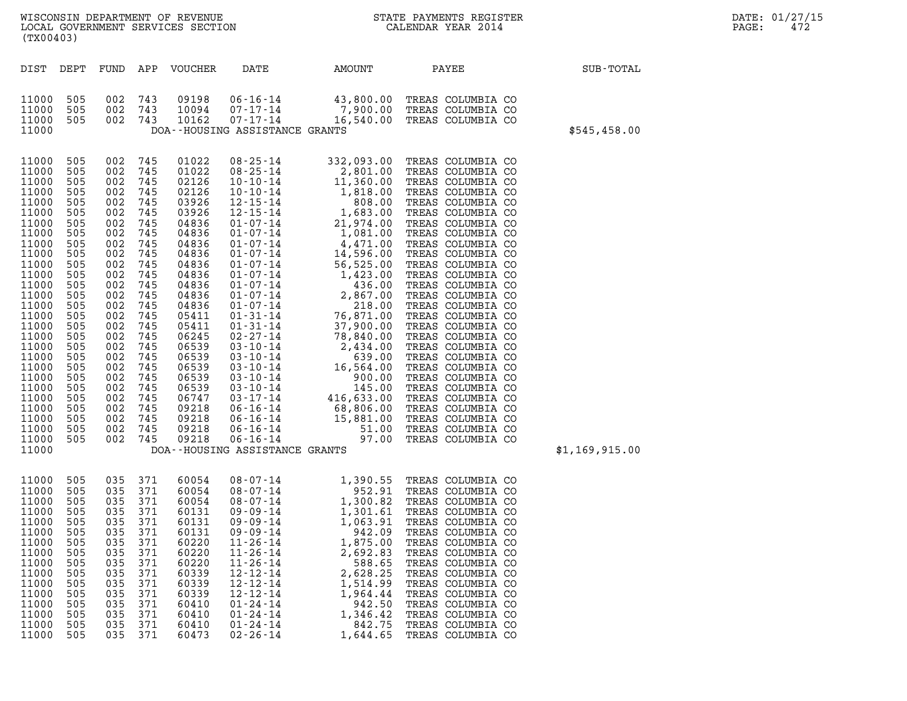| (TX00403)                                                                                                                                                                                                                                                         |                                                                                                                                                                                                  |                                                                                                                                                                                                      |                                                                                                                                                                                           | WISCONSIN DEPARTMENT OF REVENUE<br>LOCAL GOVERNMENT SERVICES SECTION                                                                                                                                                                                     | NC<br>NC                                                                                                                                                                                                                                                                                                                                                                                                                                                                                                                                               |                                                                                                                                                                                                                                                                                                                                                                            | STATE PAYMENTS REGISTER<br>CALENDAR YEAR 2014                                                                                                                                                                                                                                                                                                                                                                                                                                                                                                                                                            |                | DATE: 01/27/15<br>PAGE:<br>472 |
|-------------------------------------------------------------------------------------------------------------------------------------------------------------------------------------------------------------------------------------------------------------------|--------------------------------------------------------------------------------------------------------------------------------------------------------------------------------------------------|------------------------------------------------------------------------------------------------------------------------------------------------------------------------------------------------------|-------------------------------------------------------------------------------------------------------------------------------------------------------------------------------------------|----------------------------------------------------------------------------------------------------------------------------------------------------------------------------------------------------------------------------------------------------------|--------------------------------------------------------------------------------------------------------------------------------------------------------------------------------------------------------------------------------------------------------------------------------------------------------------------------------------------------------------------------------------------------------------------------------------------------------------------------------------------------------------------------------------------------------|----------------------------------------------------------------------------------------------------------------------------------------------------------------------------------------------------------------------------------------------------------------------------------------------------------------------------------------------------------------------------|----------------------------------------------------------------------------------------------------------------------------------------------------------------------------------------------------------------------------------------------------------------------------------------------------------------------------------------------------------------------------------------------------------------------------------------------------------------------------------------------------------------------------------------------------------------------------------------------------------|----------------|--------------------------------|
| DIST DEPT                                                                                                                                                                                                                                                         |                                                                                                                                                                                                  | FUND                                                                                                                                                                                                 |                                                                                                                                                                                           | APP VOUCHER                                                                                                                                                                                                                                              | DATE                                                                                                                                                                                                                                                                                                                                                                                                                                                                                                                                                   | AMOUNT                                                                                                                                                                                                                                                                                                                                                                     | PAYEE                                                                                                                                                                                                                                                                                                                                                                                                                                                                                                                                                                                                    | SUB-TOTAL      |                                |
| 11000<br>11000<br>11000<br>11000                                                                                                                                                                                                                                  | 505<br>505<br>505                                                                                                                                                                                | 002<br>002<br>002 743                                                                                                                                                                                | 743<br>743                                                                                                                                                                                | 09198<br>10094<br>10162                                                                                                                                                                                                                                  | $06 - 16 - 14$<br>$07 - 17 - 14$<br>07-17-14<br>DOA--HOUSING ASSISTANCE GRANTS                                                                                                                                                                                                                                                                                                                                                                                                                                                                         |                                                                                                                                                                                                                                                                                                                                                                            | 43,800.00 TREAS COLUMBIA CO<br>7,900.00 TREAS COLUMBIA CO<br>16,540.00 TREAS COLUMBIA CO                                                                                                                                                                                                                                                                                                                                                                                                                                                                                                                 | \$545,458.00   |                                |
| 11000<br>11000<br>11000<br>11000<br>11000<br>11000<br>11000<br>11000<br>11000<br>11000<br>11000<br>11000<br>11000<br>11000<br>11000<br>11000<br>11000<br>11000<br>11000<br>11000<br>11000<br>11000<br>11000<br>11000<br>11000<br>11000<br>11000<br>11000<br>11000 | 505<br>505<br>505<br>505<br>505<br>505<br>505<br>505<br>505<br>505<br>505<br>505<br>505<br>505<br>505<br>505<br>505<br>505<br>505<br>505<br>505<br>505<br>505<br>505<br>505<br>505<br>505<br>505 | 002<br>002<br>002<br>002<br>002<br>002<br>002<br>002<br>002<br>002<br>002<br>002<br>002<br>002<br>002<br>002<br>002<br>002<br>002<br>002<br>002<br>002<br>002<br>002<br>002<br>002<br>002<br>002 745 | 745<br>745<br>745<br>745<br>745<br>745<br>745<br>745<br>745<br>745<br>745<br>745<br>745<br>745<br>745<br>745<br>745<br>745<br>745<br>745<br>745<br>745<br>745<br>745<br>745<br>745<br>745 | 01022<br>01022<br>02126<br>02126<br>03926<br>03926<br>04836<br>04836<br>04836<br>04836<br>04836<br>04836<br>04836<br>04836<br>04836<br>05411<br>05411<br>06245<br>06539<br>06539<br>06539<br>06539<br>06539<br>06747<br>09218<br>09218<br>09218<br>09218 | $08 - 25 - 14$<br>$08 - 25 - 14$<br>$10 - 10 - 14$<br>$10 - 10 - 14$<br>$12 - 15 - 14$<br>$12 - 15 - 14$<br>$01 - 07 - 14$<br>$01 - 07 - 14$<br>$01 - 07 - 14$<br>$01 - 07 - 14$<br>$01 - 07 - 14$<br>$01 - 07 - 14$<br>$01 - 07 - 14$<br>$01 - 07 - 14$<br>$01 - 07 - 14$<br>$01 - 31 - 14$<br>$01 - 31 - 14$<br>$02 - 27 - 14$<br>$03 - 10 - 14$<br>$03 - 10 - 14$<br>$03 - 10 - 14$<br>$03 - 10 - 14$<br>$03 - 10 - 14$<br>$03 - 17 - 14$<br>$06 - 16 - 14$<br>$06 - 16 - 14$<br>$06 - 16 - 14$<br>$06 - 16 - 14$<br>DOA--HOUSING ASSISTANCE GRANTS | 332,093.00<br>2,801.00<br>11,360.00<br>1,818.00<br>808.00<br>1,683.00<br>21,974.00<br>1,081.00<br>4,471.00<br>14,596.00<br>56,525.00<br>$1,423.00$<br>$436.00$<br>$2,867.00$<br>$218.00$<br>218.00<br>76,871.00<br>37,900.00<br>78,840.00<br>$2,434.00$<br>$639.00$<br>$16,564.00$<br>$900.00$<br>$145.00$<br>$416,633.00$<br>$68,806.00$<br>$15,881.00$<br>51.00<br>97.00 | TREAS COLUMBIA CO<br>TREAS COLUMBIA CO<br>TREAS COLUMBIA CO<br>TREAS COLUMBIA CO<br>TREAS COLUMBIA CO<br>TREAS COLUMBIA CO<br>TREAS COLUMBIA CO<br>TREAS COLUMBIA CO<br>TREAS COLUMBIA CO<br>TREAS COLUMBIA CO<br>TREAS COLUMBIA CO<br>TREAS COLUMBIA CO<br>TREAS COLUMBIA CO<br>TREAS COLUMBIA CO<br>TREAS COLUMBIA CO<br>TREAS COLUMBIA CO<br>TREAS COLUMBIA CO<br>TREAS COLUMBIA CO<br>TREAS COLUMBIA CO<br>TREAS COLUMBIA CO<br>TREAS COLUMBIA CO<br>TREAS COLUMBIA CO<br>TREAS COLUMBIA CO<br>TREAS COLUMBIA CO<br>TREAS COLUMBIA CO<br>TREAS COLUMBIA CO<br>TREAS COLUMBIA CO<br>TREAS COLUMBIA CO | \$1,169,915.00 |                                |
| 11000<br>11000<br>11000<br>11000<br>11000<br>11000<br>11000<br>11000<br>11000<br>11000<br>11000<br>11000<br>11000<br>11000<br>11000<br>11000                                                                                                                      | 505<br>505<br>505<br>505<br>505<br>505<br>505<br>505<br>505<br>505<br>505<br>505<br>505<br>505<br>505<br>505                                                                                     | 035<br>035 371<br>035<br>035<br>035<br>035<br>035<br>035<br>035<br>035<br>035<br>035<br>035<br>035<br>035<br>035                                                                                     | 371<br>371<br>371<br>371<br>371<br>371<br>371<br>371<br>371<br>371<br>371<br>371<br>371<br>371<br>371                                                                                     | 60054<br>60054<br>60054<br>60131<br>60131<br>60131<br>60220<br>60220<br>60220<br>60339<br>60339<br>60339<br>60410<br>60410<br>60410<br>60473                                                                                                             | $08 - 07 - 14$<br>$08 - 07 - 14$<br>$08 - 07 - 14$<br>$09 - 09 - 14$<br>$09 - 09 - 14$<br>$09 - 09 - 14$<br>$11 - 26 - 14$<br>$11 - 26 - 14$<br>$11 - 26 - 14$<br>$12 - 12 - 14$<br>$12 - 12 - 14$<br>$12 - 12 - 14$<br>$01 - 24 - 14$<br>$01 - 24 - 14$<br>$01 - 24 - 14$<br>$02 - 26 - 14$                                                                                                                                                                                                                                                           | 1,300.82<br>1,301.61<br>1,063.91<br>942.09<br>1,875.00<br>2,692.83<br>588.65<br>2,628.25<br>1,514.99<br>1,964.44<br>942.50<br>1,346.42<br>842.75<br>1,644.65                                                                                                                                                                                                               | 1,390.55 TREAS COLUMBIA CO<br>952.91 TREAS COLUMBIA CO<br>TREAS COLUMBIA CO<br>TREAS COLUMBIA CO<br>TREAS COLUMBIA CO<br>TREAS COLUMBIA CO<br>TREAS COLUMBIA CO<br>TREAS COLUMBIA CO<br>TREAS COLUMBIA CO<br>TREAS COLUMBIA CO<br>TREAS COLUMBIA CO<br>TREAS COLUMBIA CO<br>TREAS COLUMBIA CO<br>TREAS COLUMBIA CO<br>TREAS COLUMBIA CO<br>TREAS COLUMBIA CO                                                                                                                                                                                                                                             |                |                                |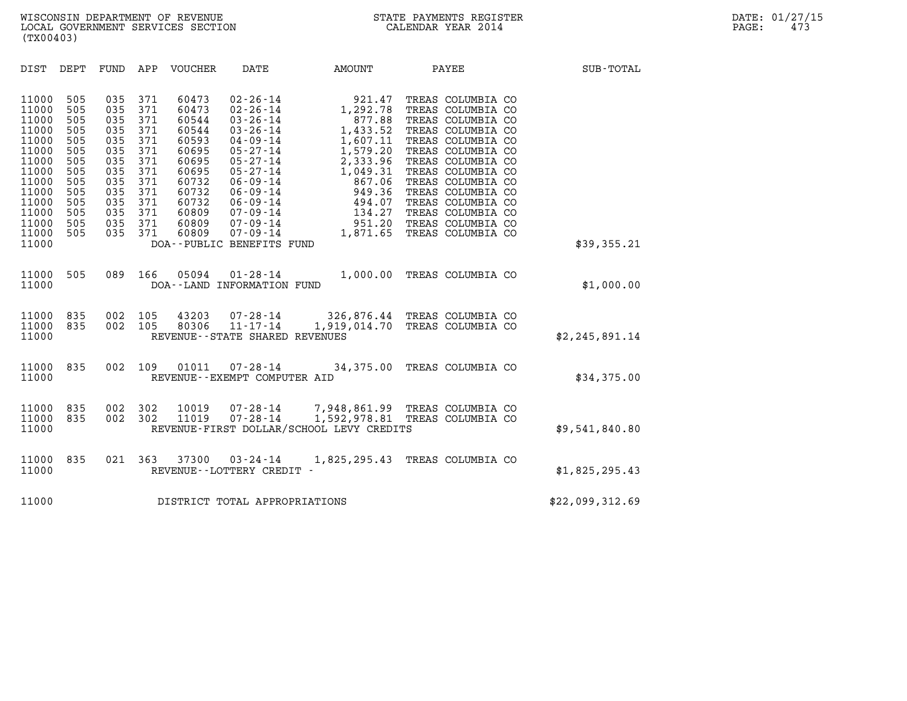| (TX00403)                                                                                                                                                                                                                             |                                                                                                                                                                                                                                                                                                                                |                                                                                                                                                                                                                                                                                                                                                                                                                                                                     |                                                                                                                                                                                                                                                                                                    |                 |
|---------------------------------------------------------------------------------------------------------------------------------------------------------------------------------------------------------------------------------------|--------------------------------------------------------------------------------------------------------------------------------------------------------------------------------------------------------------------------------------------------------------------------------------------------------------------------------|---------------------------------------------------------------------------------------------------------------------------------------------------------------------------------------------------------------------------------------------------------------------------------------------------------------------------------------------------------------------------------------------------------------------------------------------------------------------|----------------------------------------------------------------------------------------------------------------------------------------------------------------------------------------------------------------------------------------------------------------------------------------------------|-----------------|
| DIST<br>DEPT<br>FUND                                                                                                                                                                                                                  | APP<br>VOUCHER                                                                                                                                                                                                                                                                                                                 | DATE<br>AMOUNT                                                                                                                                                                                                                                                                                                                                                                                                                                                      | <b>PAYEE</b>                                                                                                                                                                                                                                                                                       | SUB-TOTAL       |
| 11000<br>505<br>11000<br>505<br>11000<br>505<br>11000<br>505<br>11000<br>505<br>11000<br>505<br>11000<br>505<br>11000<br>505<br>11000<br>505<br>11000<br>505<br>11000<br>505<br>11000<br>505<br>11000<br>505<br>11000<br>505<br>11000 | 035<br>371<br>60473<br>371<br>035<br>60473<br>371<br>035<br>60544<br>371<br>035<br>60544<br>035<br>371<br>60593<br>371<br>035<br>60695<br>035<br>371<br>60695<br>371<br>035<br>60695<br>035<br>371<br>60732<br>371<br>60732<br>035<br>371<br>035<br>60732<br>035<br>371<br>60809<br>371<br>60809<br>035<br>035<br>371<br>60809 | $02 - 26 - 14$<br>921.47<br>$02 - 26 - 14$<br>1,292.78<br>$877.88$<br>$1,433.52$<br>$03 - 26 - 14$<br>$03 - 26 - 14$<br>1,433.52<br>1,607.11<br>$04 - 09 - 14$<br>1,579.20<br>$05 - 27 - 14$<br>$05 - 27 - 14$<br>2,333.96<br>$05 - 27 - 14$<br>1,049.31<br>$06 - 09 - 14$<br>367.06<br>867.06<br>949.36<br>494.07<br>134.27<br>951.20<br>1,871.65<br>$06 - 09 - 14$<br>$06 - 09 - 14$<br>07-09-14<br>$07 - 09 - 14$<br>$07 - 09 - 14$<br>DOA--PUBLIC BENEFITS FUND | TREAS COLUMBIA CO<br>TREAS COLUMBIA CO<br>TREAS COLUMBIA CO<br>TREAS COLUMBIA CO<br>TREAS COLUMBIA CO<br>TREAS COLUMBIA CO<br>TREAS COLUMBIA CO<br>TREAS COLUMBIA CO<br>TREAS COLUMBIA CO<br>TREAS COLUMBIA CO<br>TREAS COLUMBIA CO<br>TREAS COLUMBIA CO<br>TREAS COLUMBIA CO<br>TREAS COLUMBIA CO | \$39,355.21     |
| 11000<br>505<br>11000                                                                                                                                                                                                                 | 089<br>166<br>05094                                                                                                                                                                                                                                                                                                            | $01 - 28 - 14$<br>DOA--LAND INFORMATION FUND                                                                                                                                                                                                                                                                                                                                                                                                                        | 1,000.00 TREAS COLUMBIA CO                                                                                                                                                                                                                                                                         | \$1,000.00      |
| 11000<br>835<br>835<br>11000<br>11000                                                                                                                                                                                                 | 002<br>105<br>43203<br>002<br>105<br>80306                                                                                                                                                                                                                                                                                     | 07-28-14 326,876.44 TREAS COLUMBIA CO<br>$11 - 17 - 14$<br>REVENUE--STATE SHARED REVENUES                                                                                                                                                                                                                                                                                                                                                                           | 1,919,014.70 TREAS COLUMBIA CO                                                                                                                                                                                                                                                                     | \$2,245,891.14  |
| 835<br>11000<br>11000                                                                                                                                                                                                                 | 002<br>109<br>01011                                                                                                                                                                                                                                                                                                            | $07 - 28 - 14$<br>REVENUE - - EXEMPT COMPUTER AID                                                                                                                                                                                                                                                                                                                                                                                                                   | 34,375.00 TREAS COLUMBIA CO                                                                                                                                                                                                                                                                        | \$34,375.00     |
| 835<br>11000<br>11000<br>835<br>11000                                                                                                                                                                                                 | 002<br>302<br>10019<br>002<br>302<br>11019                                                                                                                                                                                                                                                                                     | 07-28-14 7,948,861.99 TREAS COLUMBIA CO<br>$07 - 28 - 14$<br>REVENUE-FIRST DOLLAR/SCHOOL LEVY CREDITS                                                                                                                                                                                                                                                                                                                                                               | 1,592,978.81 TREAS COLUMBIA CO                                                                                                                                                                                                                                                                     | \$9,541,840.80  |
| 835<br>11000<br>11000                                                                                                                                                                                                                 | 021<br>363<br>37300                                                                                                                                                                                                                                                                                                            | $03 - 24 - 14$<br>REVENUE - - LOTTERY CREDIT -                                                                                                                                                                                                                                                                                                                                                                                                                      | 1,825,295.43 TREAS COLUMBIA CO                                                                                                                                                                                                                                                                     | \$1,825,295.43  |
| 11000                                                                                                                                                                                                                                 |                                                                                                                                                                                                                                                                                                                                | DISTRICT TOTAL APPROPRIATIONS                                                                                                                                                                                                                                                                                                                                                                                                                                       |                                                                                                                                                                                                                                                                                                    | \$22,099,312.69 |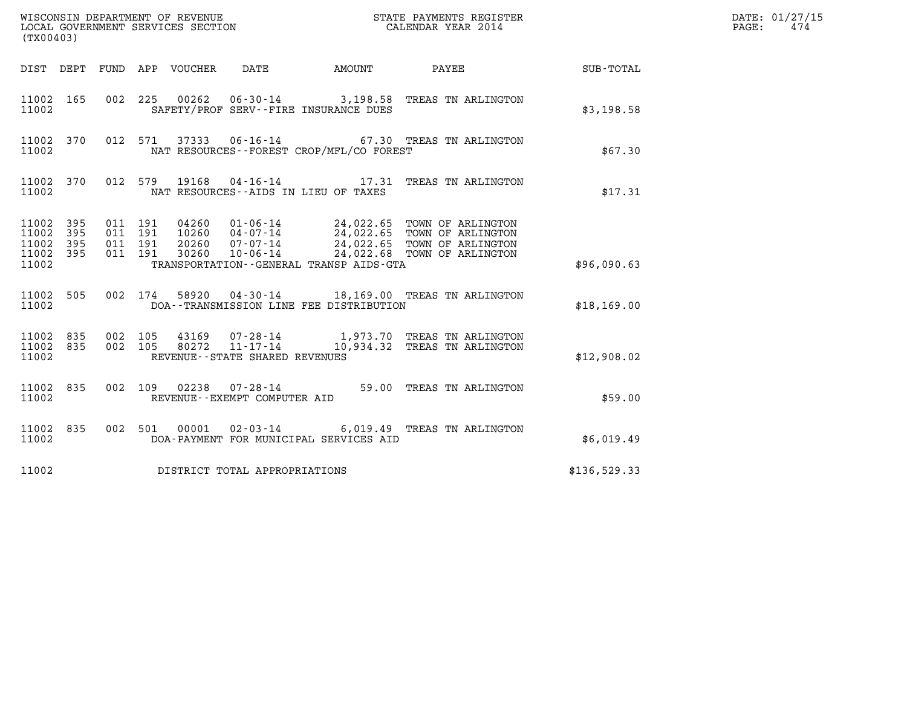| (TX00403)                                                       | WISCONSIN DEPARTMENT OF REVENUE<br>LOCAL GOVERNMENT SERVICES SECTION                                                                                                                                                                                                                    | STATE PAYMENTS REGISTER<br>CALENDAR YEAR 2014 |              | DATE: 01/27/15<br>$\mathtt{PAGE:}$<br>474 |
|-----------------------------------------------------------------|-----------------------------------------------------------------------------------------------------------------------------------------------------------------------------------------------------------------------------------------------------------------------------------------|-----------------------------------------------|--------------|-------------------------------------------|
| DIST DEPT FUND APP VOUCHER                                      | DATE                                                                                                                                                                                                                                                                                    | AMOUNT PAYEE SUB-TOTAL                        |              |                                           |
| 11002 165<br>11002                                              | 00262  06-30-14  3,198.58  TREAS TN ARLINGTON<br>002 225<br>SAFETY/PROF SERV--FIRE INSURANCE DUES                                                                                                                                                                                       |                                               | \$3,198.58   |                                           |
| 11002 370<br>11002                                              | 012 571 37333 06-16-14 67.30 TREAS TN ARLINGTON<br>NAT RESOURCES--FOREST CROP/MFL/CO FOREST                                                                                                                                                                                             |                                               | \$67.30      |                                           |
| 11002 370<br>11002                                              | 012 579 19168<br>NAT RESOURCES -- AIDS IN LIEU OF TAXES                                                                                                                                                                                                                                 | 04-16-14 17.31 TREAS TN ARLINGTON             | \$17.31      |                                           |
| 11002 395<br>11002<br>395<br>11002<br>395<br>11002 395<br>11002 | 04260  01-06-14  24,022.65  TOWN OF ARLINGTON<br>10260  04-07-14  24,022.65  TOWN OF ARLINGTON<br>20260  07-07-14  24,022.65  TOWN OF ARLINGTON<br>30260  10-06-14  24,022.68  TOWN OF ARLINGTON<br>011 191<br>011 191<br>011 191<br>011 191<br>TRANSPORTATION--GENERAL TRANSP AIDS-GTA |                                               | \$96,090.63  |                                           |
| 11002 505<br>11002                                              | 58920  04-30-14  18,169.00 TREAS TN ARLINGTON<br>002 174<br>DOA--TRANSMISSION LINE FEE DISTRIBUTION                                                                                                                                                                                     |                                               | \$18,169.00  |                                           |
| 11002 835<br>11002 835<br>11002                                 | 43169  07-28-14   1,973.70 TREAS TN ARLINGTON<br>80272  11-17-14   10,934.32 TREAS TN ARLINGTON<br>002 105<br>002 105<br>REVENUE--STATE SHARED REVENUES                                                                                                                                 |                                               | \$12,908.02  |                                           |
| 11002 835<br>11002                                              | 002 109 02238 07-28-14 59.00 TREAS TN ARLINGTON<br>REVENUE--EXEMPT COMPUTER AID                                                                                                                                                                                                         |                                               | \$59.00      |                                           |
| 11002 835<br>11002                                              | 00001  02-03-14  6,019.49  TREAS TN ARLINGTON<br>002 501<br>DOA-PAYMENT FOR MUNICIPAL SERVICES AID                                                                                                                                                                                      |                                               | \$6,019.49   |                                           |
| 11002                                                           | DISTRICT TOTAL APPROPRIATIONS                                                                                                                                                                                                                                                           |                                               | \$136,529.33 |                                           |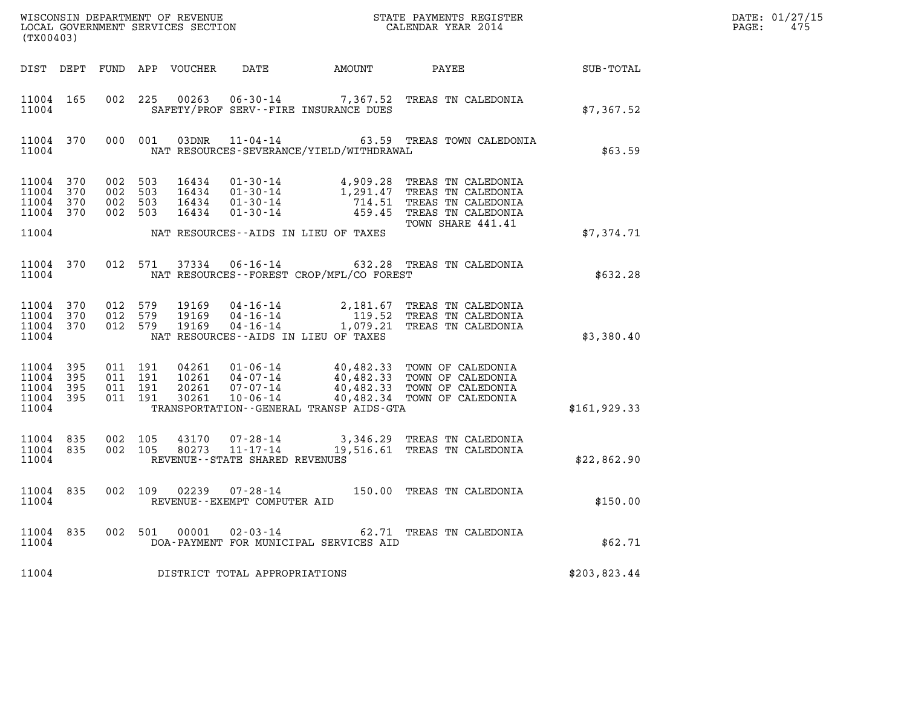| $\mathtt{DATE}$ : | 01/27/15 |
|-------------------|----------|
| PAGE:             | 475      |

| (TX00403)                                         |            |                                          |         |                                  |                                                        |                                             |                                                                                                                                                                                                                                                                                 |                  | DATE: 01/27/15<br>$\mathtt{PAGE}$ :<br>475 |
|---------------------------------------------------|------------|------------------------------------------|---------|----------------------------------|--------------------------------------------------------|---------------------------------------------|---------------------------------------------------------------------------------------------------------------------------------------------------------------------------------------------------------------------------------------------------------------------------------|------------------|--------------------------------------------|
|                                                   |            |                                          |         | DIST DEPT FUND APP VOUCHER       | DATE                                                   | AMOUNT PAYEE                                |                                                                                                                                                                                                                                                                                 | <b>SUB-TOTAL</b> |                                            |
| 11004 165<br>11004                                |            |                                          |         |                                  |                                                        | SAFETY/PROF SERV--FIRE INSURANCE DUES       | 002 225 00263 06-30-14 7,367.52 TREAS TN CALEDONIA                                                                                                                                                                                                                              | \$7,367.52       |                                            |
| 11004                                             | 11004 370  |                                          | 000 001 | 03DNR                            |                                                        | NAT RESOURCES-SEVERANCE/YIELD/WITHDRAWAL    | 11-04-14 63.59 TREAS TOWN CALEDONIA                                                                                                                                                                                                                                             | \$63.59          |                                            |
| 11004 370<br>11004<br>11004<br>11004 370          | 370<br>370 | 002 503<br>002 503<br>002 503<br>002 503 |         | 16434<br>16434<br>16434<br>16434 |                                                        |                                             | 01-30-14<br>01-30-14<br>01-30-14<br>01-30-14<br>01-30-14<br>01-30-14<br>01-30-14<br>01-30-14<br>01-30-14<br>01-30-14<br>01-30-14<br>01-30-14<br>01-30-14<br>01-30-14<br>01-30-14<br>01-30-14<br>02-45<br>02-05<br>02-05<br>02-05<br>02-05<br>02-05<br>02-0<br>TOWN SHARE 441.41 |                  |                                            |
| 11004                                             |            |                                          |         |                                  |                                                        | NAT RESOURCES -- AIDS IN LIEU OF TAXES      |                                                                                                                                                                                                                                                                                 | \$7,374.71       |                                            |
| 11004                                             | 11004 370  |                                          | 012 571 |                                  |                                                        | NAT RESOURCES - - FOREST CROP/MFL/CO FOREST | 37334  06-16-14  632.28  TREAS TN CALEDONIA                                                                                                                                                                                                                                     | \$632.28         |                                            |
| 11004 370<br>11004<br>11004 370<br>11004          | 370        | 012 579<br>012 579<br>012 579            |         | 19169<br>19169<br>19169          |                                                        | NAT RESOURCES--AIDS IN LIEU OF TAXES        | 04-16-14 2,181.67 TREAS TN CALEDONIA<br>04-16-14 119.52 TREAS TN CALEDONIA<br>04-16-14 1,079.21 TREAS TN CALEDONIA                                                                                                                                                              | \$3,380.40       |                                            |
| 11004 395<br>11004<br>11004<br>11004 395<br>11004 | 395<br>395 | 011 191<br>011 191<br>011 191<br>011 191 |         | 04261<br>30261                   | 10261 04-07-14<br>20261 07-07-14                       | TRANSPORTATION--GENERAL TRANSP AIDS-GTA     | 01-06-14 40,482.33 TOWN OF CALEDONIA<br>04-07-14 40,482.33 TOWN OF CALEDONIA<br>07-07-14 40,482.33 TOWN OF CALEDONIA<br>10-06-14 40,482.34 TOWN OF CALEDONIA                                                                                                                    | \$161, 929.33    |                                            |
| 11004 835<br>11004 835<br>11004                   |            | 002 105<br>002 105                       |         | 43170<br>80273                   | 07-28-14<br>11-17-14<br>REVENUE--STATE SHARED REVENUES |                                             | 3,346.29 TREAS TN CALEDONIA<br>19,516.61 TREAS TN CALEDONIA                                                                                                                                                                                                                     | \$22,862.90      |                                            |
| 11004 835<br>11004                                |            |                                          |         | 002 109 02239                    | 07-28-14<br>REVENUE - - EXEMPT COMPUTER AID            |                                             | 150.00 TREAS TN CALEDONIA                                                                                                                                                                                                                                                       | \$150.00         |                                            |
| 11004 835<br>11004                                |            |                                          |         | 002 501 00001                    | 02-03-14                                               | DOA-PAYMENT FOR MUNICIPAL SERVICES AID      | 62.71 TREAS TN CALEDONIA                                                                                                                                                                                                                                                        | \$62.71          |                                            |
| 11004                                             |            |                                          |         |                                  | DISTRICT TOTAL APPROPRIATIONS                          |                                             |                                                                                                                                                                                                                                                                                 | \$203,823.44     |                                            |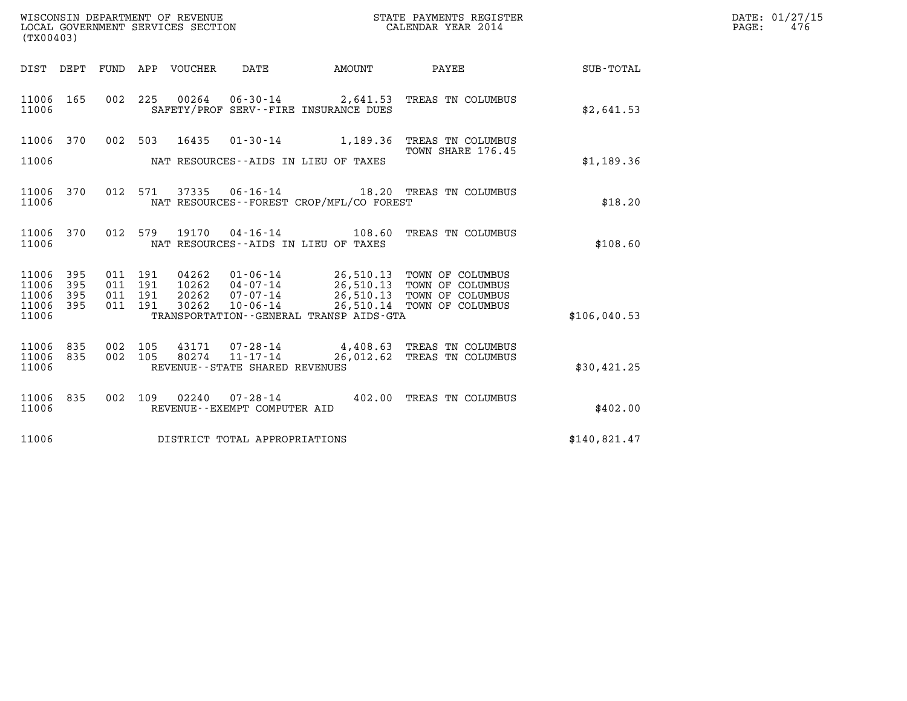| WISCONSIN DEPARTMENT OF REVENUE<br>LOCAL GOVERNMENT SERVICES SECTION | STATE PAYMENTS REGISTER<br>CALENDAR YEAR 2014 | DATE: 01/27/15<br>476<br>PAGE: |
|----------------------------------------------------------------------|-----------------------------------------------|--------------------------------|

| ${\tt WISCOONSIM} \begin{tabular}{lcccc} {\tt WISCOONSIM} \end{tabular} \begin{tabular}{lcccc} {\tt NISCOONSIM} \end{tabular} \begin{tabular}{lcccc} {\tt NUCAL} \end{tabular} \begin{tabular}{lcccc} {\tt NUCAL} \end{tabular} \begin{tabular}{lcccc} {\tt NUCAL} \end{tabular} \begin{tabular}{lcccc} {\tt NUCAL} \end{tabular} \end{tabular} \begin{tabular}{lcccc} {\tt NUCAL} \end{tabular} \begin{tabular}{lcccc} {\tt NUCAL} \end{tabular} \end{tabular} \begin{tabular}{lcccc} {\tt NUCAL} \end{tabular} \begin{tabular}{lcccc} {\$<br>(TX00403) |                   |                                          |         |                                  |                                   |                                                                                               | STATE PAYMENTS REGISTER                                                                                                               |              | DATE: 01/27/15<br>PAGE:<br>476 |
|----------------------------------------------------------------------------------------------------------------------------------------------------------------------------------------------------------------------------------------------------------------------------------------------------------------------------------------------------------------------------------------------------------------------------------------------------------------------------------------------------------------------------------------------------------|-------------------|------------------------------------------|---------|----------------------------------|-----------------------------------|-----------------------------------------------------------------------------------------------|---------------------------------------------------------------------------------------------------------------------------------------|--------------|--------------------------------|
|                                                                                                                                                                                                                                                                                                                                                                                                                                                                                                                                                          |                   |                                          |         | DIST DEPT FUND APP VOUCHER       | DATE                              | <b>EXAMPLE THE PROPERTY OF AMOUNT</b>                                                         | PAYEE                                                                                                                                 | SUB-TOTAL    |                                |
| 11006 165<br>11006                                                                                                                                                                                                                                                                                                                                                                                                                                                                                                                                       |                   |                                          |         |                                  |                                   | SAFETY/PROF SERV--FIRE INSURANCE DUES                                                         | 002 225 00264 06-30-14 2,641.53 TREAS TN COLUMBUS                                                                                     | \$2,641.53   |                                |
| 11006 370                                                                                                                                                                                                                                                                                                                                                                                                                                                                                                                                                |                   |                                          |         | 002 503 16435                    |                                   |                                                                                               | 01-30-14 1,189.36 TREAS TN COLUMBUS<br>TOWN SHARE 176.45                                                                              |              |                                |
| 11006                                                                                                                                                                                                                                                                                                                                                                                                                                                                                                                                                    |                   |                                          |         |                                  |                                   | NAT RESOURCES--AIDS IN LIEU OF TAXES                                                          |                                                                                                                                       | \$1,189.36   |                                |
| 11006 370<br>11006                                                                                                                                                                                                                                                                                                                                                                                                                                                                                                                                       |                   |                                          |         |                                  |                                   | 012 571 37335 06-16-14 18.20 TREAS TN COLUMBUS<br>NAT RESOURCES - - FOREST CROP/MFL/CO FOREST | \$18.20                                                                                                                               |              |                                |
| 11006 370<br>11006                                                                                                                                                                                                                                                                                                                                                                                                                                                                                                                                       |                   |                                          | 012 579 | 19170                            |                                   | NAT RESOURCES -- AIDS IN LIEU OF TAXES                                                        | 04-16-14 108.60 TREAS TN COLUMBUS                                                                                                     | \$108.60     |                                |
| 11006<br>11006<br>11006<br>11006 395<br>11006                                                                                                                                                                                                                                                                                                                                                                                                                                                                                                            | 395<br>395<br>395 | 011 191<br>011 191<br>011 191<br>011 191 |         | 04262<br>10262<br>20262<br>30262 |                                   | $01 - 06 - 14$ 26,510.13<br>TRANSPORTATION--GENERAL TRANSP AIDS-GTA                           | TOWN OF COLUMBUS<br>04-07-14 26,510.13 TOWN OF COLUMBUS<br>07-07-14 26,510.13 TOWN OF COLUMBUS<br>10-06-14 26,510.14 TOWN OF COLUMBUS | \$106,040.53 |                                |
| 11006<br>11006 835<br>11006                                                                                                                                                                                                                                                                                                                                                                                                                                                                                                                              | 835               | 002 105                                  | 002 105 | 43171<br>80274                   | REVENUE - - STATE SHARED REVENUES |                                                                                               | 07-28-14 4,408.63 TREAS TN COLUMBUS<br>11-17-14 26,012.62 TREAS TN COLUMBUS                                                           | \$30,421.25  |                                |
| 11006<br>11006                                                                                                                                                                                                                                                                                                                                                                                                                                                                                                                                           | 835               |                                          |         | 002 109 02240                    | REVENUE--EXEMPT COMPUTER AID      |                                                                                               | 07-28-14 402.00 TREAS TN COLUMBUS                                                                                                     | \$402.00     |                                |
| 11006                                                                                                                                                                                                                                                                                                                                                                                                                                                                                                                                                    |                   |                                          |         |                                  | DISTRICT TOTAL APPROPRIATIONS     |                                                                                               |                                                                                                                                       | \$140,821.47 |                                |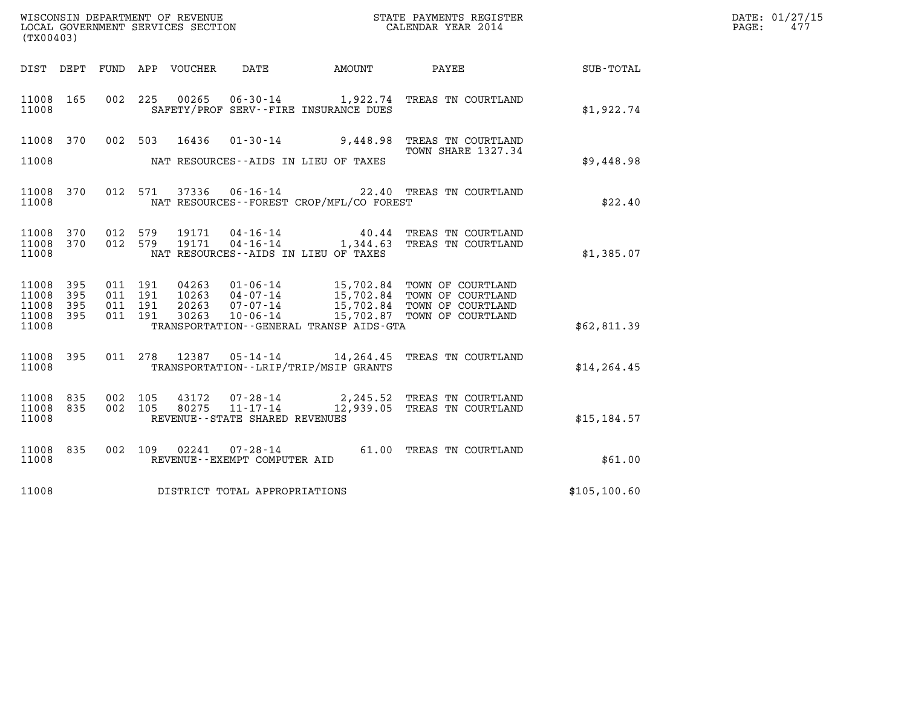| WISCONSIN DEPARTMENT OF REVENUE   | STATE PAYMENTS REGISTER | DATE: 01/27/15 |
|-----------------------------------|-------------------------|----------------|
| LOCAL GOVERNMENT SERVICES SECTION | CALENDAR YEAR 2014      | 475<br>PAGE:   |

| WISCONSIN DEPARTMENT OF REVENUE<br>LOCAL GOVERNMENT SERVICES SECTION<br>CALENDAR YEAR 2014<br>(TX00403) |           |  |  |  |                                |                                              |                                                                                                                                                                                                                       |               | DATE: 01/27/15<br>$\mathtt{PAGE:}$<br>477 |
|---------------------------------------------------------------------------------------------------------|-----------|--|--|--|--------------------------------|----------------------------------------------|-----------------------------------------------------------------------------------------------------------------------------------------------------------------------------------------------------------------------|---------------|-------------------------------------------|
|                                                                                                         |           |  |  |  |                                |                                              | DIST DEPT FUND APP VOUCHER DATE AMOUNT PAYEE                                                                                                                                                                          | SUB-TOTAL     |                                           |
| 11008 165<br>11008                                                                                      |           |  |  |  |                                | SAFETY/PROF SERV--FIRE INSURANCE DUES        | 002 225 00265 06-30-14 1,922.74 TREAS TN COURTLAND                                                                                                                                                                    | \$1,922.74    |                                           |
|                                                                                                         | 11008 370 |  |  |  |                                |                                              | 002 503 16436 01-30-14 9,448.98 TREAS TN COURTLAND<br>TOWN SHARE 1327.34                                                                                                                                              |               |                                           |
|                                                                                                         |           |  |  |  |                                | 11008 MAT RESOURCES--AIDS IN LIEU OF TAXES   |                                                                                                                                                                                                                       | \$9,448.98    |                                           |
| 11008                                                                                                   | 11008 370 |  |  |  |                                | NAT RESOURCES--FOREST CROP/MFL/CO FOREST     | 012 571 37336 06-16-14 22.40 TREAS TN COURTLAND                                                                                                                                                                       | \$22.40       |                                           |
| 11008 370<br>11008 370                                                                                  |           |  |  |  |                                |                                              | $\begin{array}{cccc} 012 & 579 & 19171 & 04\texttt{-}16\texttt{-}14 & & 40.44 & \texttt{TREAS TN COURTLAND} \\ 012 & 579 & 19171 & 04\texttt{-}16\texttt{-}14 & & 1,344.63 & \texttt{TREAS TN COURTLAND} \end{array}$ |               |                                           |
| 11008                                                                                                   |           |  |  |  |                                | NAT RESOURCES--AIDS IN LIEU OF TAXES         |                                                                                                                                                                                                                       | \$1,385.07    |                                           |
| 11008 395<br>11008                                                                                      | 395       |  |  |  |                                |                                              | 011 191 04263 01-06-14 15,702.84 TOWN OF COURTLAND<br>011 191 10263 04-07-14 15,702.84 TOWN OF COURTLAND<br>011 191 20263 07-07-14 15,702.84 TOWN OF COURTLAND<br>011 191 30263 10-06-14 15,702.87 TOWN OF COURTLAND  |               |                                           |
| 11008 395<br>11008 395<br>11008                                                                         |           |  |  |  |                                | TRANSPORTATION - - GENERAL TRANSP AIDS - GTA |                                                                                                                                                                                                                       | \$62,811.39   |                                           |
|                                                                                                         |           |  |  |  |                                |                                              |                                                                                                                                                                                                                       |               |                                           |
| 11008 395<br>11008                                                                                      |           |  |  |  |                                | TRANSPORTATION - - LRIP/TRIP/MSIP GRANTS     | 011 278 12387 05-14-14 14, 264.45 TREAS TN COURTLAND                                                                                                                                                                  | \$14, 264.45  |                                           |
| 11008 835<br>11008 835                                                                                  |           |  |  |  |                                |                                              | $\begin{array}{cccc} 002 & 105 & 43172 & 07\texttt{-}28\texttt{-}14 & 2,245.52 & \texttt{TREAS TN COURTLAND} \\ 002 & 105 & 80275 & 11\texttt{-}17\texttt{-}14 & 12,939.05 & \texttt{TREAS TN COURTLAND} \end{array}$ |               |                                           |
| 11008                                                                                                   |           |  |  |  | REVENUE--STATE SHARED REVENUES |                                              |                                                                                                                                                                                                                       | \$15, 184.57  |                                           |
| 11008                                                                                                   | 11008 835 |  |  |  | REVENUE--EXEMPT COMPUTER AID   |                                              | 002 109 02241 07-28-14 61.00 TREAS TN COURTLAND                                                                                                                                                                       |               | \$61.00                                   |
| 11008                                                                                                   |           |  |  |  | DISTRICT TOTAL APPROPRIATIONS  |                                              |                                                                                                                                                                                                                       | \$105, 100.60 |                                           |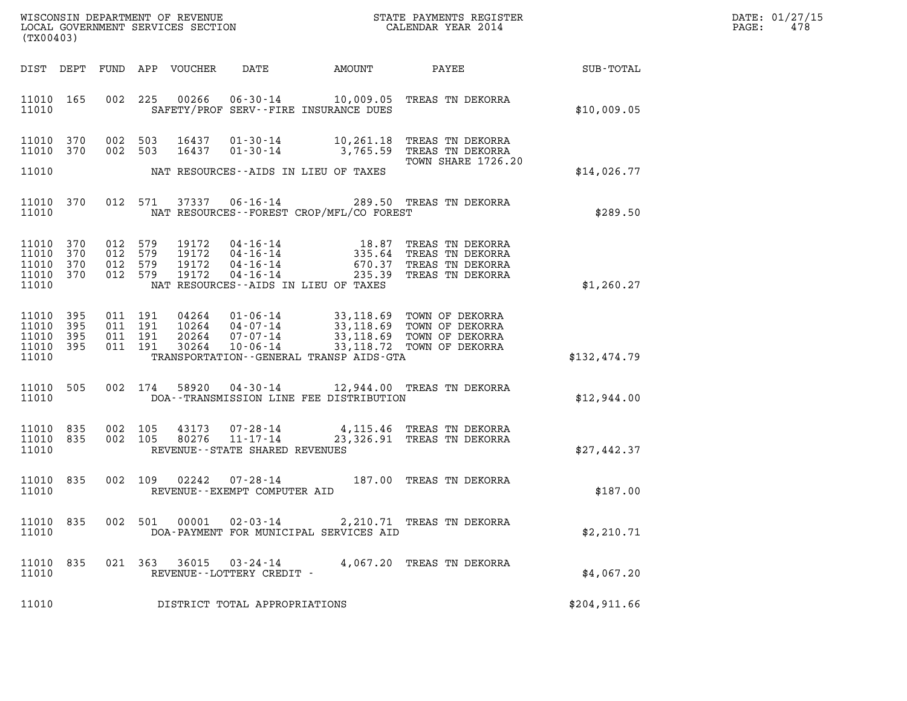| DATE: | 01/27/15 |
|-------|----------|
| PAGE: | 478      |

| (TX00403)                                         |                   |                    |                                          |                                  |                                                |                                             |                                                                                                                                                                        | DATE: 01/27/15<br>PAGE:<br>478 |  |
|---------------------------------------------------|-------------------|--------------------|------------------------------------------|----------------------------------|------------------------------------------------|---------------------------------------------|------------------------------------------------------------------------------------------------------------------------------------------------------------------------|--------------------------------|--|
| DIST DEPT                                         |                   |                    |                                          | FUND APP VOUCHER                 | DATE                                           | AMOUNT                                      |                                                                                                                                                                        | PAYEE SUB-TOTAL                |  |
| 11010 165<br>11010                                |                   |                    | 002 225                                  | 00266                            |                                                | SAFETY/PROF SERV--FIRE INSURANCE DUES       | 06-30-14 10,009.05 TREAS TN DEKORRA                                                                                                                                    | \$10,009.05                    |  |
| 11010 370<br>11010                                | 370               |                    | 002 503<br>002 503                       | 16437<br>16437                   |                                                |                                             | 01-30-14 10,261.18 TREAS TN DEKORRA<br>01-30-14 3,765.59 TREAS TN DEKORRA<br>TOWN SHARE 1726.20                                                                        |                                |  |
| 11010                                             |                   |                    |                                          |                                  |                                                | NAT RESOURCES--AIDS IN LIEU OF TAXES        |                                                                                                                                                                        | \$14,026.77                    |  |
| 11010 370<br>11010                                |                   |                    | 012 571                                  | 37337                            |                                                | NAT RESOURCES - - FOREST CROP/MFL/CO FOREST | 06-16-14 289.50 TREAS TN DEKORRA                                                                                                                                       | \$289.50                       |  |
| 11010 370<br>11010<br>11010<br>11010 370<br>11010 | 370<br>370        | 012 579<br>012 579 | 012 579<br>012 579                       | 19172<br>19172<br>19172<br>19172 |                                                | NAT RESOURCES--AIDS IN LIEU OF TAXES        | 04-16-14 18.87 TREAS TN DEKORRA<br>04-16-14 335.64 TREAS TN DEKORRA<br>04-16-14 670.37 TREAS TN DEKORRA<br>04-16-14 235.39 TREAS TN DEKORRA                            | \$1,260.27                     |  |
| 11010<br>11010<br>11010<br>11010 395<br>11010     | 395<br>395<br>395 |                    | 011 191<br>011 191<br>011 191<br>011 191 | 30264                            | $10 - 06 - 14$                                 | TRANSPORTATION--GENERAL TRANSP AIDS-GTA     | 04264  01-06-14  33,118.69  TOWN OF DEKORRA<br>10264  04-07-14  33,118.69  TOWN OF DEKORRA<br>20264  07-07-14  33,118.69  TOWN OF DEKORRA<br>33,118.72 TOWN OF DEKORRA | \$132,474.79                   |  |
| 11010 505<br>11010                                |                   |                    | 002 174                                  |                                  |                                                | DOA--TRANSMISSION LINE FEE DISTRIBUTION     | 58920  04-30-14  12,944.00 TREAS TN DEKORRA                                                                                                                            | \$12,944.00                    |  |
| 11010 835<br>11010 835<br>11010                   |                   |                    | 002 105<br>002 105                       |                                  | REVENUE--STATE SHARED REVENUES                 |                                             | 43173  07-28-14  4,115.46  TREAS TN DEKORRA<br>80276  11-17-14  23,326.91  TREAS TN DEKORRA                                                                            | \$27,442.37                    |  |
| 11010 835<br>11010                                |                   |                    | 002 109                                  | 02242                            | $07 - 28 - 14$<br>REVENUE--EXEMPT COMPUTER AID |                                             | 187.00 TREAS TN DEKORRA                                                                                                                                                | \$187.00                       |  |
| 11010<br>11010                                    | 835               |                    | 002 501                                  | 00001                            | 02-03-14                                       | DOA-PAYMENT FOR MUNICIPAL SERVICES AID      | 2,210.71 TREAS TN DEKORRA                                                                                                                                              | \$2,210.71                     |  |
| 11010<br>11010                                    | 835               |                    | 021 363                                  | 36015                            | 03-24-14<br>REVENUE--LOTTERY CREDIT -          |                                             | 4,067.20 TREAS TN DEKORRA                                                                                                                                              | \$4,067.20                     |  |
| 11010                                             |                   |                    |                                          |                                  | DISTRICT TOTAL APPROPRIATIONS                  |                                             |                                                                                                                                                                        | \$204,911.66                   |  |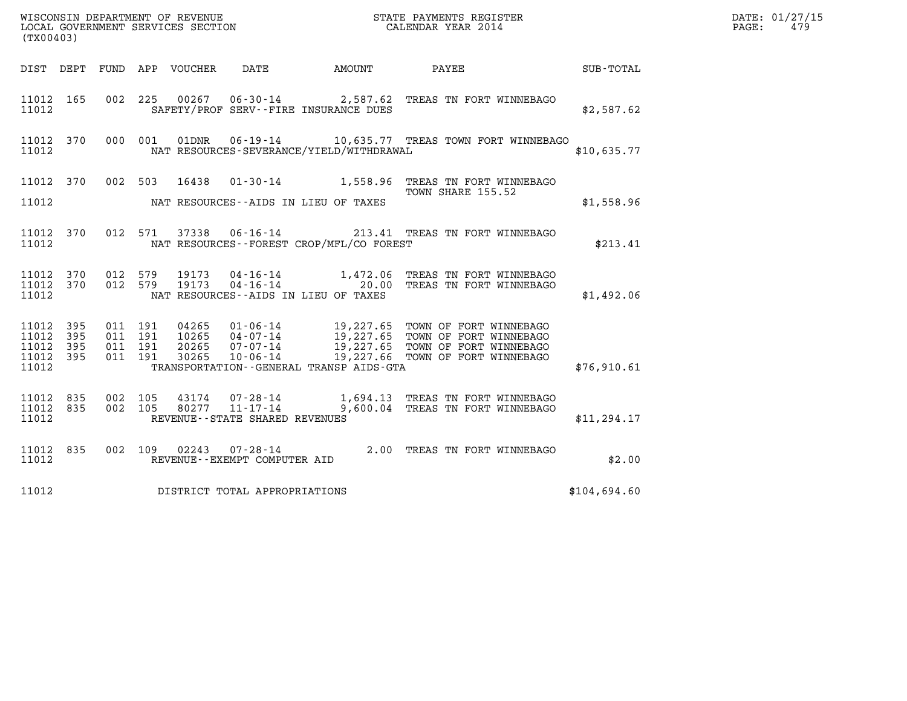| %WISCONSIN DEPARTMENT OF REVENUE $$\tt STATE$ PAYMENTS REGISTER LOCAL GOVERNMENT SERVICES SECTION $$\tt CALEINDAR$ YEAR 2014<br>(TX00403) |            |                               |         |                |                                                  |                                              |                                                                                                                                                                                                                      |              | DATE: 01/27/15<br>PAGE:<br>479 |
|-------------------------------------------------------------------------------------------------------------------------------------------|------------|-------------------------------|---------|----------------|--------------------------------------------------|----------------------------------------------|----------------------------------------------------------------------------------------------------------------------------------------------------------------------------------------------------------------------|--------------|--------------------------------|
|                                                                                                                                           |            |                               |         |                |                                                  | DIST DEPT FUND APP VOUCHER DATE AMOUNT       | PAYEE<br>$\begin{array}{c}\text{SUB - TOTAL}\end{array}$                                                                                                                                                             |              |                                |
| 11012 165<br>11012                                                                                                                        |            |                               |         |                |                                                  | SAFETY/PROF SERV--FIRE INSURANCE DUES        | 002 225 00267 06-30-14 2,587.62 TREAS TN FORT WINNEBAGO                                                                                                                                                              | \$2,587.62   |                                |
| 11012 370<br>11012                                                                                                                        |            |                               | 000 001 |                |                                                  | NAT RESOURCES-SEVERANCE/YIELD/WITHDRAWAL     | 01DNR  06-19-14   10,635.77 TREAS TOWN FORT WINNEBAGO                                                                                                                                                                | \$10,635.77  |                                |
| 11012 370                                                                                                                                 |            |                               |         | 002 503 16438  |                                                  |                                              | 01-30-14 1,558.96 TREAS TN FORT WINNEBAGO<br>TOWN SHARE 155.52                                                                                                                                                       |              |                                |
| 11012                                                                                                                                     |            |                               |         |                |                                                  | NAT RESOURCES--AIDS IN LIEU OF TAXES         |                                                                                                                                                                                                                      | \$1,558.96   |                                |
| 11012 370<br>11012                                                                                                                        |            |                               |         |                |                                                  | NAT RESOURCES--FOREST CROP/MFL/CO FOREST     | 012 571 37338 06-16-14 213.41 TREAS TN FORT WINNEBAGO                                                                                                                                                                | \$213.41     |                                |
| 11012 370<br>11012 370<br>11012                                                                                                           |            | 012 579<br>012 579            |         | 19173<br>19173 |                                                  | NAT RESOURCES -- AIDS IN LIEU OF TAXES       | 04-16-14 1,472.06 TREAS TN FORT WINNEBAGO<br>04-16-14 20.00 TREAS TN FORT WINNEBAGO                                                                                                                                  | \$1,492.06   |                                |
| 11012 395<br>11012<br>11012<br>11012 395<br>11012                                                                                         | 395<br>395 | 011 191<br>011 191<br>011 191 | 011 191 |                |                                                  | TRANSPORTATION - - GENERAL TRANSP AIDS - GTA | 04265  01-06-14  19,227.65  TOWN OF FORT WINNEBAGO<br>10265  04-07-14  19,227.65  TOWN OF FORT WINNEBAGO<br>20265  07-07-14  19,227.65  TOWN OF FORT WINNEBAGO<br>30265  10-06-14  19,227.66  TOWN OF FORT WINNEBAGO | \$76,910.61  |                                |
| 11012 835<br>11012 835<br>11012                                                                                                           |            | 002 105<br>002 105            |         | 43174          | 80277 11-17-14<br>REVENUE--STATE SHARED REVENUES |                                              | 07-28-14 1,694.13 TREAS TN FORT WINNEBAGO<br>11-17-14 9,600.04 TREAS TN FORT WINNEBAGO                                                                                                                               | \$11, 294.17 |                                |
| 11012 835<br>11012                                                                                                                        |            |                               |         |                | REVENUE--EXEMPT COMPUTER AID                     |                                              | 002 109 02243 07-28-14 2.00 TREAS TN FORT WINNEBAGO                                                                                                                                                                  | \$2.00       |                                |
| 11012                                                                                                                                     |            |                               |         |                | DISTRICT TOTAL APPROPRIATIONS                    |                                              |                                                                                                                                                                                                                      | \$104,694.60 |                                |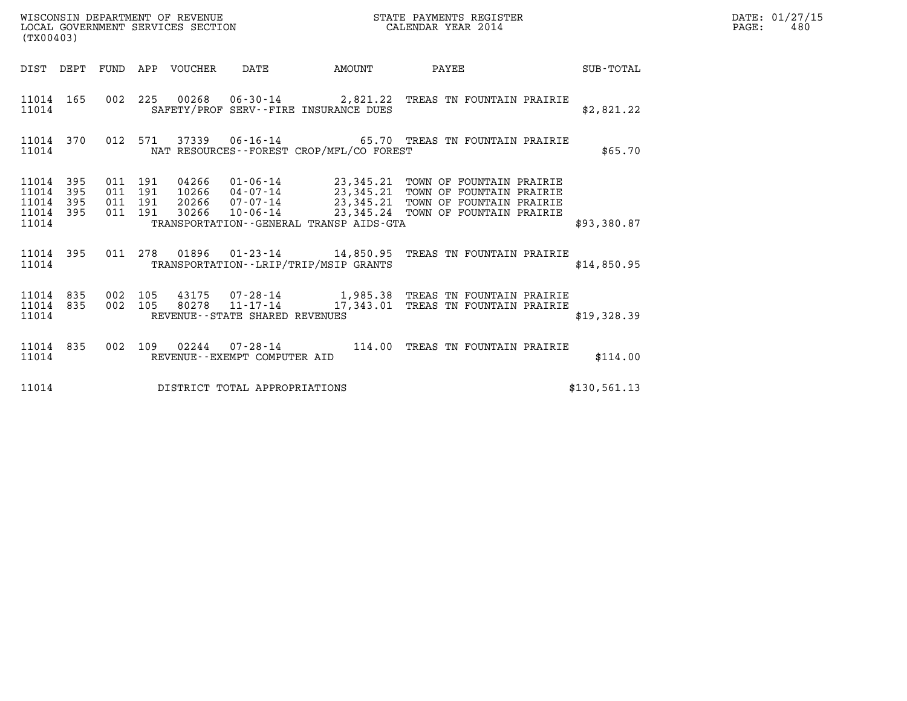| DATE: | 01/27/15 |
|-------|----------|
| PAGE: | 480      |

| (TX00403)                                                       | WISCONSIN DEPARTMENT OF REVENUE<br>LOCAL GOVERNMENT SERVICES SECTION                                | STATE PAYMENTS REGISTER<br>CALENDAR YEAR 2014                                                                                                                                                                                |              | DATE: 01/27/15<br>$\mathtt{PAGE:}$<br>480 |
|-----------------------------------------------------------------|-----------------------------------------------------------------------------------------------------|------------------------------------------------------------------------------------------------------------------------------------------------------------------------------------------------------------------------------|--------------|-------------------------------------------|
|                                                                 | DIST DEPT FUND APP VOUCHER DATE AMOUNT PAYEE TOTAL                                                  |                                                                                                                                                                                                                              |              |                                           |
| 11014 165<br>11014                                              | 002 225 00268 06-30-14 2,821.22 TREAS TN FOUNTAIN PRAIRIE<br>SAFETY/PROF SERV--FIRE INSURANCE DUES  |                                                                                                                                                                                                                              | \$2,821.22   |                                           |
| 11014 370<br>11014                                              | 012 571<br>NAT RESOURCES--FOREST CROP/MFL/CO FOREST                                                 | $37339$ 06-16-14 65.70 TREAS TN FOUNTAIN PRAIRIE                                                                                                                                                                             | \$65.70      |                                           |
| 11014 395<br>395<br>11014<br>395<br>11014<br>11014 395<br>11014 | 011 191<br>011 191<br>011 191<br>011 191<br>TRANSPORTATION - - GENERAL TRANSP AIDS - GTA            | 04266  01-06-14  23,345.21  TOWN OF FOUNTAIN PRAIRIE<br>10266  04-07-14  23,345.21  TOWN OF FOUNTAIN PRAIRIE<br>20266  07-07-14  23,345.21  TOWN OF FOUNTAIN PRAIRIE<br>30266  10-06-14  23,345.24  TOWN OF FOUNTAIN PRAIRIE | \$93,380.87  |                                           |
| 11014 395<br>11014                                              | 011 278 01896 01-23-14 14,850.95 TREAS TN FOUNTAIN PRAIRIE<br>TRANSPORTATION--LRIP/TRIP/MSIP GRANTS |                                                                                                                                                                                                                              | \$14,850.95  |                                           |
| 11014 835<br>11014 835<br>11014                                 | 002 105<br>002 105<br>REVENUE--STATE SHARED REVENUES                                                | 43175 07-28-14 1,985.38 TREAS TN FOUNTAIN PRAIRIE<br>80278    11-17-14    17,343.01 TREAS TN FOUNTAIN PRAIRIE                                                                                                                | \$19,328.39  |                                           |
| 11014                                                           | 11014 835 002 109 02244 07-28-14 114.00 TREAS TN FOUNTAIN PRAIRIE<br>REVENUE--EXEMPT COMPUTER AID   |                                                                                                                                                                                                                              | \$114.00     |                                           |
| 11014                                                           | DISTRICT TOTAL APPROPRIATIONS                                                                       |                                                                                                                                                                                                                              | \$130,561.13 |                                           |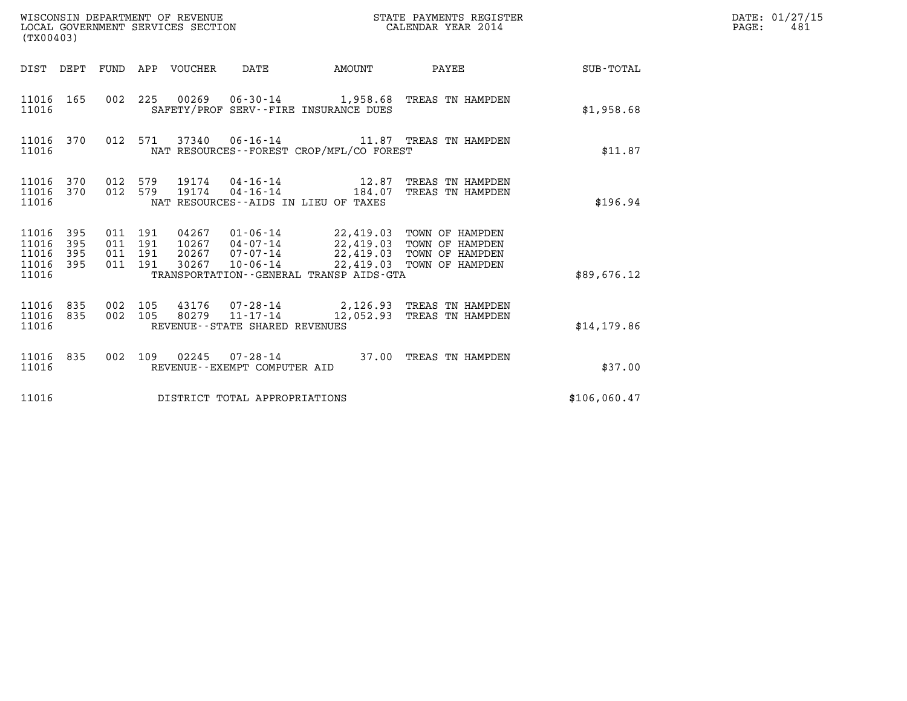| WISCONSIN DEPARTMENT OF REVENUE<br>LOCAL GOVERNMENT SERVICES SECTION<br>(TX00403) |                   |                                          |         |                                 |                                |                                                                     | STATE PAYMENTS REGISTER<br>STATE FAIRERS DE CALENDAR YEAR 2014                                                                                       |              | DATE: 01/27/15<br>$\mathtt{PAGE}$ :<br>481 |
|-----------------------------------------------------------------------------------|-------------------|------------------------------------------|---------|---------------------------------|--------------------------------|---------------------------------------------------------------------|------------------------------------------------------------------------------------------------------------------------------------------------------|--------------|--------------------------------------------|
|                                                                                   |                   |                                          |         | DIST DEPT FUND APP VOUCHER DATE |                                |                                                                     |                                                                                                                                                      |              |                                            |
| 11016 165<br>11016                                                                |                   |                                          |         |                                 |                                | SAFETY/PROF SERV--FIRE INSURANCE DUES                               | 002 225 00269 06-30-14 1,958.68 TREAS TN HAMPDEN                                                                                                     | \$1,958.68   |                                            |
| 11016                                                                             |                   |                                          |         |                                 |                                | NAT RESOURCES -- FOREST CROP/MFL/CO FOREST                          | 11016 370 012 571 37340 06-16-14 11.87 TREAS TN HAMPDEN                                                                                              | \$11.87      |                                            |
| 11016 370<br>11016 370<br>11016                                                   |                   | 012 579                                  | 012 579 |                                 |                                | 19174  04 - 16 - 14   12.87<br>NAT RESOURCES--AIDS IN LIEU OF TAXES | TREAS TN HAMPDEN<br>19174  04-16-14  184.07 TREAS TN HAMPDEN                                                                                         | \$196.94     |                                            |
| 11016 395<br>11016<br>11016<br>11016<br>11016                                     | 395<br>395<br>395 | 011 191<br>011 191<br>011 191<br>011 191 |         | 30267                           | 20267 07-07-14<br>10-06-14     | TRANSPORTATION--GENERAL TRANSP AIDS-GTA                             | 04267  01-06-14  22,419.03  TOWN OF HAMPDEN<br>10267  04-07-14  22,419.03  TOWN OF HAMPDEN<br>22,419.03 TOWN OF HAMPDEN<br>22,419.03 TOWN OF HAMPDEN | \$89,676.12  |                                            |
| 11016<br>11016 835<br>11016                                                       | 835               | 002 105<br>002 105                       |         |                                 | REVENUE--STATE SHARED REVENUES |                                                                     | 43176  07-28-14  2,126.93  TREAS TN HAMPDEN<br>80279  11-17-14  12,052.93  TREAS TN HAMPDEN                                                          | \$14,179.86  |                                            |
| 11016 835<br>11016                                                                |                   |                                          |         |                                 | REVENUE--EXEMPT COMPUTER AID   |                                                                     | 002 109 02245 07-28-14 37.00 TREAS TN HAMPDEN                                                                                                        | \$37.00      |                                            |
| 11016                                                                             |                   |                                          |         |                                 | DISTRICT TOTAL APPROPRIATIONS  |                                                                     |                                                                                                                                                      | \$106,060.47 |                                            |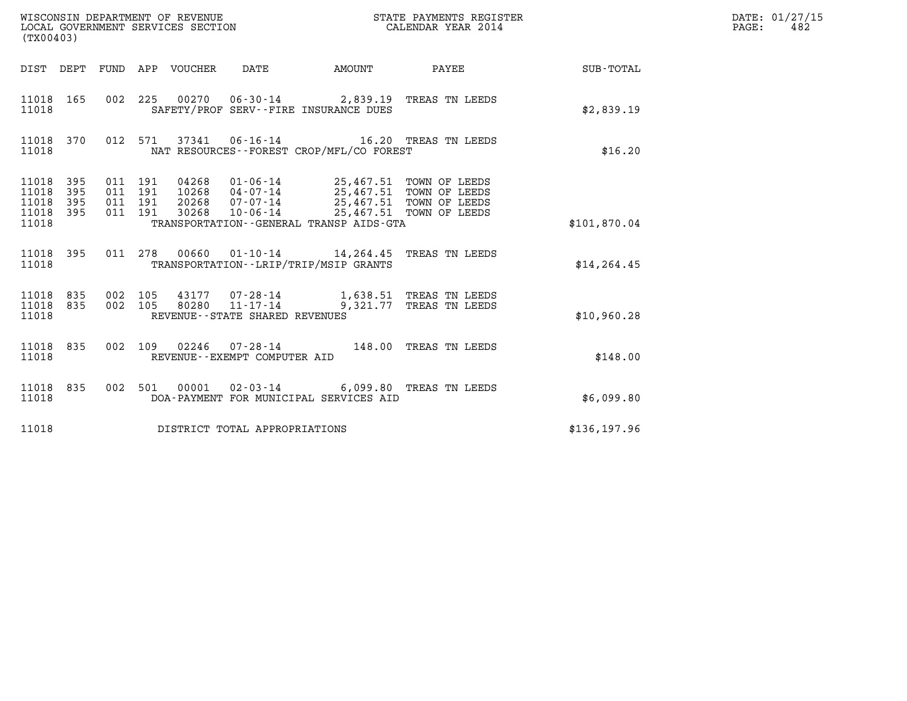| (TX00403)                                     |                   |                                          |  |                                 |                                |                                                                                                                                                                                                                 | STATE PAYMENTS REGISTER |              | DATE: 01/27/15<br>$\mathtt{PAGE}$ :<br>482 |
|-----------------------------------------------|-------------------|------------------------------------------|--|---------------------------------|--------------------------------|-----------------------------------------------------------------------------------------------------------------------------------------------------------------------------------------------------------------|-------------------------|--------------|--------------------------------------------|
|                                               |                   |                                          |  | DIST DEPT FUND APP VOUCHER DATE |                                | AMOUNT PAYEE                                                                                                                                                                                                    |                         | SUB-TOTAL    |                                            |
| 11018 165<br>11018                            |                   |                                          |  |                                 |                                | 002 225 00270 06-30-14 2,839.19 TREAS TN LEEDS<br>SAFETY/PROF SERV--FIRE INSURANCE DUES                                                                                                                         |                         | \$2,839.19   |                                            |
| 11018 370<br>11018                            |                   |                                          |  |                                 |                                | 012 571 37341 06-16-14 16.20 TREAS TN LEEDS<br>NAT RESOURCES--FOREST CROP/MFL/CO FOREST                                                                                                                         |                         | \$16.20      |                                            |
| 11018 395<br>11018<br>11018<br>11018<br>11018 | 395<br>395<br>395 | 011 191<br>011 191<br>011 191<br>011 191 |  | 30268                           |                                | 04268  01-06-14  25,467.51 TOWN OF LEEDS<br>10268  04-07-14  25,467.51 TOWN OF LEEDS<br>20268  07-07-14  25,467.51 TOWN OF LEEDS<br>10-06-14 25,467.51 TOWN OF LEEDS<br>TRANSPORTATION--GENERAL TRANSP AIDS-GTA |                         | \$101,870.04 |                                            |
| 11018 395<br>11018                            |                   |                                          |  |                                 |                                | 011  278  00660  01-10-14  14,264.45  TREAS TN LEEDS<br>TRANSPORTATION--LRIP/TRIP/MSIP GRANTS                                                                                                                   |                         | \$14, 264.45 |                                            |
| 11018 835<br>11018 835<br>11018               |                   | 002 105<br>002 105                       |  |                                 | REVENUE--STATE SHARED REVENUES | 43177  07-28-14   1,638.51 TREAS TN LEEDS<br>80280  11-17-14   9,321.77 TREAS TN LEEDS                                                                                                                          |                         | \$10,960.28  |                                            |
| 11018 835<br>11018                            |                   |                                          |  |                                 | REVENUE--EXEMPT COMPUTER AID   | 002 109 02246 07-28-14 148.00 TREAS TN LEEDS                                                                                                                                                                    |                         | \$148.00     |                                            |
| 11018 835<br>11018                            |                   |                                          |  |                                 |                                | 002 501 00001 02-03-14 6,099.80 TREAS TN LEEDS<br>DOA-PAYMENT FOR MUNICIPAL SERVICES AID                                                                                                                        |                         | \$6,099.80   |                                            |
| 11018                                         |                   |                                          |  |                                 | DISTRICT TOTAL APPROPRIATIONS  |                                                                                                                                                                                                                 |                         | \$136,197.96 |                                            |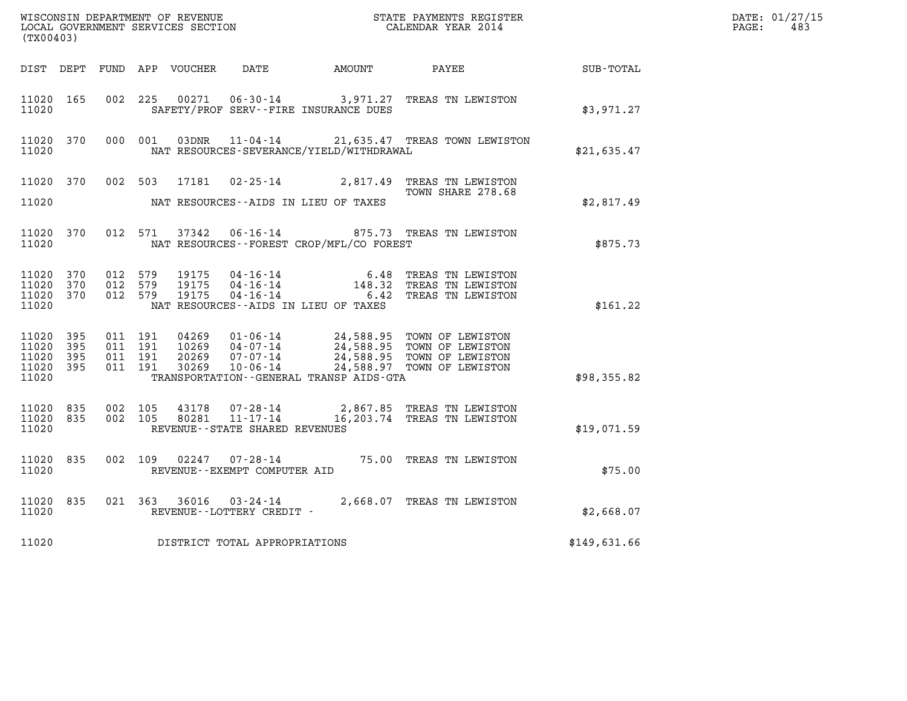| (TX00403)                                 |                            |                    |                    |                        |                                |                                                        |                                                                                                                                                                                              |              | DATE: 01/27/15<br>$\mathtt{PAGE:}$<br>483 |
|-------------------------------------------|----------------------------|--------------------|--------------------|------------------------|--------------------------------|--------------------------------------------------------|----------------------------------------------------------------------------------------------------------------------------------------------------------------------------------------------|--------------|-------------------------------------------|
|                                           |                            |                    |                    |                        |                                | DIST DEPT FUND APP VOUCHER DATE      AMOUNT      PAYEE |                                                                                                                                                                                              | SUB-TOTAL    |                                           |
| 11020 165<br>11020                        |                            |                    |                    |                        |                                | SAFETY/PROF SERV--FIRE INSURANCE DUES                  | 002 225 00271 06-30-14 3,971.27 TREAS TN LEWISTON                                                                                                                                            | \$3,971.27   |                                           |
| 11020 370<br>11020                        |                            |                    |                    |                        |                                | NAT RESOURCES-SEVERANCE/YIELD/WITHDRAWAL               | 000 001 03DNR 11-04-14 21,635.47 TREAS TOWN LEWISTON                                                                                                                                         | \$21,635.47  |                                           |
|                                           | 11020 370                  |                    |                    |                        |                                |                                                        | 002 503 17181 02-25-14 2,817.49 TREAS TN LEWISTON<br>TOWN SHARE 278.68                                                                                                                       |              |                                           |
| 11020                                     |                            |                    |                    |                        |                                | NAT RESOURCES--AIDS IN LIEU OF TAXES                   |                                                                                                                                                                                              | \$2,817.49   |                                           |
| 11020                                     | 11020 370                  |                    |                    |                        |                                | NAT RESOURCES--FOREST CROP/MFL/CO FOREST               | 012 571 37342 06-16-14 875.73 TREAS TN LEWISTON                                                                                                                                              | \$875.73     |                                           |
| 11020 370<br>11020<br>11020<br>11020      | 370<br>370                 | 012 579            | 012 579<br>012 579 |                        |                                | NAT RESOURCES--AIDS IN LIEU OF TAXES                   | 19175   04-16-14   6.48 TREAS TN LEWISTON<br>19175   04-16-14   148.32 TREAS TN LEWISTON<br>19175   04-16-14   6.42 TREAS TN LEWISTON                                                        | \$161.22     |                                           |
| 11020<br>11020<br>11020<br>11020<br>11020 | - 395<br>395<br>395<br>395 | 011 191<br>011 191 | 011 191<br>011 191 |                        |                                | TRANSPORTATION--GENERAL TRANSP AIDS-GTA                | 04269  01-06-14  24,588.95  TOWN OF LEWISTON<br>10269  04-07-14  24,588.95  TOWN OF LEWISTON<br>20269  07-07-14  24,588.95  TOWN OF LEWISTON<br>30269  10-06-14  24,588.97  TOWN OF LEWISTON | \$98,355.82  |                                           |
| 11020 835<br>11020 835<br>11020           |                            |                    | 002 105            | 43178<br>002 105 80281 | REVENUE--STATE SHARED REVENUES |                                                        | 07-28-14 2,867.85 TREAS TN LEWISTON                                                                                                                                                          | \$19,071.59  |                                           |
| 11020 835<br>11020                        |                            |                    |                    |                        | REVENUE--EXEMPT COMPUTER AID   |                                                        | 002 109 02247 07-28-14 75.00 TREAS TN LEWISTON                                                                                                                                               | \$75.00      |                                           |
| 11020                                     | 11020 835                  |                    |                    |                        | REVENUE--LOTTERY CREDIT -      |                                                        | 021 363 36016 03-24-14 2,668.07 TREAS TN LEWISTON                                                                                                                                            | \$2,668.07   |                                           |
| 11020                                     |                            |                    |                    |                        | DISTRICT TOTAL APPROPRIATIONS  |                                                        |                                                                                                                                                                                              | \$149,631.66 |                                           |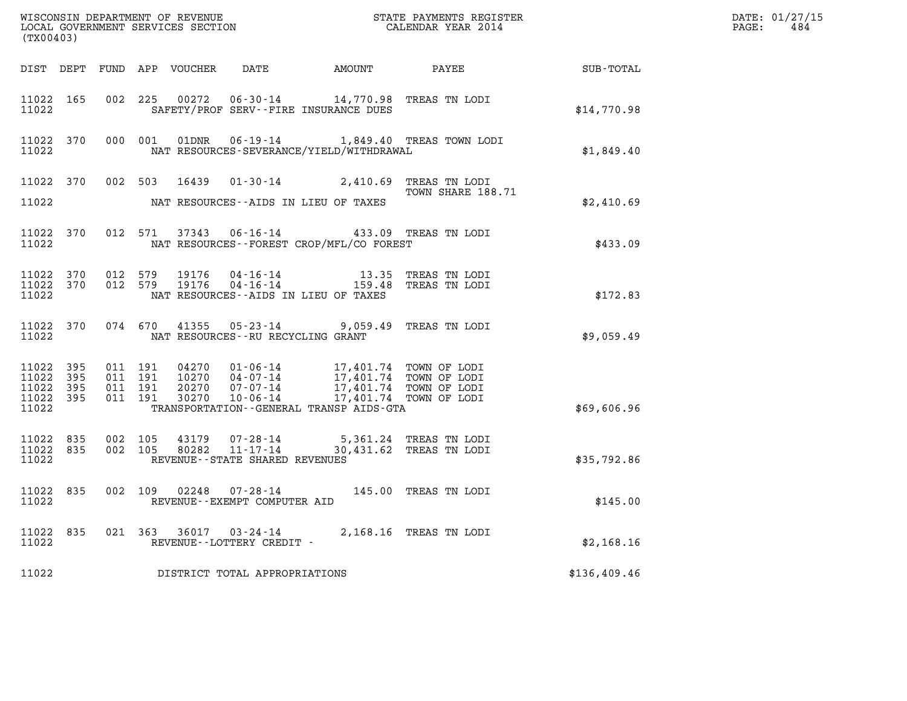| %WISCONSIN DEPARTMENT OF REVENUE $$\tt STATE$ PAYMENTS REGISTER LOCAL GOVERNMENT SERVICES SECTION $$\tt CALENDAR$ YEAR 2014<br>(TX00403) |                        |                                          |         |                                 |                                                     |                                                                                                                                                                                                                         |                                            |              | DATE: 01/27/15<br>$\mathtt{PAGE}$ :<br>484 |
|------------------------------------------------------------------------------------------------------------------------------------------|------------------------|------------------------------------------|---------|---------------------------------|-----------------------------------------------------|-------------------------------------------------------------------------------------------------------------------------------------------------------------------------------------------------------------------------|--------------------------------------------|--------------|--------------------------------------------|
|                                                                                                                                          |                        |                                          |         | DIST DEPT FUND APP VOUCHER DATE |                                                     |                                                                                                                                                                                                                         | AMOUNT PAYEE SUB-TOTAL                     |              |                                            |
| 11022                                                                                                                                    | 11022 165              |                                          |         |                                 |                                                     | 002 225 00272 06-30-14 14,770.98 TREAS TN LODI<br>SAFETY/PROF SERV--FIRE INSURANCE DUES                                                                                                                                 |                                            | \$14,770.98  |                                            |
| 11022                                                                                                                                    | 11022 370              |                                          | 000 001 |                                 |                                                     | NAT RESOURCES-SEVERANCE/YIELD/WITHDRAWAL                                                                                                                                                                                | 01DNR  06-19-14   1,849.40 TREAS TOWN LODI | \$1,849.40   |                                            |
|                                                                                                                                          |                        |                                          |         |                                 |                                                     | 11022 370 002 503 16439 01-30-14 2,410.69 TREAS TN LODI                                                                                                                                                                 | TOWN SHARE 188.71                          |              |                                            |
| 11022                                                                                                                                    |                        |                                          |         |                                 |                                                     | NAT RESOURCES--AIDS IN LIEU OF TAXES                                                                                                                                                                                    |                                            | \$2,410.69   |                                            |
| 11022                                                                                                                                    | 11022 370              |                                          |         |                                 |                                                     | 012 571 37343 06-16-14 433.09 TREAS TN LODI<br>NAT RESOURCES - - FOREST CROP/MFL/CO FOREST                                                                                                                              |                                            | \$433.09     |                                            |
| 11022                                                                                                                                    | 11022 370<br>11022 370 |                                          |         |                                 |                                                     | 012 579 19176 04-16-14 13.35 TREAS TN LODI<br>012 579 19176 04-16-14 159.48 TREAS TN LODI<br>NAT RESOURCES--AIDS IN LIEU OF TAXES                                                                                       |                                            | \$172.83     |                                            |
| 11022                                                                                                                                    |                        |                                          |         |                                 | NAT RESOURCES--RU RECYCLING GRANT                   | 11022 370 074 670 41355 05-23-14 9,059.49 TREAS TN LODI                                                                                                                                                                 |                                            | \$9,059.49   |                                            |
| 11022 395<br>11022<br>11022<br>11022 395<br>11022                                                                                        | 395<br>395             | 011 191<br>011 191<br>011 191<br>011 191 |         |                                 |                                                     | 04270  01-06-14  17,401.74  TOWN OF LODI<br>10270  04-07-14  17,401.74  TOWN OF LODI<br>20270  07-07-14  17,401.74  TOWN OF LODI<br>30270  10-06-14  17,401.74  TOWN OF LODI<br>TRANSPORTATION--GENERAL TRANSP AIDS-GTA |                                            | \$69,606.96  |                                            |
| 11022 835<br>11022                                                                                                                       | 11022 835              | 002 105<br>002 105                       |         | 43179<br>80282                  | REVENUE--STATE SHARED REVENUES                      | 07-28-14 5,361.24 TREAS TN LODI<br>11-17-14 30,431.62 TREAS TN LODI                                                                                                                                                     |                                            | \$35,792.86  |                                            |
| 11022                                                                                                                                    | 11022 835              |                                          |         |                                 | REVENUE - - EXEMPT COMPUTER AID                     | 002 109 02248 07-28-14 145.00 TREAS TN LODI                                                                                                                                                                             |                                            | \$145.00     |                                            |
| 11022 835<br>11022                                                                                                                       |                        |                                          |         |                                 | 021 363 36017 03-24-14<br>REVENUE--LOTTERY CREDIT - |                                                                                                                                                                                                                         | 2,168.16 TREAS TN LODI                     | \$2,168.16   |                                            |
| 11022                                                                                                                                    |                        |                                          |         |                                 | DISTRICT TOTAL APPROPRIATIONS                       |                                                                                                                                                                                                                         |                                            | \$136,409.46 |                                            |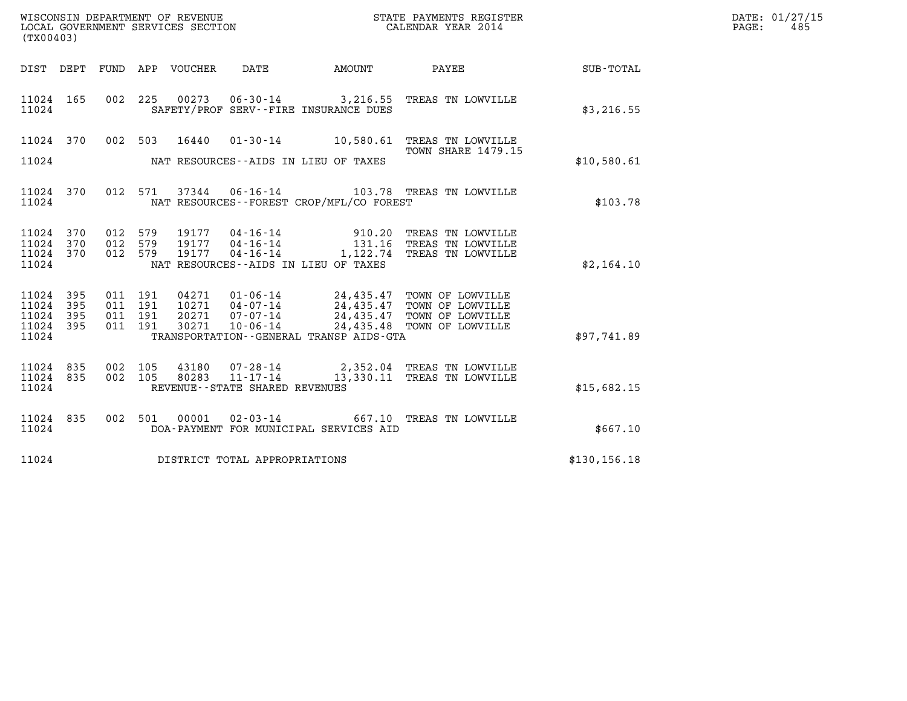| WISCONSIN DEPARTMENT OF REVENUE<br>LOCAL GOVERNMENT SERVICES SECTION<br>(TX00403) |            |                                          |         |                            |                                   |                                             | STATE PAYMENTS REGISTER<br>CALENDAR YEAR 2014                                                                                                                                             |               | DATE: 01/27/15<br>$\mathtt{PAGE}$ :<br>485 |
|-----------------------------------------------------------------------------------|------------|------------------------------------------|---------|----------------------------|-----------------------------------|---------------------------------------------|-------------------------------------------------------------------------------------------------------------------------------------------------------------------------------------------|---------------|--------------------------------------------|
|                                                                                   |            |                                          |         | DIST DEPT FUND APP VOUCHER | DATE                              |                                             | AMOUNT PAYEE SUB-TOTAL                                                                                                                                                                    |               |                                            |
| 11024 165<br>11024                                                                |            | 002 225                                  |         |                            |                                   | SAFETY/PROF SERV--FIRE INSURANCE DUES       | 00273  06-30-14  3,216.55  TREAS TN LOWVILLE                                                                                                                                              | \$3,216.55    |                                            |
| 11024 370                                                                         |            |                                          |         |                            |                                   |                                             | 002 503 16440 01-30-14 10,580.61 TREAS TN LOWVILLE                                                                                                                                        |               |                                            |
| 11024                                                                             |            |                                          |         |                            |                                   | NAT RESOURCES--AIDS IN LIEU OF TAXES        | TOWN SHARE 1479.15                                                                                                                                                                        | \$10,580.61   |                                            |
| 11024 370<br>11024                                                                |            |                                          |         |                            |                                   | NAT RESOURCES - - FOREST CROP/MFL/CO FOREST | 012 571 37344 06-16-14 103.78 TREAS TN LOWVILLE                                                                                                                                           | \$103.78      |                                            |
| 11024 370<br>11024<br>11024<br>11024                                              | 370<br>370 | 012 579<br>012 579<br>012 579            |         | 19177                      |                                   | NAT RESOURCES--AIDS IN LIEU OF TAXES        | 910.20 TREAS TN LOWVILLE<br>131.16 TREAS TN LOWVILLE<br>04-16-14    1,122.74    TREAS TN LOWVILLE                                                                                         | \$2,164.10    |                                            |
| 11024 395<br>11024<br>11024<br>11024 395<br>11024                                 | 395<br>395 | 011 191<br>011 191<br>011 191<br>011 191 |         |                            |                                   | TRANSPORTATION--GENERAL TRANSP AIDS-GTA     | 04271  01-06-14  24,435.47 TOWN OF LOWVILLE<br>10271  04-07-14  24,435.47 TOWN OF LOWVILLE<br>20271  07-07-14  24,435.47 TOWN OF LOWVILLE<br>30271  10-06-14  24,435.48  TOWN OF LOWVILLE | \$97,741.89   |                                            |
| 11024 835<br>11024 835<br>11024                                                   |            | 002 105<br>002 105                       |         |                            | REVENUE - - STATE SHARED REVENUES |                                             | 43180  07-28-14  2,352.04  TREAS TN LOWVILLE  80283  11-17-14   13,330.11  TREAS TN LOWVILLE                                                                                              | \$15,682.15   |                                            |
| 11024 835<br>11024                                                                |            |                                          | 002 501 |                            |                                   | DOA-PAYMENT FOR MUNICIPAL SERVICES AID      | 00001 02-03-14 667.10 TREAS TN LOWVILLE                                                                                                                                                   | \$667.10      |                                            |
| 11024                                                                             |            |                                          |         |                            | DISTRICT TOTAL APPROPRIATIONS     |                                             |                                                                                                                                                                                           | \$130, 156.18 |                                            |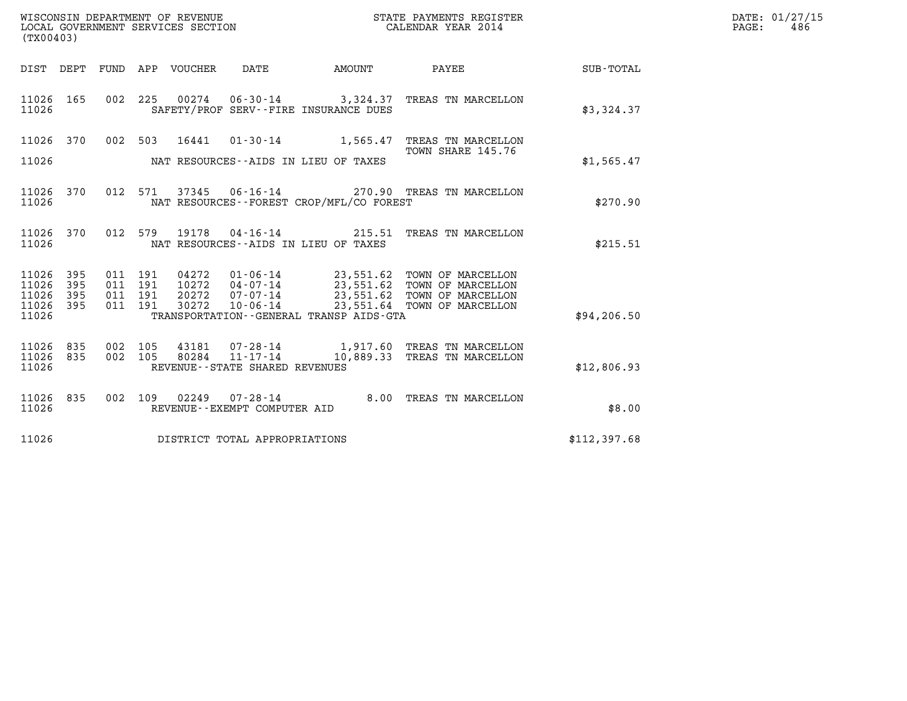| WISCONSIN DEPARTMENT OF REVENUE   | STATE PAYMENTS REGISTER | DATE: 01/27/15 |
|-----------------------------------|-------------------------|----------------|
| LOCAL GOVERNMENT SERVICES SECTION | CALENDAR YEAR 2014      | 486<br>PAGE:   |

| (TX00403)                                 |                          |                          |                          |                                  |                                                     |                                                                     |                                                                                                                |              |
|-------------------------------------------|--------------------------|--------------------------|--------------------------|----------------------------------|-----------------------------------------------------|---------------------------------------------------------------------|----------------------------------------------------------------------------------------------------------------|--------------|
| DIST                                      | DEPT                     | FUND                     |                          | APP VOUCHER DATE                 |                                                     | AMOUNT                                                              | PAYEE                                                                                                          | SUB-TOTAL    |
| 11026<br>11026                            | 165                      |                          | 002 225                  | 00274                            |                                                     | SAFETY/PROF SERV--FIRE INSURANCE DUES                               | 06-30-14 3,324.37 TREAS TN MARCELLON                                                                           | \$3,324.37   |
| 11026<br>11026                            | 370                      | 002                      | 503                      | 16441                            |                                                     | $01 - 30 - 14$ 1,565.47<br>NAT RESOURCES--AIDS IN LIEU OF TAXES     | TREAS TN MARCELLON<br>TOWN SHARE 145.76                                                                        | \$1,565.47   |
| 11026<br>11026                            | 370                      | 012                      | 571                      |                                  |                                                     | NAT RESOURCES - - FOREST CROP/MFL/CO FOREST                         | 37345   06-16-14   270.90   TREAS TN MARCELLON                                                                 | \$270.90     |
| 11026<br>11026                            | 370                      | 012                      | 579                      | 19178                            |                                                     | $04 - 16 - 14$ 215.51<br>NAT RESOURCES -- AIDS IN LIEU OF TAXES     | TREAS TN MARCELLON                                                                                             | \$215.51     |
| 11026<br>11026<br>11026<br>11026<br>11026 | 395<br>395<br>395<br>395 | 011<br>011<br>011<br>011 | 191<br>191<br>191<br>191 | 04272<br>10272<br>20272<br>30272 | 04-07-14<br>07-07-14<br>10-06-14                    | $01 - 06 - 14$ 23,551.62<br>TRANSPORTATION--GENERAL TRANSP AIDS-GTA | TOWN OF MARCELLON<br>23,551.62 TOWN OF MARCELLON<br>23,551.62 TOWN OF MARCELLON<br>23,551.64 TOWN OF MARCELLON | \$94, 206.50 |
| 11026<br>11026<br>11026                   | 835<br>835               | 002<br>002               | 105<br>105               | 43181<br>80284                   | $11 - 17 - 14$<br>REVENUE - - STATE SHARED REVENUES | 10,889.33                                                           | 07-28-14 1,917.60 TREAS TN MARCELLON<br>TREAS TN MARCELLON                                                     | \$12,806.93  |
| 11026<br>11026                            | 835                      | 002                      | 109                      | 02249                            | 07-28-14<br>REVENUE - - EXEMPT COMPUTER AID         | 8.00                                                                | TREAS TN MARCELLON                                                                                             | \$8.00       |
| 11026                                     |                          |                          |                          |                                  | DISTRICT TOTAL APPROPRIATIONS                       |                                                                     |                                                                                                                | \$112,397.68 |
|                                           |                          |                          |                          |                                  |                                                     |                                                                     |                                                                                                                |              |

LOCAL GOVERNMENT SERVICES SECTION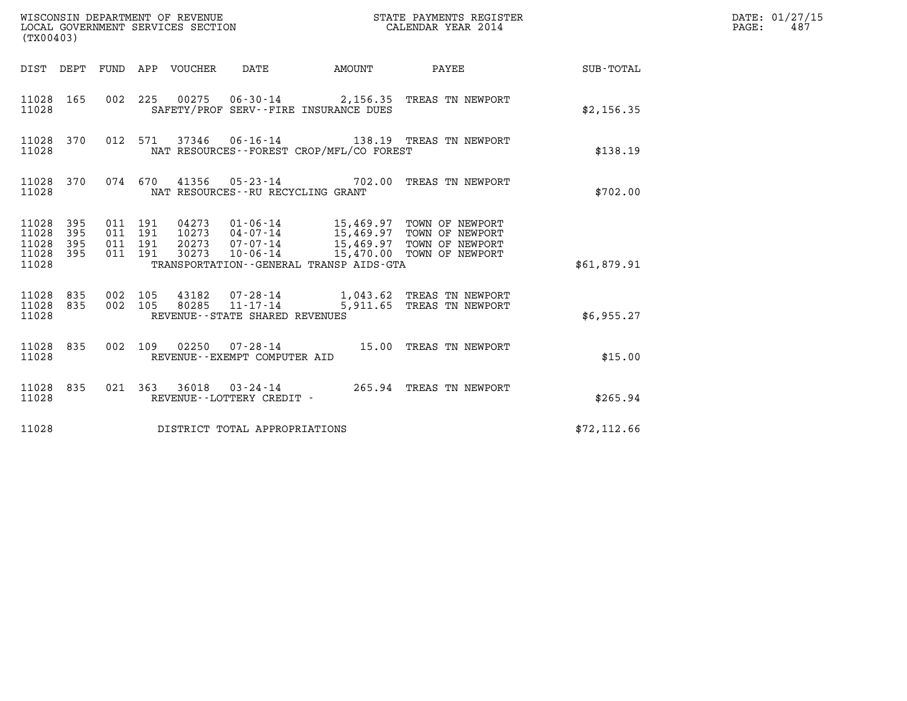| (TX00403)                                                       |                                          |                                 | WISCONSIN DEPARTMENT OF REVENUE<br>LOCAL GOVERNMENT SERVICES SECTION | STATE PAYMENTS REGISTER<br>CALENDAR YEAR 2014                                                                                                                          |              | DATE: 01/27/15<br>PAGE:<br>487 |
|-----------------------------------------------------------------|------------------------------------------|---------------------------------|----------------------------------------------------------------------|------------------------------------------------------------------------------------------------------------------------------------------------------------------------|--------------|--------------------------------|
|                                                                 |                                          | DIST DEPT FUND APP VOUCHER DATE | <b>EXAMPLE THE AMOUNT</b>                                            | PAYEE                                                                                                                                                                  | SUB-TOTAL    |                                |
| 11028 165<br>11028                                              |                                          |                                 | SAFETY/PROF SERV--FIRE INSURANCE DUES                                | 002 225 00275 06-30-14 2,156.35 TREAS TN NEWPORT                                                                                                                       | \$2,156.35   |                                |
| 11028 370<br>11028                                              |                                          |                                 | NAT RESOURCES - - FOREST CROP/MFL/CO FOREST                          | 012 571 37346 06-16-14 138.19 TREAS TN NEWPORT                                                                                                                         | \$138.19     |                                |
| 11028 370<br>11028                                              | 074 670                                  |                                 | NAT RESOURCES--RU RECYCLING GRANT                                    | 41356  05-23-14  702.00  TREAS TN NEWPORT                                                                                                                              | \$702.00     |                                |
| 11028 395<br>11028<br>395<br>11028<br>395<br>11028 395<br>11028 | 011 191<br>011 191<br>011 191<br>011 191 | 20273<br>30273                  | TRANSPORTATION - - GENERAL TRANSP AIDS - GTA                         | 04273  01-06-14  15,469.97  TOWN OF NEWPORT<br>10273  04-07-14  15,469.97  TOWN OF NEWPORT<br>07-07-14 15,469.97 TOWN OF NEWPORT<br>10-06-14 15,470.00 TOWN OF NEWPORT | \$61,879.91  |                                |
| 11028 835<br>11028 835<br>11028                                 | 002 105<br>002 105                       |                                 | REVENUE--STATE SHARED REVENUES                                       |                                                                                                                                                                        | \$6,955.27   |                                |
| 11028 835<br>11028                                              | 002 109                                  | 02250                           | REVENUE--EXEMPT COMPUTER AID                                         | 07-28-14 15.00 TREAS TN NEWPORT                                                                                                                                        | \$15.00      |                                |
| 11028 835<br>11028                                              |                                          |                                 | REVENUE--LOTTERY CREDIT -                                            | 021 363 36018 03-24-14 265.94 TREAS TN NEWPORT                                                                                                                         | \$265.94     |                                |
| 11028                                                           |                                          |                                 | DISTRICT TOTAL APPROPRIATIONS                                        |                                                                                                                                                                        | \$72, 112.66 |                                |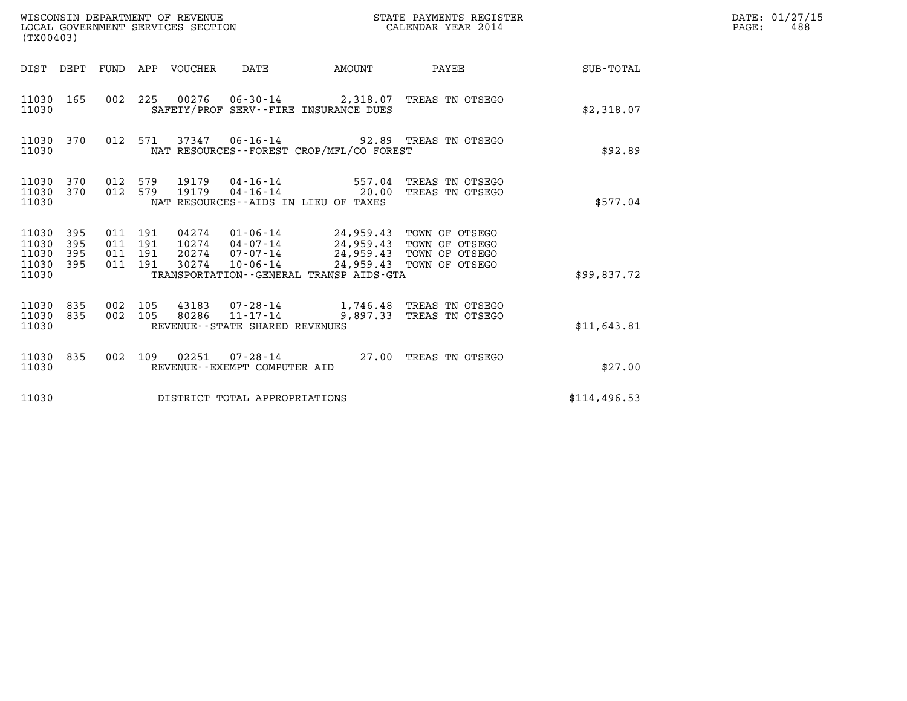| WISCONSIN DEPARTMENT OF REVENUE<br>LOCAL GOVERNMENT SERVICES SECTION<br>(TX00403) |                   |                                      |     |                                 |                                |                                                                                                                                                                                                  | STATE PAYMENTS REGISTER<br>CALENDAR YEAR 2014     |                 | DATE: 01/27/15<br>$\mathtt{PAGE}$ :<br>488 |
|-----------------------------------------------------------------------------------|-------------------|--------------------------------------|-----|---------------------------------|--------------------------------|--------------------------------------------------------------------------------------------------------------------------------------------------------------------------------------------------|---------------------------------------------------|-----------------|--------------------------------------------|
|                                                                                   |                   |                                      |     | DIST DEPT FUND APP VOUCHER DATE |                                | AMOUNT                                                                                                                                                                                           |                                                   | PAYEE SUB-TOTAL |                                            |
| 11030 165<br>11030                                                                |                   |                                      |     |                                 |                                | 002 225 00276 06-30-14 2,318.07 TREAS TN OTSEGO<br>SAFETY/PROF SERV--FIRE INSURANCE DUES                                                                                                         |                                                   | \$2,318.07      |                                            |
| 11030 370<br>11030                                                                |                   |                                      |     |                                 |                                | 012 571 37347 06-16-14 92.89 TREAS TN OTSEGO<br>NAT RESOURCES - - FOREST CROP/MFL/CO FOREST                                                                                                      |                                                   | \$92.89         |                                            |
| 11030 370<br>11030 370<br>11030                                                   |                   | 012 579<br>012 579                   |     | 19179<br>19179                  |                                | $04 - 16 - 14$ 557.04<br>NAT RESOURCES--AIDS IN LIEU OF TAXES                                                                                                                                    | TREAS TN OTSEGO<br>04-16-14 20.00 TREAS TN OTSEGO | \$577.04        |                                            |
| 11030 395<br>11030<br>11030<br>11030<br>11030                                     | 395<br>395<br>395 | 011 191<br>011 191<br>011<br>011 191 | 191 | 20274<br>30274                  | 07-07-14<br>10-06-14           | 04274  01-06-14  24,959.43  TOWN OF OTSEGO<br>10274  04-07-14  24,959.43  TOWN OF OTSEGO<br>24,959.43 TOWN OF OTSEGO<br>24,959.43 TOWN OF OTSEGO<br>TRANSPORTATION - - GENERAL TRANSP AIDS - GTA |                                                   | \$99,837.72     |                                            |
| 11030 835<br>11030 835<br>11030                                                   |                   | 002<br>002 105                       | 105 |                                 | REVENUE--STATE SHARED REVENUES | 43183  07-28-14   1,746.48   TREAS TN OTSEGO<br>80286  11-17-14  9,897.33  TREAS TN OTSEGO                                                                                                       |                                                   | \$11,643.81     |                                            |
| 11030 835<br>11030                                                                |                   | 002 109                              |     |                                 | REVENUE--EXEMPT COMPUTER AID   | 02251  07-28-14  27.00 TREAS TN OTSEGO                                                                                                                                                           |                                                   | \$27.00         |                                            |
| 11030                                                                             |                   |                                      |     |                                 | DISTRICT TOTAL APPROPRIATIONS  |                                                                                                                                                                                                  |                                                   | \$114,496.53    |                                            |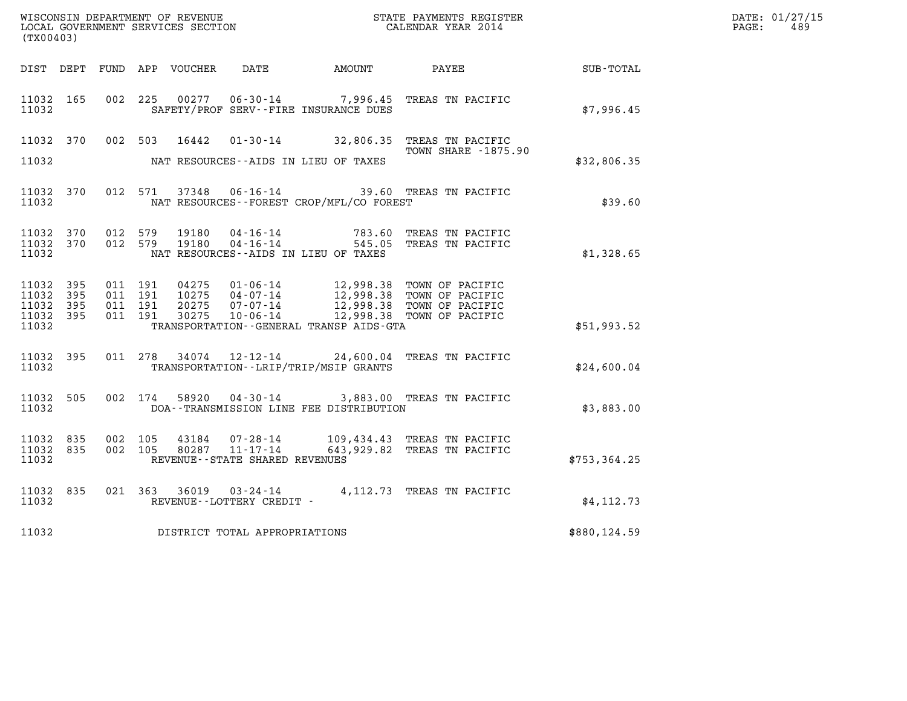| (TX00403)                                                 |  |                                          |         |                        |                                |                                              |                                                                                                                                                                                            |                  | DATE: 01/27/15<br>$\mathtt{PAGE:}$<br>489 |
|-----------------------------------------------------------|--|------------------------------------------|---------|------------------------|--------------------------------|----------------------------------------------|--------------------------------------------------------------------------------------------------------------------------------------------------------------------------------------------|------------------|-------------------------------------------|
|                                                           |  |                                          |         |                        |                                | DIST DEPT FUND APP VOUCHER DATE AMOUNT PAYEE |                                                                                                                                                                                            | <b>SUB-TOTAL</b> |                                           |
| 11032 165<br>11032                                        |  | 002 225                                  |         |                        |                                | SAFETY/PROF SERV--FIRE INSURANCE DUES        | 00277  06-30-14  7,996.45  TREAS TN PACIFIC                                                                                                                                                | \$7,996.45       |                                           |
| 11032 370                                                 |  |                                          |         | 002 503 16442          |                                |                                              | 01-30-14 32,806.35 TREAS TN PACIFIC<br><b>TOWN SHARE -1875.90</b>                                                                                                                          |                  |                                           |
| 11032                                                     |  |                                          |         |                        |                                | NAT RESOURCES--AIDS IN LIEU OF TAXES         |                                                                                                                                                                                            | \$32,806.35      |                                           |
| 11032 370<br>11032                                        |  |                                          |         |                        |                                | NAT RESOURCES - - FOREST CROP/MFL/CO FOREST  | 012 571 37348 06-16-14 39.60 TREAS TN PACIFIC                                                                                                                                              | \$39.60          |                                           |
| 11032 370<br>11032 370<br>11032                           |  | 012 579                                  |         | 19180<br>012 579 19180 |                                | NAT RESOURCES--AIDS IN LIEU OF TAXES         | 04-16-14 783.60 TREAS TN PACIFIC<br>04-16-14 545.05 TREAS TN PACIFIC                                                                                                                       | \$1,328.65       |                                           |
| 11032 395<br>11032 395<br>11032 395<br>11032 395<br>11032 |  | 011 191<br>011 191<br>011 191<br>011 191 |         |                        |                                | TRANSPORTATION--GENERAL TRANSP AIDS-GTA      | 04275  01-06-14  12,998.38  TOWN OF PACIFIC<br>10275  04-07-14  12,998.38  TOWN OF PACIFIC<br>20275  07-07-14   12,998.38  TOWN OF PACIFIC<br>30275  10-06-14   12,998.38  TOWN OF PACIFIC | \$51,993.52      |                                           |
| 11032 395<br>11032                                        |  |                                          |         |                        |                                | TRANSPORTATION - - LRIP/TRIP/MSIP GRANTS     | 011 278 34074 12-12-14 24,600.04 TREAS TN PACIFIC                                                                                                                                          | \$24,600.04      |                                           |
| 11032 505<br>11032                                        |  |                                          | 002 174 |                        |                                | DOA--TRANSMISSION LINE FEE DISTRIBUTION      | 58920  04-30-14  3,883.00  TREAS TN PACIFIC                                                                                                                                                | \$3,883.00       |                                           |
| 11032 835<br>11032 835<br>11032                           |  | 002 105                                  | 002 105 |                        | REVENUE--STATE SHARED REVENUES |                                              | 43184  07-28-14  109,434.43  TREAS TN PACIFIC<br>80287  11-17-14  643,929.82  TREAS TN PACIFIC                                                                                             | \$753, 364.25    |                                           |
| 11032 835<br>11032                                        |  |                                          |         |                        | REVENUE--LOTTERY CREDIT -      |                                              | 021 363 36019 03-24-14 4,112.73 TREAS TN PACIFIC                                                                                                                                           | \$4, 112.73      |                                           |
| 11032                                                     |  |                                          |         |                        | DISTRICT TOTAL APPROPRIATIONS  |                                              |                                                                                                                                                                                            | \$880,124.59     |                                           |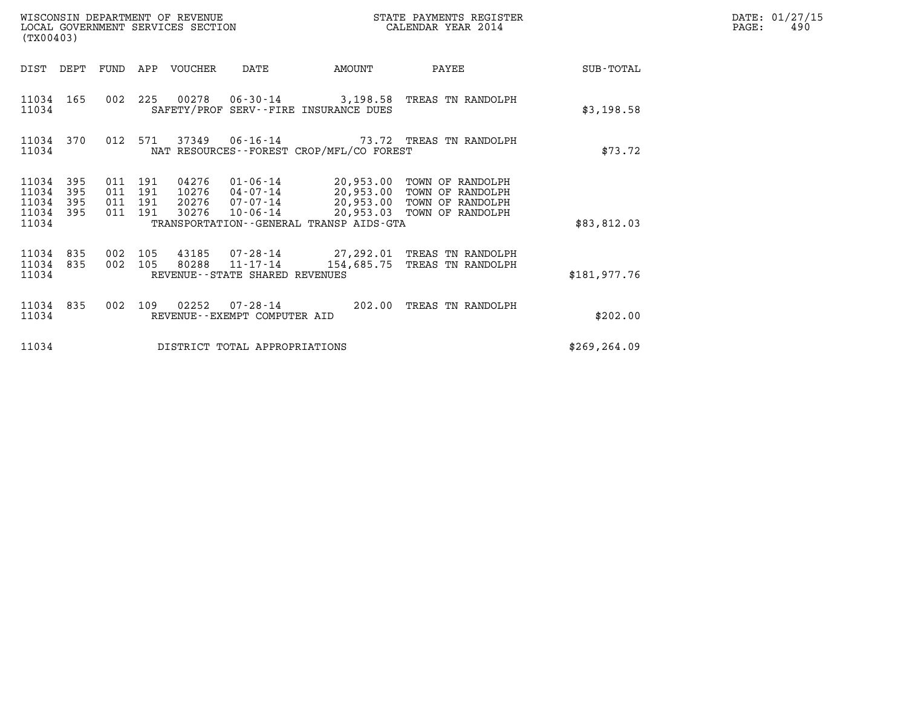| (TX00403)                                 |                          |                                          |         | WISCONSIN DEPARTMENT OF REVENUE<br>LOCAL GOVERNMENT SERVICES SECTION |                                                  |                                             | STATE PAYMENTS REGISTER<br>CALENDAR YEAR 2014                                                                                                   |               | DATE: 01/27/15<br>PAGE:<br>490 |
|-------------------------------------------|--------------------------|------------------------------------------|---------|----------------------------------------------------------------------|--------------------------------------------------|---------------------------------------------|-------------------------------------------------------------------------------------------------------------------------------------------------|---------------|--------------------------------|
| DIST DEPT                                 |                          | FUND                                     |         | APP VOUCHER                                                          | DATE                                             | AMOUNT                                      | PAYEE                                                                                                                                           | SUB-TOTAL     |                                |
| 11034 165<br>11034                        |                          |                                          |         |                                                                      |                                                  | SAFETY/PROF SERV--FIRE INSURANCE DUES       | 002 225 00278 06-30-14 3,198.58 TREAS TN RANDOLPH                                                                                               | \$3,198.58    |                                |
| 11034                                     | 11034 370                |                                          | 012 571 |                                                                      |                                                  | NAT RESOURCES - - FOREST CROP/MFL/CO FOREST | 37349   06-16-14   73.72   TREAS TN RANDOLPH                                                                                                    | \$73.72       |                                |
| 11034<br>11034<br>11034<br>11034<br>11034 | 395<br>395<br>395<br>395 | 011 191<br>011 191<br>011 191<br>011 191 |         | 04276<br>10276<br>20276<br>30276                                     | 10-06-14                                         | TRANSPORTATION--GENERAL TRANSP AIDS-GTA     | 01-06-14 20,953.00 TOWN OF RANDOLPH<br>04-07-14 20,953.00 TOWN OF RANDOLPH<br>07-07-14 20,953.00 TOWN OF RANDOLPH<br>20,953.03 TOWN OF RANDOLPH | \$83,812.03   |                                |
| 11034 835<br>11034<br>11034               | 835                      | 002 105<br>002                           | 105     | 43185<br>80288                                                       | $11 - 17 - 14$<br>REVENUE--STATE SHARED REVENUES |                                             | 07-28-14 27,292.01 TREAS TN RANDOLPH<br>154,685.75 TREAS TN RANDOLPH                                                                            | \$181,977.76  |                                |
| 11034<br>11034                            | 835                      | 002                                      | 109     | 02252                                                                | 07-28-14<br>REVENUE - - EXEMPT COMPUTER AID      | 202.00                                      | TREAS TN RANDOLPH                                                                                                                               | \$202.00      |                                |
| 11034                                     |                          |                                          |         |                                                                      | DISTRICT TOTAL APPROPRIATIONS                    |                                             |                                                                                                                                                 | \$269, 264.09 |                                |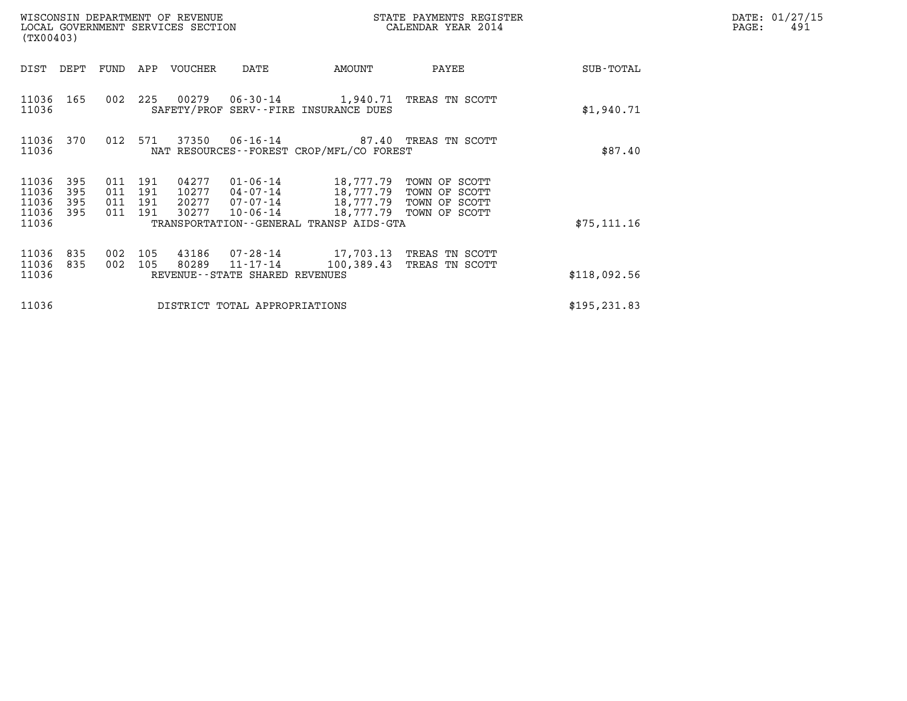| WISCONSIN DEPARTMENT OF REVENUE<br>LOCAL GOVERNMENT SERVICES SECTION<br>(TX00403) |                          |                                                              |                                                     |                                                                                        | STATE PAYMENTS REGISTER<br>CALENDAR YEAR 2014 |               | DATE: 01/27/15<br>PAGE:<br>491 |
|-----------------------------------------------------------------------------------|--------------------------|--------------------------------------------------------------|-----------------------------------------------------|----------------------------------------------------------------------------------------|-----------------------------------------------|---------------|--------------------------------|
| DIST<br>DEPT                                                                      | FUND                     | APP<br>VOUCHER                                               | DATE                                                | AMOUNT                                                                                 | PAYEE                                         | SUB-TOTAL     |                                |
| 11036 165<br>11036                                                                | 002                      | 225                                                          |                                                     | 00279  06-30-14   1,940.71   TREAS TN SCOTT<br>SAFETY/PROF SERV--FIRE INSURANCE DUES   |                                               | \$1,940.71    |                                |
| 11036 370<br>11036                                                                | 012 571                  |                                                              |                                                     | 37350  06-16-14  87.40 TREAS TN SCOTT<br>NAT RESOURCES--FOREST CROP/MFL/CO FOREST      |                                               | \$87.40       |                                |
| 11036<br>395<br>11036<br>395<br>11036<br>395<br>11036<br>395                      | 011<br>011<br>011<br>011 | 191<br>04277<br>191<br>10277<br>191<br>20277<br>191<br>30277 | 01-06-14<br>04-07-14<br>10-06-14                    | 18,777.79 TOWN OF SCOTT<br>18,777.79 TOWN OF SCOTT<br>07-07-14 18,777.79 TOWN OF SCOTT | 18,777.79 TOWN OF SCOTT                       |               |                                |
| 11036                                                                             |                          |                                                              |                                                     | TRANSPORTATION--GENERAL TRANSP AIDS-GTA                                                |                                               | \$75, 111.16  |                                |
| 11036<br>835<br>11036<br>835<br>11036                                             | 002<br>002               | 105<br>43186<br>105<br>80289                                 | $11 - 17 - 14$<br>REVENUE - - STATE SHARED REVENUES | 07-28-14 17,703.13 TREAS TN SCOTT<br>100,389.43                                        | TREAS TN SCOTT                                | \$118,092.56  |                                |
| 11036                                                                             |                          |                                                              | DISTRICT TOTAL APPROPRIATIONS                       |                                                                                        |                                               | \$195, 231.83 |                                |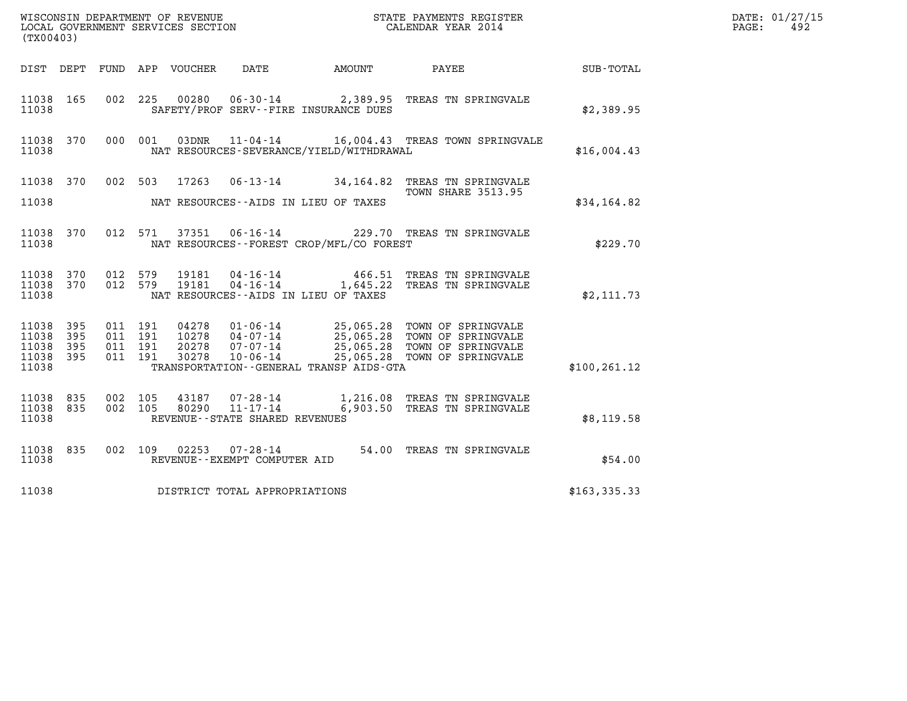| (TX00403)                                 |                          |                                          |         |                                  |                                                                 |                                                    |                                                                                                                              |               | DATE: 01/27/15<br>PAGE:<br>492 |
|-------------------------------------------|--------------------------|------------------------------------------|---------|----------------------------------|-----------------------------------------------------------------|----------------------------------------------------|------------------------------------------------------------------------------------------------------------------------------|---------------|--------------------------------|
|                                           |                          |                                          |         | DIST DEPT FUND APP VOUCHER       | DATE                                                            | AMOUNT                                             | PAYEE                                                                                                                        | SUB-TOTAL     |                                |
| 11038 165<br>11038                        |                          |                                          |         |                                  |                                                                 | SAFETY/PROF SERV--FIRE INSURANCE DUES              | 002 225 00280 06-30-14 2,389.95 TREAS TN SPRINGVALE                                                                          | \$2,389.95    |                                |
| 11038 370<br>11038                        |                          | 000 001                                  |         | 03DNR                            |                                                                 | NAT RESOURCES-SEVERANCE/YIELD/WITHDRAWAL           | 11-04-14 16,004.43 TREAS TOWN SPRINGVALE                                                                                     | \$16,004.43   |                                |
| 11038 370<br>11038                        |                          | 002 503                                  |         | 17263                            |                                                                 | NAT RESOURCES--AIDS IN LIEU OF TAXES               | 06-13-14 34,164.82 TREAS TN SPRINGVALE<br><b>TOWN SHARE 3513.95</b>                                                          | \$34,164.82   |                                |
| 11038 370<br>11038                        |                          |                                          | 012 571 |                                  |                                                                 | NAT RESOURCES - - FOREST CROP/MFL/CO FOREST        | 37351   06-16-14   229.70   TREAS TN SPRINGVALE                                                                              | \$229.70      |                                |
| 11038 370<br>11038<br>11038               | 370                      | 012 579<br>012 579                       |         | 19181<br>19181                   | 04-16-14<br>$04 - 16 - 14$                                      | 1,645.22<br>NAT RESOURCES -- AIDS IN LIEU OF TAXES | 466.51 TREAS TN SPRINGVALE<br>TREAS TN SPRINGVALE                                                                            | \$2,111.73    |                                |
| 11038<br>11038<br>11038<br>11038<br>11038 | 395<br>395<br>395<br>395 | 011 191<br>011 191<br>011 191<br>011 191 |         | 04278<br>10278<br>20278<br>30278 | $01 - 06 - 14$<br>$04 - 07 - 14$<br>07-07-14<br>$10 - 06 - 14$  | TRANSPORTATION - - GENERAL TRANSP AIDS - GTA       | 25,065.28 TOWN OF SPRINGVALE<br>25,065.28 TOWN OF SPRINGVALE<br>25,065.28 TOWN OF SPRINGVALE<br>25,065.28 TOWN OF SPRINGVALE | \$100, 261.12 |                                |
| 11038 835<br>11038<br>11038               | 835                      | 002 105<br>002 105                       |         | 43187<br>80290                   | 07-28-14<br>$11 - 17 - 14$<br>REVENUE - - STATE SHARED REVENUES | 1,216.08                                           | TREAS TN SPRINGVALE<br>6,903.50 TREAS TN SPRINGVALE                                                                          | \$8,119.58    |                                |
| 11038 835<br>11038                        |                          |                                          | 002 109 | 02253                            | 07-28-14<br>REVENUE--EXEMPT COMPUTER AID                        |                                                    | 54.00 TREAS TN SPRINGVALE                                                                                                    | \$54.00       |                                |
| 11038                                     |                          |                                          |         |                                  | DISTRICT TOTAL APPROPRIATIONS                                   |                                                    |                                                                                                                              | \$163,335.33  |                                |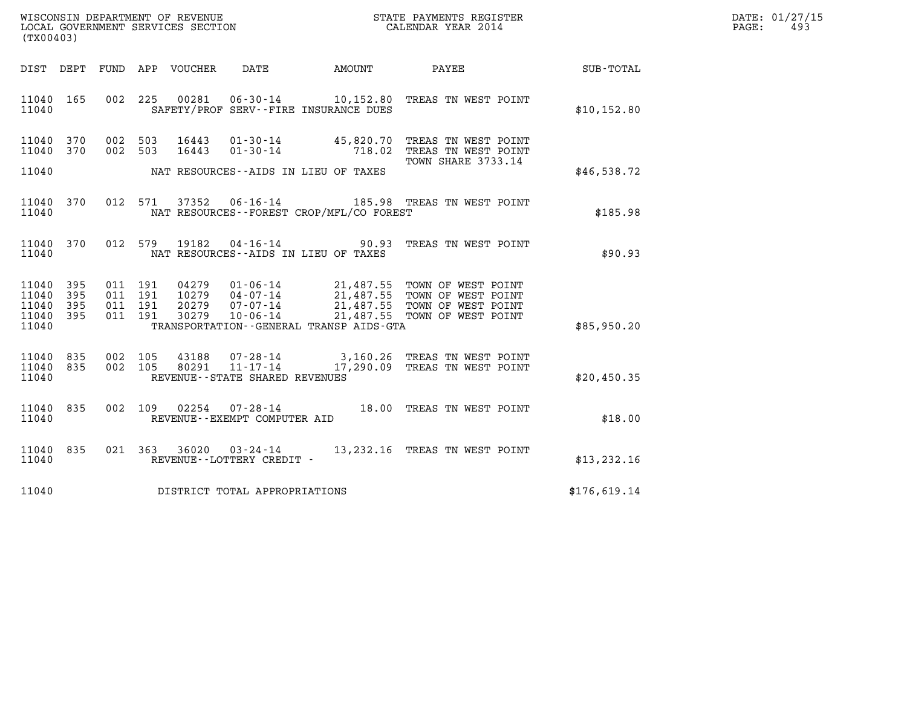| WISCONSIN DEPARTMENT OF REVENUE   | STATE PAYMENTS REGISTER | DATE: 01/27/15 |
|-----------------------------------|-------------------------|----------------|
| LOCAL GOVERNMENT SERVICES SECTION | CALENDAR YEAR 2014      | 49.<br>PAGE:   |

| (TX00403)                                                                                         |                                                                                                                                                                                 |                                                  |                                                                                      |              |
|---------------------------------------------------------------------------------------------------|---------------------------------------------------------------------------------------------------------------------------------------------------------------------------------|--------------------------------------------------|--------------------------------------------------------------------------------------|--------------|
| DIST<br>DEPT<br>FUND                                                                              | APP<br>VOUCHER<br>DATE                                                                                                                                                          | AMOUNT                                           | PAYEE                                                                                | SUB-TOTAL    |
| 165<br>002<br>11040<br>11040                                                                      | 225<br>00281<br>$06 - 30 - 14$<br>SAFETY/PROF SERV--FIRE INSURANCE DUES                                                                                                         | 10,152.80                                        | TREAS TN WEST POINT                                                                  | \$10, 152.80 |
| 002<br>11040<br>370<br>370<br>002<br>11040<br>11040                                               | 503<br>16443<br>$01 - 30 - 14$<br>16443<br>$01 - 30 - 14$<br>503<br>NAT RESOURCES--AIDS IN LIEU OF TAXES                                                                        | 45,820.70<br>718.02                              | TREAS TN WEST POINT<br>TREAS TN WEST POINT<br><b>TOWN SHARE 3733.14</b>              | \$46,538.72  |
| 370<br>012<br>11040<br>11040                                                                      | 571<br>37352<br>$06 - 16 - 14$<br>NAT RESOURCES - - FOREST CROP/MFL/CO FOREST                                                                                                   | 185.98                                           | TREAS TN WEST POINT                                                                  | \$185.98     |
| 370<br>012<br>11040<br>11040                                                                      | 579<br>19182<br>$04 - 16 - 14$<br>NAT RESOURCES -- AIDS IN LIEU OF TAXES                                                                                                        | 90.93                                            | TREAS TN WEST POINT                                                                  | \$90.93      |
| 395<br>11040<br>011<br>11040<br>395<br>011<br>395<br>011<br>11040<br>011<br>11040<br>395<br>11040 | 191<br>04279<br>$01 - 06 - 14$<br>191<br>10279<br>$04 - 07 - 14$<br>191<br>20279<br>$07 - 07 - 14$<br>30279<br>$10 - 06 - 14$<br>191<br>TRANSPORTATION--GENERAL TRANSP AIDS-GTA | 21,487.55<br>21,487.55<br>21,487.55<br>21,487.55 | TOWN OF WEST POINT<br>TOWN OF WEST POINT<br>TOWN OF WEST POINT<br>TOWN OF WEST POINT | \$85,950.20  |
| 002<br>835<br>11040<br>11040<br>835<br>002<br>11040                                               | 105<br>43188<br>$07 - 28 - 14$<br>105<br>$11 - 17 - 14$<br>80291<br>REVENUE - - STATE SHARED REVENUES                                                                           | 3,160.26<br>17,290.09                            | TREAS TN WEST POINT<br>TREAS TN WEST POINT                                           | \$20,450.35  |
| 002<br>835<br>11040<br>11040                                                                      | 109<br>02254<br>$07 - 28 - 14$<br>REVENUE--EXEMPT COMPUTER AID                                                                                                                  | 18.00                                            | TREAS TN WEST POINT                                                                  | \$18.00      |
| 835<br>021<br>11040<br>11040                                                                      | 363<br>36020<br>03-24-14<br>REVENUE - - LOTTERY CREDIT -                                                                                                                        | 13,232.16                                        | TREAS TN WEST POINT                                                                  | \$13, 232.16 |
| 11040                                                                                             | DISTRICT TOTAL APPROPRIATIONS                                                                                                                                                   |                                                  |                                                                                      | \$176,619.14 |

LOCAL GOVERNMENT SERVICES SECTION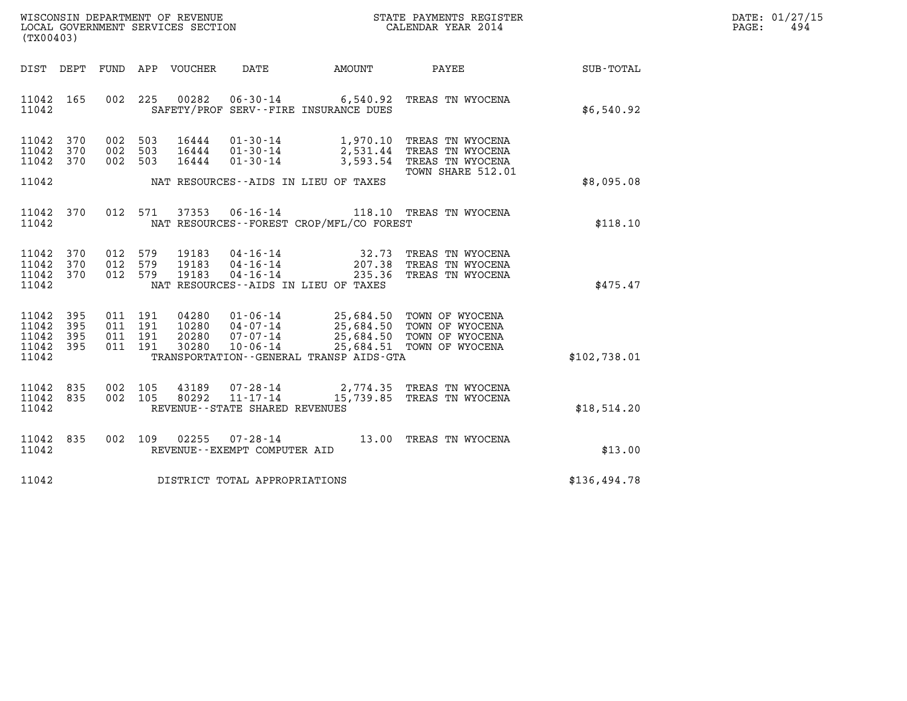| WISCONSIN DEPARTMENT OF REVENUE   | STATE PAYMENTS REGISTER | DATE: 01/27/15 |
|-----------------------------------|-------------------------|----------------|
| LOCAL GOVERNMENT SERVICES SECTION | CALENDAR YEAR 2014      | 494<br>PAGE:   |

| (TX00403)                                                                                         | LOCAL GOVERNMENT SERVICES SECTION                                                                                                    | CALENDAR YEAR 2014                                                                                                                          |                  |
|---------------------------------------------------------------------------------------------------|--------------------------------------------------------------------------------------------------------------------------------------|---------------------------------------------------------------------------------------------------------------------------------------------|------------------|
| DEPT<br>FUND<br>DIST                                                                              | APP VOUCHER DATE AMOUNT                                                                                                              | PAYEE                                                                                                                                       | <b>SUB-TOTAL</b> |
| 165<br>002<br>11042<br>11042                                                                      | 225<br>00282 06-30-14 6,540.92<br>SAFETY/PROF SERV--FIRE INSURANCE DUES                                                              | TREAS TN WYOCENA                                                                                                                            | \$6,540.92       |
| 11042<br>370<br>002<br>002<br>11042<br>370<br>370<br>002<br>11042                                 | 503<br>16444<br>$01 - 30 - 14$<br>16444  01-30-14<br>503<br>503<br>16444<br>$01 - 30 - 14$                                           | 1,970.10 TREAS TN WYOCENA<br>2,531.44 TREAS TN WYOCENA<br>3,593.54 TREAS TN WYOCENA<br>TOWN SHARE 512.01                                    |                  |
| 11042                                                                                             | NAT RESOURCES--AIDS IN LIEU OF TAXES                                                                                                 |                                                                                                                                             | \$8,095.08       |
| 012<br>11042<br>370<br>11042                                                                      | 571<br>37353<br>NAT RESOURCES - - FOREST CROP/MFL/CO FOREST                                                                          | 06-16-14 118.10 TREAS TN WYOCENA                                                                                                            | \$118.10         |
| 370<br>012<br>11042<br>012<br>11042<br>370<br>012<br>11042<br>370<br>11042                        | 579<br>19183<br>04 - 16 - 14<br>04 - 16 - 14<br>04 - 16 - 14<br>579<br>19183<br>579<br>19183<br>NAT RESOURCES--AIDS IN LIEU OF TAXES | TREAS TN WYOCENA<br>32.73<br>207.38 TREAS TN WYOCENA<br>235.36 TREAS TN WYOCENA                                                             | \$475.47         |
| 11042<br>395<br>011<br>11042<br>395<br>011<br>11042<br>395<br>011<br>11042<br>395<br>011<br>11042 | 04280<br>191<br>191<br>10280<br>191<br>20280<br>30280<br>$10 - 06 - 14$<br>191<br>TRANSPORTATION--GENERAL TRANSP AIDS-GTA            | 01-06-14 25,684.50 TOWN OF WYOCENA<br>04-07-14 25,684.50 TOWN OF WYOCENA<br>07-07-14 25,684.50 TOWN OF WYOCENA<br>25,684.51 TOWN OF WYOCENA | \$102,738.01     |
| 11042<br>835<br>002<br>835<br>002<br>11042<br>11042                                               | 105<br>43189<br>$11 - 17 - 14$<br>105<br>80292<br>REVENUE - - STATE SHARED REVENUES                                                  | 07-28-14 2,774.35 TREAS TN WYOCENA<br>15,739.85 TREAS TN WYOCENA                                                                            | \$18,514.20      |
| 11042<br>835<br>002<br>11042                                                                      | 109<br>02255<br>$07 - 28 - 14$<br>REVENUE--EXEMPT COMPUTER AID                                                                       | 13.00<br>TREAS TN WYOCENA                                                                                                                   | \$13.00          |
| 11042                                                                                             | DISTRICT TOTAL APPROPRIATIONS                                                                                                        |                                                                                                                                             | \$136,494.78     |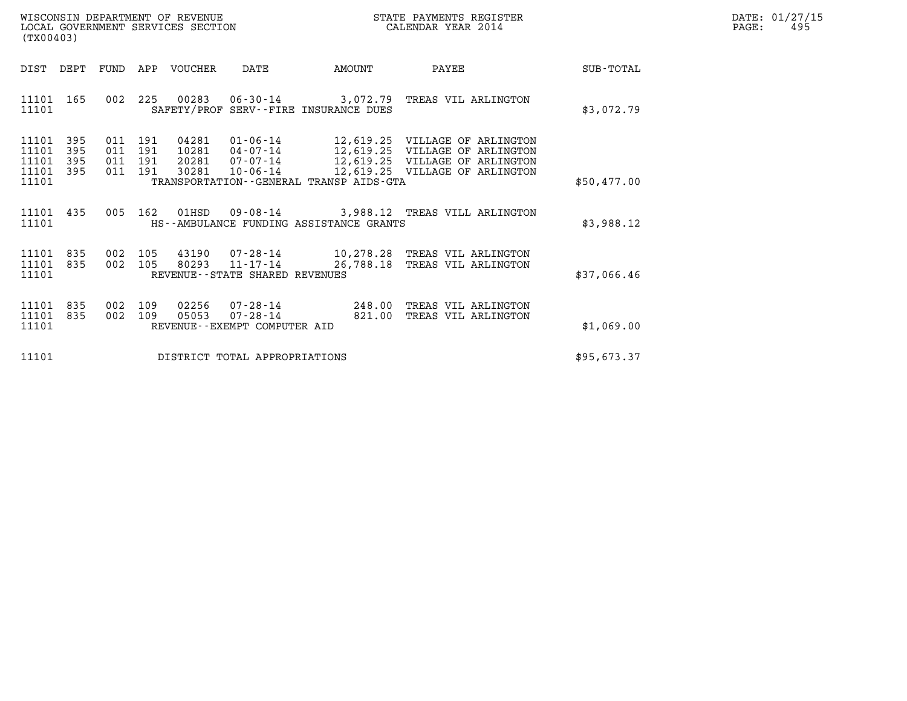| WISCONSIN DEPARTMENT OF REVENUE   | STATE PAYMENTS REGISTER | DATE: 01/27/15 |
|-----------------------------------|-------------------------|----------------|
| LOCAL GOVERNMENT SERVICES SECTION | CALENDAR YEAR 2014      | 495<br>PAGE:   |

| WISCONSIN DEPARTMENT OF REVENUE<br>LOCAL GOVERNMENT SERVICES SECTION<br>(TX00403) |            |                                  |                                  |                                                                                               |           |                  | STATE PAYMENTS REGISTER<br>CALENDAR YEAR 2014                                                                              |             | PAGE: | DATE: 01/27/15<br>495 |
|-----------------------------------------------------------------------------------|------------|----------------------------------|----------------------------------|-----------------------------------------------------------------------------------------------|-----------|------------------|----------------------------------------------------------------------------------------------------------------------------|-------------|-------|-----------------------|
| DIST DEPT                                                                         | FUND       |                                  | APP VOUCHER                      | DATE                                                                                          | AMOUNT    |                  | PAYEE                                                                                                                      | SUB-TOTAL   |       |                       |
| 11101 165<br>11101                                                                |            |                                  |                                  | SAFETY/PROF SERV--FIRE INSURANCE DUES                                                         |           |                  | 002 225 00283 06-30-14 3,072.79 TREAS VIL ARLINGTON                                                                        | \$3,072.79  |       |                       |
| 11101<br>-395<br>11101<br>395<br>395<br>11101<br>11101 395<br>11101               | 011<br>011 | 011 191<br>191<br>191<br>011 191 | 04281<br>10281<br>20281<br>30281 | 01-06-14<br>04-07-14<br>07-07-14<br>$10 - 06 - 14$<br>TRANSPORTATION--GENERAL TRANSP AIDS-GTA | 12,619.25 |                  | 12,619.25 VILLAGE OF ARLINGTON<br>VILLAGE OF ARLINGTON<br>12,619.25 VILLAGE OF ARLINGTON<br>12,619.25 VILLAGE OF ARLINGTON | \$50,477.00 |       |                       |
| 11101 435<br>11101                                                                |            |                                  | 005 162 01HSD                    | HS--AMBULANCE FUNDING ASSISTANCE GRANTS                                                       |           |                  | 09-08-14 3,988.12 TREAS VILL ARLINGTON                                                                                     | \$3,988.12  |       |                       |
| 11101 835<br>11101<br>835<br>11101                                                | 002<br>002 | 105<br>105                       | 43190                            | 80293 11-17-14<br>REVENUE - - STATE SHARED REVENUES                                           | 26,788.18 |                  | 07-28-14 10,278.28 TREAS VIL ARLINGTON<br>TREAS VIL ARLINGTON                                                              | \$37,066.46 |       |                       |
| 11101<br>835<br>835<br>11101<br>11101                                             | 002<br>002 | 109<br>109                       | 02256<br>05053                   | $07 - 28 - 14$<br>$07 - 28 - 14$<br>REVENUE - - EXEMPT COMPUTER AID                           |           | 248.00<br>821.00 | TREAS VIL ARLINGTON<br>TREAS VIL ARLINGTON                                                                                 | \$1,069.00  |       |                       |
| 11101                                                                             |            |                                  |                                  | DISTRICT TOTAL APPROPRIATIONS                                                                 |           |                  |                                                                                                                            | \$95,673.37 |       |                       |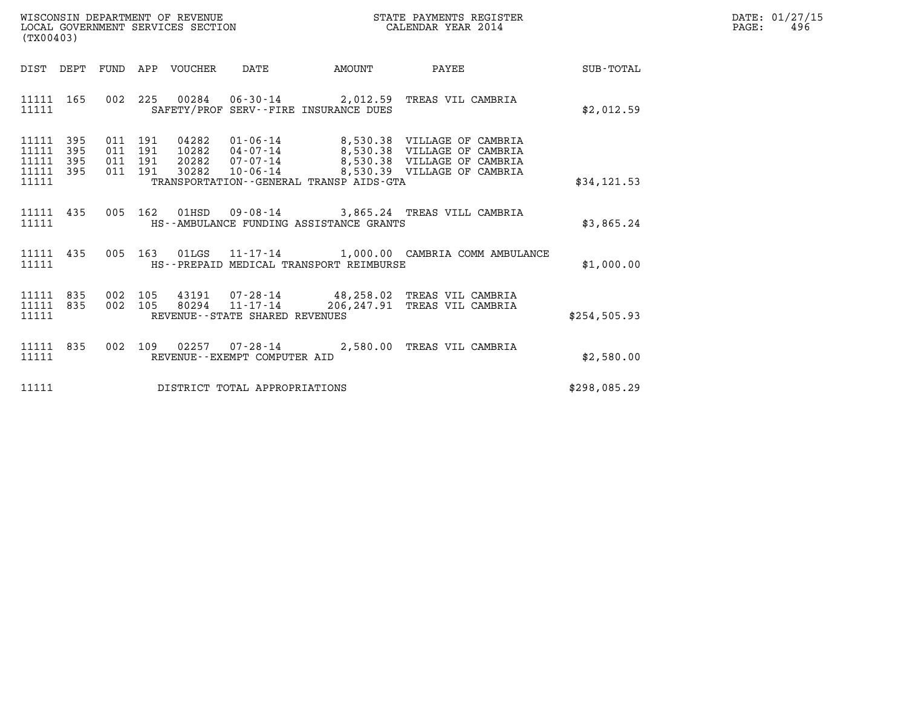| WISCONSIN DEPARTMENT OF REVENUE   | STATE PAYMENTS REGISTER | DATE: 01/27/15 |
|-----------------------------------|-------------------------|----------------|
| LOCAL GOVERNMENT SERVICES SECTION | CALENDAR YEAR 2014      | 496<br>PAGE:   |

| (TX00403)                                                             |                                                                                                                                                                                                                                                                  |  |                                                                  |              | DATE: 01/27/15<br>$\mathtt{PAGE}$ :<br>496 |
|-----------------------------------------------------------------------|------------------------------------------------------------------------------------------------------------------------------------------------------------------------------------------------------------------------------------------------------------------|--|------------------------------------------------------------------|--------------|--------------------------------------------|
|                                                                       |                                                                                                                                                                                                                                                                  |  | DIST DEPT FUND APP VOUCHER DATE AMOUNT PAYEE                     | SUB-TOTAL    |                                            |
| 11111 165<br>11111 SAFETY/PROF SERV--FIRE INSURANCE DUES              | 002  225  00284  06-30-14  2,012.59  TREAS VIL CAMBRIA                                                                                                                                                                                                           |  |                                                                  | \$2,012.59   |                                            |
| 11111 395<br>11111<br>395<br>11111 395<br>11111 395<br>11111          | 011 191 04282 01-06-14 8,530.38 VILLAGE OF CAMBRIA<br>011 191 10282 04-07-14 8,530.38 VILLAGE OF CAMBRIA<br>011 191 20282 07-07-14 8,530.38 VILLAGE OF CAMBRIA<br>011 191 30282 10-06-14 8,530.39 VILLAGE OF CAMBRIA<br>TRANSPORTATION - GENERAL TRANSP AIDS-GTA |  |                                                                  | \$34, 121.53 |                                            |
| 11111 435 005 162 01HSD 09-08-14 3,865.24 TREAS VILL CAMBRIA<br>11111 | HS--AMBULANCE FUNDING ASSISTANCE GRANTS                                                                                                                                                                                                                          |  |                                                                  | \$3,865.24   |                                            |
| 11111                                                                 | HS--PREPAID MEDICAL TRANSPORT REIMBURSE                                                                                                                                                                                                                          |  | 11111 435 005 163 01LGS 11-17-14 1,000.00 CAMBRIA COMM AMBULANCE | \$1,000.00   |                                            |
| 11111 835<br>11111 835<br>11111                                       | 002 105 43191 07–28–14 48,258.02 TREAS VIL CAMBRIA<br>002 105 80294 11–17–14 206,247.91 TREAS VIL CAMBRIA<br>REVENUE--STATE SHARED REVENUES                                                                                                                      |  |                                                                  | \$254,505.93 |                                            |
| 11111 835<br>11111                                                    | 002 109 02257 07-28-14 2,580.00 TREAS VIL CAMBRIA<br>REVENUE--EXEMPT COMPUTER AID                                                                                                                                                                                |  |                                                                  | \$2,580.00   |                                            |
| 11111 DISTRICT TOTAL APPROPRIATIONS                                   |                                                                                                                                                                                                                                                                  |  |                                                                  | \$298,085.29 |                                            |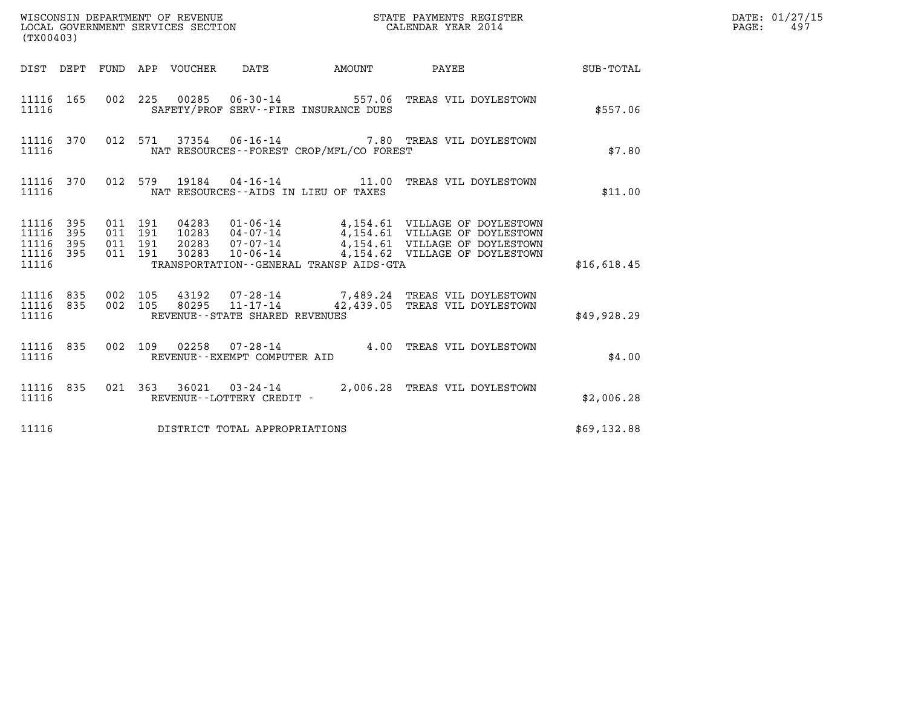| (TX00403)                                                       |                                          |                                 |                                          |  |                                                                                                                                                                                                              |             | DATE: 01/27/15<br>$\mathtt{PAGE}$ :<br>497 |
|-----------------------------------------------------------------|------------------------------------------|---------------------------------|------------------------------------------|--|--------------------------------------------------------------------------------------------------------------------------------------------------------------------------------------------------------------|-------------|--------------------------------------------|
|                                                                 |                                          | DIST DEPT FUND APP VOUCHER DATE |                                          |  | AMOUNT PAYEE SUB-TOTAL                                                                                                                                                                                       |             |                                            |
| 11116                                                           |                                          |                                 | SAFETY/PROF SERV--FIRE INSURANCE DUES    |  | 11116 165 002 225 00285 06-30-14 557.06 TREAS VIL DOYLESTOWN                                                                                                                                                 | \$557.06    |                                            |
| 11116 370<br>11116                                              |                                          |                                 | NAT RESOURCES--FOREST CROP/MFL/CO FOREST |  | 012 571 37354 06-16-14 7.80 TREAS VIL DOYLESTOWN                                                                                                                                                             | \$7.80      |                                            |
| 11116 370<br>11116                                              |                                          |                                 | NAT RESOURCES--AIDS IN LIEU OF TAXES     |  | 012 579 19184 04-16-14 11.00 TREAS VIL DOYLESTOWN                                                                                                                                                            | \$11.00     |                                            |
| 11116 395<br>11116<br>395<br>395<br>11116<br>11116 395<br>11116 | 011 191<br>011 191<br>011 191<br>011 191 |                                 | TRANSPORTATION--GENERAL TRANSP AIDS-GTA  |  | 04283  01-06-14  4,154.61  VILLAGE OF DOYLESTOWN<br>10283  04-07-14  4,154.61  VILLAGE OF DOYLESTOWN<br>20283  07-07-14  4,154.61  VILLAGE OF DOYLESTOWN<br>30283  10-06-14  4,154.62  VILLAGE OF DOYLESTOWN | \$16,618.45 |                                            |
| 11116 835 002 105<br>11116 835<br>11116                         |                                          |                                 | REVENUE--STATE SHARED REVENUES           |  | $\begin{array}{cccc} 002 & 105 & 43192 & 07\text{-}28\text{-}14 & 7,489.24 & \text{TREAS VIL D"STOWN \\ 002 & 105 & 80295 & 11\text{-}17\text{-}14 & 42,439.05 & \text{TREAS VIL D9YLESTOWN \end{array}$     | \$49,928.29 |                                            |
| 11116                                                           |                                          |                                 | REVENUE--EXEMPT COMPUTER AID             |  | 11116 835 002 109 02258 07-28-14 4.00 TREAS VIL DOYLESTOWN                                                                                                                                                   | \$4.00      |                                            |
| 11116 835<br>11116                                              |                                          |                                 | REVENUE--LOTTERY CREDIT -                |  | 021 363 36021 03-24-14 2,006.28 TREAS VIL DOYLESTOWN                                                                                                                                                         | \$2,006.28  |                                            |
| 11116                                                           |                                          |                                 | DISTRICT TOTAL APPROPRIATIONS            |  |                                                                                                                                                                                                              | \$69,132.88 |                                            |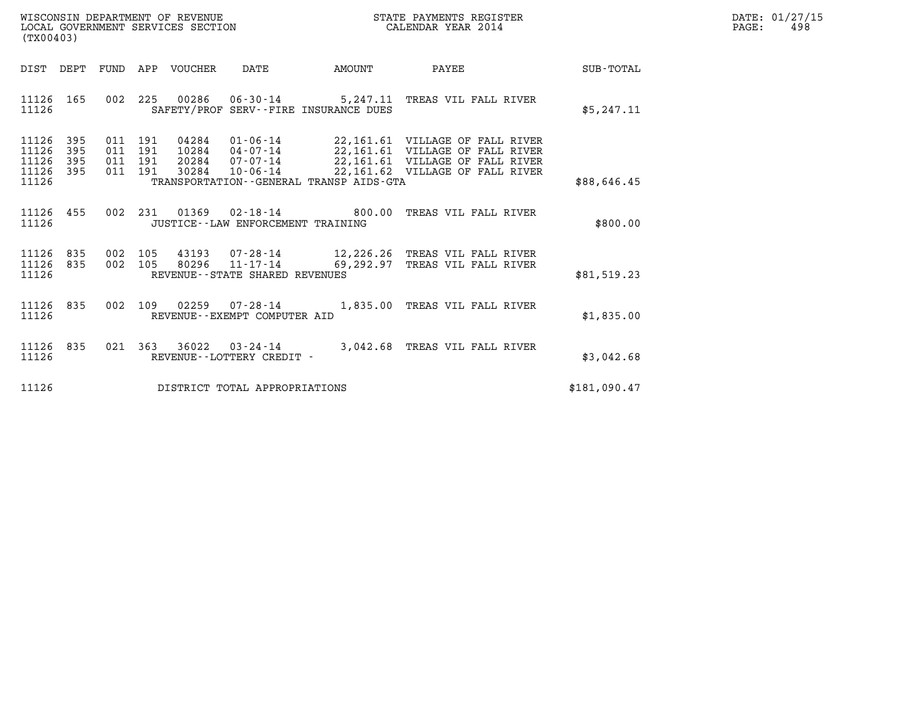| WISCONSIN DEPARTMENT OF REVENUE   | STATE PAYMENTS REGISTER | DATE: 01/27/15 |
|-----------------------------------|-------------------------|----------------|
| LOCAL GOVERNMENT SERVICES SECTION | CALENDAR YEAR 2014      | 498<br>PAGE:   |

| (TX00403)                                                             |                          |                                                              |                                                                    |                                                   |                                                                                                                                          |              |
|-----------------------------------------------------------------------|--------------------------|--------------------------------------------------------------|--------------------------------------------------------------------|---------------------------------------------------|------------------------------------------------------------------------------------------------------------------------------------------|--------------|
| DIST<br>DEPT                                                          | FUND                     | APP<br>VOUCHER                                               | DATE                                                               | AMOUNT                                            | PAYEE                                                                                                                                    | SUB-TOTAL    |
| 11126<br>165<br>11126                                                 | 002                      | 225                                                          | 00286 06-30-14                                                     | 5,247.11<br>SAFETY/PROF SERV--FIRE INSURANCE DUES | TREAS VIL FALL RIVER                                                                                                                     | \$5,247.11   |
| 11126<br>395<br>395<br>11126<br>11126<br>395<br>11126<br>395<br>11126 | 011<br>011<br>011<br>011 | 04284<br>191<br>191<br>10284<br>191<br>20284<br>191<br>30284 | $01 - 06 - 14$<br>04-07-14<br>$07 - 07 - 14$<br>$10 - 06 - 14$     | TRANSPORTATION--GENERAL TRANSP AIDS-GTA           | 22,161.61 VILLAGE OF FALL RIVER<br>22,161.61 VILLAGE OF FALL RIVER<br>22,161.61 VILLAGE OF FALL RIVER<br>22,161.62 VILLAGE OF FALL RIVER | \$88,646.45  |
| 455<br>11126<br>11126                                                 | 002                      | 231<br>01369                                                 | JUSTICE - - LAW ENFORCEMENT TRAINING                               | $02 - 18 - 14$ 800.00                             | TREAS VIL FALL RIVER                                                                                                                     | \$800.00     |
| 11126<br>835<br>11126<br>835<br>11126                                 | 002<br>002               | 105<br>105<br>80296                                          | 43193 07-28-14<br>$11 - 17 - 14$<br>REVENUE--STATE SHARED REVENUES | 69,292.97                                         | 12,226.26 TREAS VIL FALL RIVER<br>TREAS VIL FALL RIVER                                                                                   | \$81,519.23  |
| 835<br>11126<br>11126                                                 | 002                      | 109<br>02259                                                 | $07 - 28 - 14$<br>REVENUE - - EXEMPT COMPUTER AID                  | 1,835.00                                          | TREAS VIL FALL RIVER                                                                                                                     | \$1,835.00   |
| 835<br>11126<br>11126                                                 | 021                      | 363<br>36022                                                 | $03 - 24 - 14$<br>REVENUE - - LOTTERY CREDIT -                     | 3,042.68                                          | TREAS VIL FALL RIVER                                                                                                                     | \$3,042.68   |
| 11126                                                                 |                          |                                                              | DISTRICT TOTAL APPROPRIATIONS                                      |                                                   |                                                                                                                                          | \$181,090.47 |

(TX00403)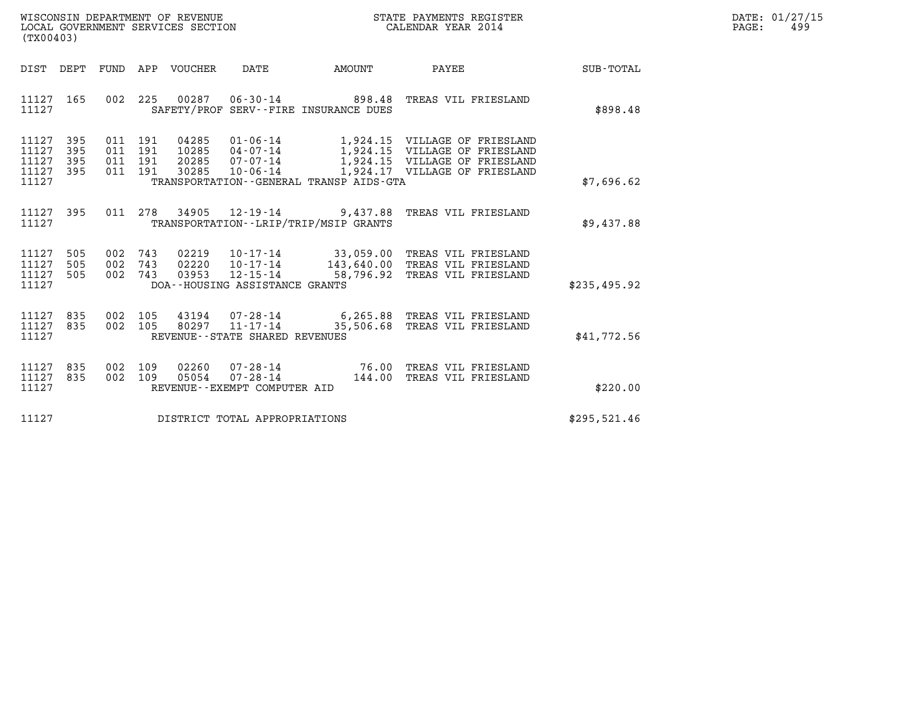| WISCONSIN DEPARTMENT OF REVENUE   | STATE PAYMENTS REGISTER | DATE: 01/27/15 |
|-----------------------------------|-------------------------|----------------|
| LOCAL GOVERNMENT SERVICES SECTION | CALENDAR YEAR 2014      | 499<br>PAGE:   |

|                                               | STATE PAYMENTS REGISTER<br>CALENDAR YEAR 2014<br>WISCONSIN DEPARTMENT OF REVENUE<br>LOCAL GOVERNMENT SERVICES SECTION<br>(TX00403) |  |  |                                 |                                   |                                          |                                                                                                                                                                                                                              |              | DATE: 01/27/15<br>$\mathtt{PAGE}$ :<br>499 |
|-----------------------------------------------|------------------------------------------------------------------------------------------------------------------------------------|--|--|---------------------------------|-----------------------------------|------------------------------------------|------------------------------------------------------------------------------------------------------------------------------------------------------------------------------------------------------------------------------|--------------|--------------------------------------------|
|                                               |                                                                                                                                    |  |  | DIST DEPT FUND APP VOUCHER DATE |                                   |                                          | AMOUNT PAYEE                                                                                                                                                                                                                 | SUB-TOTAL    |                                            |
| 11127 165<br>11127                            |                                                                                                                                    |  |  |                                 |                                   | SAFETY/PROF SERV--FIRE INSURANCE DUES    | 002 225 00287 06-30-14 898.48 TREAS VIL FRIESLAND                                                                                                                                                                            | \$898.48     |                                            |
| 11127 395<br>11127<br>11127<br>11127<br>11127 | 395<br>395<br>395                                                                                                                  |  |  |                                 |                                   | TRANSPORTATION--GENERAL TRANSP AIDS-GTA  | 011 191 04285 01-06-14 1,924.15 VILLAGE OF FRIESLAND<br>011 191 20285 04-07-14 1,924.15 VILLAGE OF FRIESLAND<br>011 191 20285 07-07-14 1,924.15 VILLAGE OF FRIESLAND<br>011 191 30285 10-06-14 1,924.17 VILLAGE OF FRIESLAND | \$7,696.62   |                                            |
| 11127 395<br>11127                            |                                                                                                                                    |  |  |                                 |                                   | TRANSPORTATION - - LRIP/TRIP/MSIP GRANTS | 011  278  34905  12-19-14  9,437.88  TREAS VIL FRIESLAND                                                                                                                                                                     | \$9,437.88   |                                            |
| 11127<br>11127<br>11127 505<br>11127          | 505<br>505                                                                                                                         |  |  |                                 | DOA--HOUSING ASSISTANCE GRANTS    |                                          | 002 743 02219 10-17-14 33,059.00 TREAS VIL FRIESLAND<br>002 743 02220 10-17-14 143,640.00 TREAS VIL FRIESLAND<br>002 743 03953 12-15-14 58,796.92 TREAS VIL FRIESLAND                                                        | \$235.495.92 |                                            |
| 11127 835<br>11127 835<br>11127               |                                                                                                                                    |  |  |                                 | REVENUE - - STATE SHARED REVENUES |                                          | 002 105 43194 07-28-14 6,265.88 TREAS VIL FRIESLAND<br>002 105 80297 11-17-14 35,506.68 TREAS VIL FRIESLAND                                                                                                                  | \$41,772.56  |                                            |
| 11127 835<br>11127<br>11127                   | 835                                                                                                                                |  |  |                                 | REVENUE--EXEMPT COMPUTER AID      |                                          | 002 109 02260 07-28-14 76.00 TREAS VIL FRIESLAND<br>002 109 05054 07-28-14 144.00 TREAS VIL FRIESLAND                                                                                                                        | \$220.00     |                                            |
| 11127                                         |                                                                                                                                    |  |  |                                 | DISTRICT TOTAL APPROPRIATIONS     |                                          |                                                                                                                                                                                                                              | \$295,521.46 |                                            |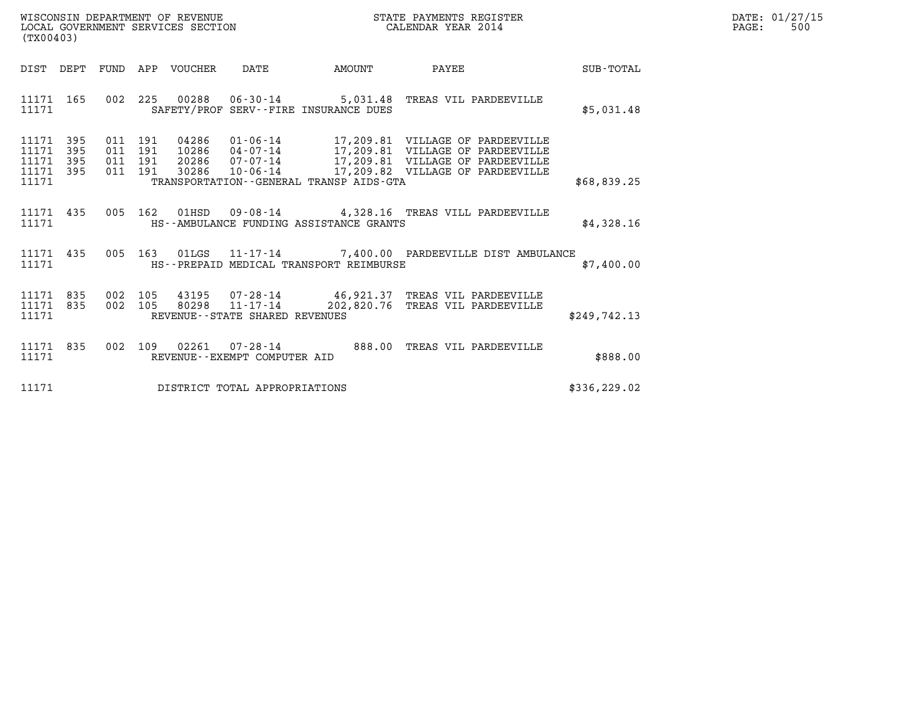| WISCONSIN DEPARTMENT OF REVENUE   | STATE PAYMENTS REGISTER | DATE: 01/27/15 |
|-----------------------------------|-------------------------|----------------|
| LOCAL GOVERNMENT SERVICES SECTION | CALENDAR YEAR 2014      | 500<br>PAGE:   |

| (TX00403)                                                          |                                          |                                |                                                                                                                   |                                                            |               |
|--------------------------------------------------------------------|------------------------------------------|--------------------------------|-------------------------------------------------------------------------------------------------------------------|------------------------------------------------------------|---------------|
| DIST DEPT                                                          |                                          |                                |                                                                                                                   | FUND APP VOUCHER DATE AMOUNT PAYEE                         | SUB-TOTAL     |
| 11171 165<br>11171                                                 |                                          |                                | 002 225 00288 06-30-14 5,031.48 TREAS VIL PARDEEVILLE<br>SAFETY/PROF SERV--FIRE INSURANCE DUES                    |                                                            | \$5,031.48    |
| 11171<br>395<br>395<br>11171<br>395<br>11171<br>11171 395<br>11171 | 011 191<br>011 191<br>011 191<br>011 191 |                                | TRANSPORTATION--GENERAL TRANSP AIDS-GTA                                                                           |                                                            | \$68,839.25   |
| 11171 435<br>11171                                                 | 005                                      |                                | HS--AMBULANCE FUNDING ASSISTANCE GRANTS                                                                           | $162$ 01HSD 09-08-14 4,328.16 TREAS VILL PARDEEVILLE       | \$4,328.16    |
| 11171 435<br>11171                                                 |                                          |                                | HS--PREPAID MEDICAL TRANSPORT REIMBURSE                                                                           | 005 163 01LGS 11-17-14 7,400.00 PARDEEVILLE DIST AMBULANCE | \$7,400.00    |
| 11171 835<br>11171 835<br>11171                                    |                                          | REVENUE--STATE SHARED REVENUES | 002 105 43195 07-28-14 46,921.37 TREAS VIL PARDEEVILLE<br>002 105 80298 11-17-14 202,820.76 TREAS VIL PARDEEVILLE |                                                            | \$249,742.13  |
| 11171 835<br>11171                                                 |                                          | REVENUE--EXEMPT COMPUTER AID   | 002 109 02261 07-28-14 888.00 TREAS VIL PARDEEVILLE                                                               |                                                            | \$888.00      |
| 11171                                                              |                                          | DISTRICT TOTAL APPROPRIATIONS  |                                                                                                                   |                                                            | \$336, 229.02 |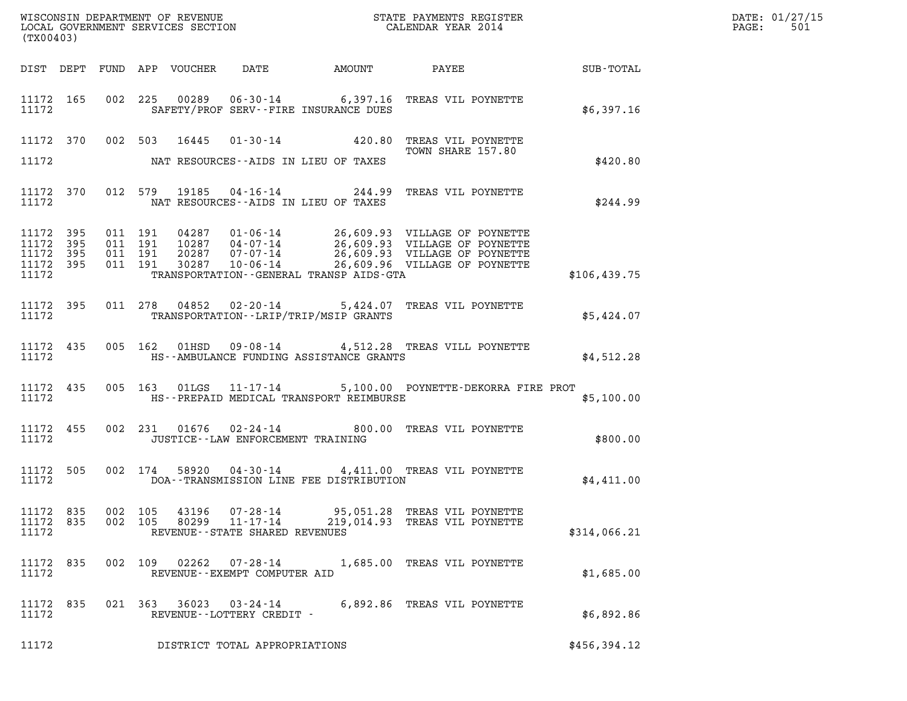| (TX00403)                                                 |           |                                      |                                                                 |                                         |                                                                                                                                                                                                                                                                                                                                                   |               | DATE: 01/27/15<br>$\mathtt{PAGE}$ :<br>501 |
|-----------------------------------------------------------|-----------|--------------------------------------|-----------------------------------------------------------------|-----------------------------------------|---------------------------------------------------------------------------------------------------------------------------------------------------------------------------------------------------------------------------------------------------------------------------------------------------------------------------------------------------|---------------|--------------------------------------------|
|                                                           |           |                                      |                                                                 |                                         |                                                                                                                                                                                                                                                                                                                                                   |               |                                            |
| 11172                                                     |           |                                      |                                                                 | SAFETY/PROF SERV--FIRE INSURANCE DUES   | 11172 165 002 225 00289 06-30-14 6,397.16 TREAS VIL POYNETTE                                                                                                                                                                                                                                                                                      | \$6,397.16    |                                            |
|                                                           |           | 11172 370 002 503 16445              |                                                                 |                                         | 01-30-14 420.80 TREAS VIL POYNETTE<br>TOWN SHARE 157.80<br>TOWN SHARE 157.80                                                                                                                                                                                                                                                                      |               |                                            |
| 11172                                                     |           |                                      |                                                                 | NAT RESOURCES--AIDS IN LIEU OF TAXES    |                                                                                                                                                                                                                                                                                                                                                   | \$420.80      |                                            |
| 11172                                                     | 11172 370 |                                      |                                                                 | NAT RESOURCES--AIDS IN LIEU OF TAXES    | 012 579 19185 04-16-14 244.99 TREAS VIL POYNETTE                                                                                                                                                                                                                                                                                                  | \$244.99      |                                            |
| 11172 395<br>11172 395<br>11172 395<br>11172 395<br>11172 |           |                                      |                                                                 | TRANSPORTATION--GENERAL TRANSP AIDS-GTA | $\begin{array}{cccc} 011 & 191 & 04287 & 01\cdot 06\cdot 14 & 26,609.93 & \text{VILLAGE OF POYNETTE} \\ 011 & 191 & 10287 & 04\cdot 07\cdot 14 & 26,609.93 & \text{VILLAGE OF POYNETTE} \\ 011 & 191 & 20287 & 07\cdot 07\cdot 14 & 26,609.93 & \text{VILLAGE OF POYNETTE} \\ 011 & 191 & 30287 & 10\cdot 06\cdot 14 & 26,609.96 & \text{VILLAGE$ | \$106, 439.75 |                                            |
| 11172                                                     | 11172 395 |                                      |                                                                 | TRANSPORTATION--LRIP/TRIP/MSIP GRANTS   | 011 278 04852 02-20-14 5,424.07 TREAS VIL POYNETTE                                                                                                                                                                                                                                                                                                | \$5,424.07    |                                            |
| 11172                                                     | 11172 435 |                                      |                                                                 | HS--AMBULANCE FUNDING ASSISTANCE GRANTS | 005 162 01HSD 09-08-14 4,512.28 TREAS VILL POYNETTE                                                                                                                                                                                                                                                                                               | \$4,512.28    |                                            |
| 11172                                                     | 11172 435 |                                      |                                                                 | HS--PREPAID MEDICAL TRANSPORT REIMBURSE | 005 163 01LGS 11-17-14 5,100.00 POYNETTE-DEKORRA FIRE PROT                                                                                                                                                                                                                                                                                        | \$5,100.00    |                                            |
| 11172                                                     | 11172 455 |                                      | JUSTICE -- LAW ENFORCEMENT TRAINING                             |                                         | 002 231 01676 02-24-14 800.00 TREAS VIL POYNETTE                                                                                                                                                                                                                                                                                                  | \$800.00      |                                            |
| 11172                                                     | 11172 505 |                                      |                                                                 | DOA--TRANSMISSION LINE FEE DISTRIBUTION | 002 174 58920 04-30-14 4,411.00 TREAS VIL POYNETTE                                                                                                                                                                                                                                                                                                | \$4.411.00    |                                            |
| 11172 835<br>11172 835<br>11172                           |           | 002 105<br>43196<br>002 105<br>80299 | 07-28-14<br>$11 - 17 - 14$<br>REVENUE - - STATE SHARED REVENUES |                                         | 95,051.28 TREAS VIL POYNETTE<br>219,014.93 TREAS VIL POYNETTE                                                                                                                                                                                                                                                                                     | \$314,066.21  |                                            |
| 11172 835<br>11172                                        |           | 002 109                              | REVENUE--EXEMPT COMPUTER AID                                    |                                         | 02262  07-28-14   1,685.00 TREAS VIL POYNETTE                                                                                                                                                                                                                                                                                                     | \$1,685.00    |                                            |
| 11172 835<br>11172                                        |           |                                      | REVENUE--LOTTERY CREDIT -                                       |                                         | 021 363 36023 03-24-14 6,892.86 TREAS VIL POYNETTE                                                                                                                                                                                                                                                                                                | \$6,892.86    |                                            |
| 11172                                                     |           |                                      | DISTRICT TOTAL APPROPRIATIONS                                   |                                         |                                                                                                                                                                                                                                                                                                                                                   | \$456,394.12  |                                            |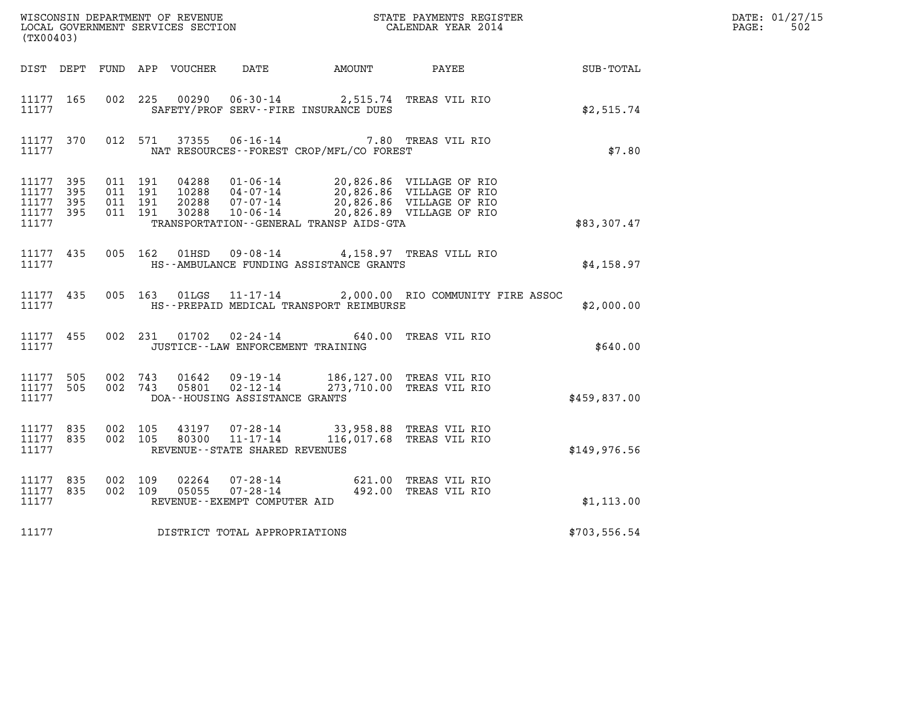| (TX00403)                                                 |           |                                          |         |                            |                                                  | WISCONSIN DEPARTMENT OF REVENUE<br>LOCAL GOVERNMENT SERVICES SECTION<br>CALENDAR YEAR 2014 |                                                                                                                                                                                                                                                                                                                                                                                                       |               | DATE: 01/27/15<br>$\mathtt{PAGE:}$<br>502 |
|-----------------------------------------------------------|-----------|------------------------------------------|---------|----------------------------|--------------------------------------------------|--------------------------------------------------------------------------------------------|-------------------------------------------------------------------------------------------------------------------------------------------------------------------------------------------------------------------------------------------------------------------------------------------------------------------------------------------------------------------------------------------------------|---------------|-------------------------------------------|
|                                                           |           |                                          |         | DIST DEPT FUND APP VOUCHER |                                                  | DATE AMOUNT PAYEE                                                                          |                                                                                                                                                                                                                                                                                                                                                                                                       | SUB-TOTAL     |                                           |
| 11177 165<br>11177                                        |           | 002 225                                  |         |                            |                                                  | 00290  06-30-14  2,515.74  TREAS VIL RIO<br>SAFETY/PROF SERV--FIRE INSURANCE DUES          |                                                                                                                                                                                                                                                                                                                                                                                                       | \$2,515.74    |                                           |
| 11177                                                     | 11177 370 |                                          |         |                            |                                                  | NAT RESOURCES--FOREST CROP/MFL/CO FOREST                                                   | 012 571 37355 06-16-14 7.80 TREAS VIL RIO                                                                                                                                                                                                                                                                                                                                                             | \$7.80        |                                           |
| 11177 395<br>11177 395<br>11177 395<br>11177 395<br>11177 |           | 011 191<br>011 191<br>011 191<br>011 191 |         |                            |                                                  | TRANSPORTATION--GENERAL TRANSP AIDS-GTA                                                    | $\begin{tabular}{cccc} 04288 & 01\textnormal{-}06\textnormal{-}14 & 20,826.86 & \textnormal{VILLAGE OF RIO} \\ 10288 & 04\textnormal{-}07\textnormal{-}14 & 20,826.86 & \textnormal{VILLAGE OF RIO} \\ 20288 & 07\textnormal{-}07\textnormal{-}14 & 20,826.86 & \textnormal{VILLAGE OF RIO} \\ 30288 & 10\textnormal{-}06\textnormal{-}14 & 20,826.89 & \textnormal{VILLAGE OF RIO} \\ \end{tabular}$ | \$83,307.47   |                                           |
| 11177                                                     | 11177 435 |                                          |         |                            |                                                  | 005 162 01HSD 09-08-14 4,158.97 TREAS VILL RIO<br>HS--AMBULANCE FUNDING ASSISTANCE GRANTS  |                                                                                                                                                                                                                                                                                                                                                                                                       | \$4,158.97    |                                           |
| 11177 435<br>11177                                        |           |                                          |         | 005 163 01LGS              |                                                  | HS--PREPAID MEDICAL TRANSPORT REIMBURSE                                                    | 11-17-14 2,000.00 RIO COMMUNITY FIRE ASSOC                                                                                                                                                                                                                                                                                                                                                            | \$2,000.00    |                                           |
| 11177 455<br>11177                                        |           |                                          |         |                            | JUSTICE - - LAW ENFORCEMENT TRAINING             | 002 231 01702 02-24-14 640.00 TREAS VIL RIO                                                |                                                                                                                                                                                                                                                                                                                                                                                                       | \$640.00      |                                           |
| 11177 505<br>11177 505<br>11177                           |           | 002 743                                  | 002 743 | 01642                      | 05801 02-12-14<br>DOA--HOUSING ASSISTANCE GRANTS | 09-19-14 186,127.00 TREAS VIL RIO                                                          | 273,710.00 TREAS VIL RIO                                                                                                                                                                                                                                                                                                                                                                              | \$459,837.00  |                                           |
| 11177 835<br>11177 835<br>11177                           |           | 002 105<br>002 105                       |         |                            | REVENUE - - STATE SHARED REVENUES                | 43197  07-28-14  33,958.88  TREAS VIL RIO<br>80300  11-17-14  116,017.68  TREAS VIL RIO    | 116,017.68 TREAS VIL RIO                                                                                                                                                                                                                                                                                                                                                                              | \$149.976.56  |                                           |
| 11177 835<br>11177 835<br>11177                           |           | 002 109<br>002 109                       |         | 02264<br>05055             | REVENUE--EXEMPT COMPUTER AID                     | 07-28-14 621.00 TREAS VIL RIO<br>07-28-14 492.00 TREAS VIL RIO                             |                                                                                                                                                                                                                                                                                                                                                                                                       | \$1,113.00    |                                           |
| 11177                                                     |           |                                          |         |                            | DISTRICT TOTAL APPROPRIATIONS                    |                                                                                            |                                                                                                                                                                                                                                                                                                                                                                                                       | \$703, 556.54 |                                           |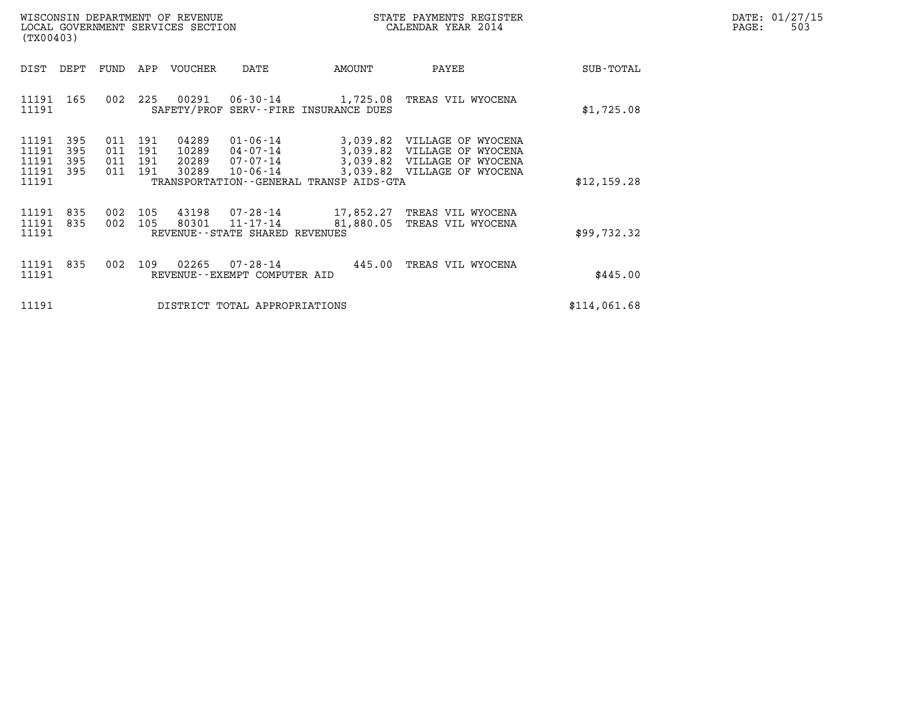| WISCONSIN DEPARTMENT OF REVENUE   | STATE PAYMENTS REGISTER | DATE: 01/27/15 |
|-----------------------------------|-------------------------|----------------|
| LOCAL GOVERNMENT SERVICES SECTION | CALENDAR YEAR 2014      | 503<br>PAGE:   |

| WISCONSIN DEPARTMENT OF REVENUE<br>LOCAL GOVERNMENT SERVICES SECTION<br>(TX00403) |            |                                  |                                  |                                                                | STATE PAYMENTS REGISTER<br>CALENDAR YEAR 2014                   |                                                                                                        |              | DATE: 01/27/15<br>PAGE:<br>503 |
|-----------------------------------------------------------------------------------|------------|----------------------------------|----------------------------------|----------------------------------------------------------------|-----------------------------------------------------------------|--------------------------------------------------------------------------------------------------------|--------------|--------------------------------|
| DIST DEPT                                                                         |            |                                  | FUND APP VOUCHER                 | DATE                                                           | AMOUNT                                                          | PAYEE                                                                                                  | SUB-TOTAL    |                                |
| 11191 165<br>11191                                                                | 002        |                                  | 225 00291                        |                                                                | 06-30-14 1,725.08<br>SAFETY/PROF SERV--FIRE INSURANCE DUES      | TREAS VIL WYOCENA                                                                                      | \$1,725.08   |                                |
| 11191<br>395<br>395<br>11191<br>11191<br>395<br>11191<br>- 395<br>11191           | 011<br>011 | 191<br>191<br>011 191<br>011 191 | 04289<br>10289<br>20289<br>30289 | $01 - 06 - 14$<br>$04 - 07 - 14$<br>07-07-14<br>$10 - 06 - 14$ | 3,039.82<br>3,039.82<br>TRANSPORTATION--GENERAL TRANSP AIDS-GTA | 3,039.82 VILLAGE OF WYOCENA<br>VILLAGE OF WYOCENA<br>VILLAGE OF WYOCENA<br>3,039.82 VILLAGE OF WYOCENA | \$12,159.28  |                                |
| 11191<br>835<br>11191<br>835<br>11191                                             | 002<br>002 | 105<br>105                       | 80301                            | 11-17-14<br>REVENUE - - STATE SHARED REVENUES                  | 17,852.27<br>81,880.05                                          | TREAS VIL WYOCENA<br>TREAS VIL WYOCENA                                                                 | \$99,732.32  |                                |
| 11191 835<br>11191                                                                | 002        | 109                              | 02265                            | REVENUE--EXEMPT COMPUTER AID                                   | $07 - 28 - 14$ 445.00                                           | TREAS VIL WYOCENA                                                                                      | \$445.00     |                                |
| 11191                                                                             |            |                                  |                                  | DISTRICT TOTAL APPROPRIATIONS                                  |                                                                 |                                                                                                        | \$114,061.68 |                                |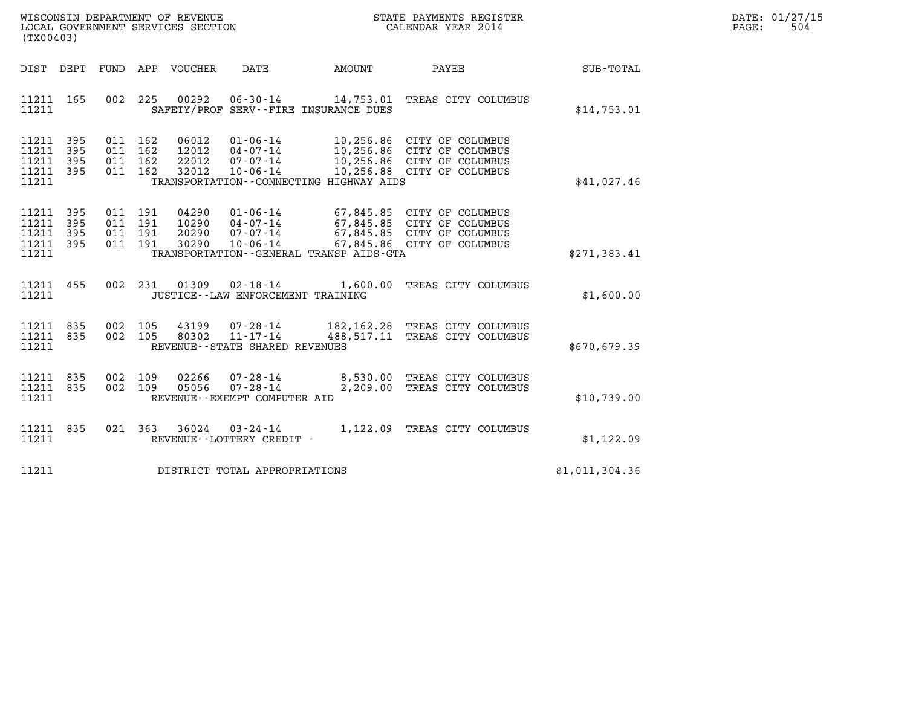| WISCONSIN DEPARTMENT OF REVENUE   | STATE PAYMENTS REGISTER | DATE: 01/27/15 |
|-----------------------------------|-------------------------|----------------|
| LOCAL GOVERNMENT SERVICES SECTION | CALENDAR YEAR 2014      | 504<br>PAGE:   |

| (TX00403)                                                                                         | LOCAL GOVERNMENT SERVICES SECTION                                                                                                                                               | CALENDAR YEAR 2014                                                                                                   |                |
|---------------------------------------------------------------------------------------------------|---------------------------------------------------------------------------------------------------------------------------------------------------------------------------------|----------------------------------------------------------------------------------------------------------------------|----------------|
| DIST<br>DEPT<br>FUND                                                                              | DATE<br>APP<br>VOUCHER                                                                                                                                                          | AMOUNT<br>PAYEE                                                                                                      | SUB-TOTAL      |
| 002<br>11211<br>165<br>11211                                                                      | 225<br>00292<br>$06 - 30 - 14$<br>SAFETY/PROF SERV--FIRE INSURANCE DUES                                                                                                         | 14,753.01 TREAS CITY COLUMBUS                                                                                        | \$14,753.01    |
| 11211<br>395<br>011<br>395<br>11211<br>011<br>11211<br>395<br>011<br>11211<br>395<br>011<br>11211 | 162<br>06012<br>$01 - 06 - 14$<br>162<br>12012<br>$04 - 07 - 14$<br>162<br>22012<br>$07 - 07 - 14$<br>162<br>32012<br>$10 - 06 - 14$<br>TRANSPORTATION--CONNECTING HIGHWAY AIDS | 10,256.86 CITY OF COLUMBUS<br>10,256.86 CITY OF COLUMBUS<br>10,256.86 CITY OF COLUMBUS<br>10,256.88 CITY OF COLUMBUS | \$41,027.46    |
| 11211<br>395<br>011<br>11211<br>395<br>011<br>11211<br>395<br>011<br>11211<br>395<br>011<br>11211 | 191<br>04290<br>$01 - 06 - 14$<br>191<br>10290<br>$04 - 07 - 14$<br>191<br>20290<br>$07 - 07 - 14$<br>191<br>30290<br>$10 - 06 - 14$<br>TRANSPORTATION--GENERAL TRANSP AIDS-GTA | 67,845.85 CITY OF COLUMBUS<br>67,845.85 CITY OF COLUMBUS<br>67,845.85 CITY OF COLUMBUS<br>67,845.86 CITY OF COLUMBUS | \$271, 383.41  |
| 455<br>002<br>11211<br>11211                                                                      | 231<br>01309<br>$02 - 18 - 14$<br>JUSTICE - - LAW ENFORCEMENT TRAINING                                                                                                          | 1,600.00<br>TREAS CITY COLUMBUS                                                                                      | \$1,600.00     |
| 11211<br>002<br>835<br>002<br>11211<br>835<br>11211                                               | 105<br>43199<br>07-28-14<br>$11 - 17 - 14$<br>80302<br>105<br>REVENUE - - STATE SHARED REVENUES                                                                                 | 182,162.28 TREAS CITY COLUMBUS<br>488,517.11 TREAS CITY COLUMBUS                                                     | \$670,679.39   |
| 002<br>11211<br>835<br>11211<br>835<br>002<br>11211                                               | 02266<br>109<br>$07 - 28 - 14$<br>109<br>05056<br>$07 - 28 - 14$<br>REVENUE--EXEMPT COMPUTER AID                                                                                | 8,530.00<br>TREAS CITY COLUMBUS<br>2,209.00<br>TREAS CITY COLUMBUS                                                   | \$10,739.00    |
| 11211<br>835<br>021<br>11211                                                                      | 363<br>36024<br>$03 - 24 - 14$<br>REVENUE - - LOTTERY CREDIT -                                                                                                                  | 1,122.09<br>TREAS CITY COLUMBUS                                                                                      | \$1, 122.09    |
| 11211                                                                                             | DISTRICT TOTAL APPROPRIATIONS                                                                                                                                                   |                                                                                                                      | \$1,011,304.36 |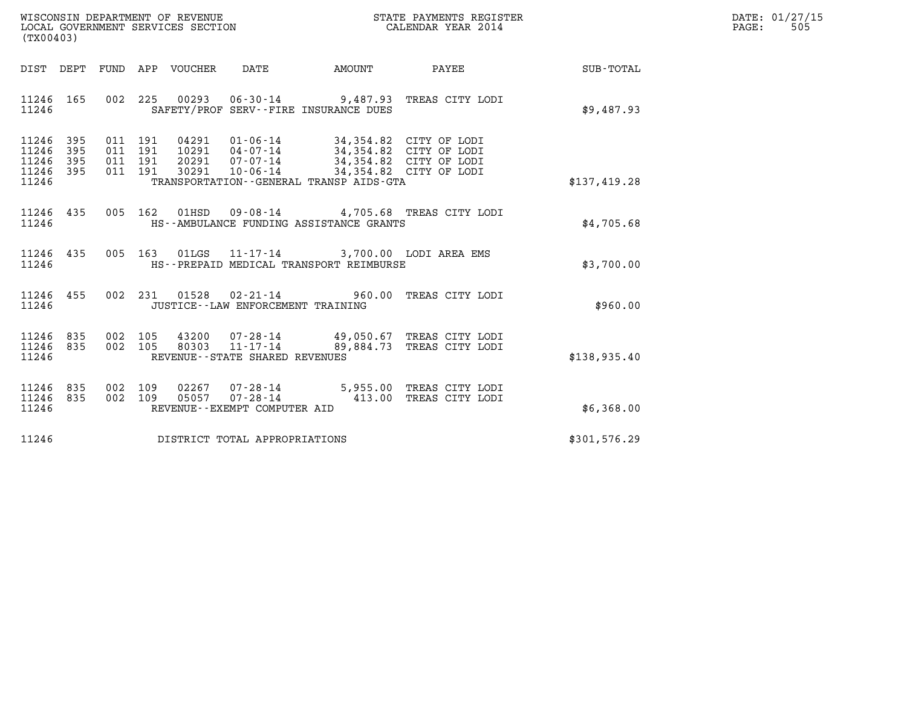| WISCONSIN DEPARTMENT OF REVENUE   | STATE PAYMENTS REGISTER | DATE: 01/27/15 |
|-----------------------------------|-------------------------|----------------|
| LOCAL GOVERNMENT SERVICES SECTION | CALENDAR YEAR 2014      | 505<br>PAGE:   |

| (TX00403)                                         |            |         |                        |                                                  |                                                                                                                                                                                                                          | ${\tt WISCONSIM\ DEPARTMENT\ OF\ REVENUE}\qquad \qquad {\tt STATE\ PAYMENTS\ REGISTER} \\ {\tt LOCAL\ GOVERNMENT\ SERVICES\ SECTION}\qquad \qquad {\tt CALENDAR\ YEAR\ 2014}$ |              | DATE: 01/27/15<br>$\mathtt{PAGE}$ :<br>505 |
|---------------------------------------------------|------------|---------|------------------------|--------------------------------------------------|--------------------------------------------------------------------------------------------------------------------------------------------------------------------------------------------------------------------------|-------------------------------------------------------------------------------------------------------------------------------------------------------------------------------|--------------|--------------------------------------------|
|                                                   |            |         |                        |                                                  | DIST DEPT FUND APP VOUCHER DATE AMOUNT                                                                                                                                                                                   | PAYEE                                                                                                                                                                         | SUB-TOTAL    |                                            |
| 11246 165<br>11246                                |            |         |                        |                                                  | SAFETY/PROF SERV--FIRE INSURANCE DUES                                                                                                                                                                                    | 002 225 00293 06-30-14 9,487.93 TREAS CITY LODI                                                                                                                               | \$9,487.93   |                                            |
| 11246 395<br>11246<br>11246<br>11246 395<br>11246 | 395<br>395 | 011 191 | 011 191 04291          |                                                  | 01-06-14 34,354.82 CITY OF LODI<br>10291  04-07-14  34,354.82  CITY OF LODI<br>011 191 20291 07-07-14 34,354.82 CITY OF LODI<br>011 191 30291 10-06-14 34,354.82 CITY OF LODI<br>TRANSPORTATION--GENERAL TRANSP AIDS-GTA |                                                                                                                                                                               | \$137,419.28 |                                            |
| 11246 435<br>11246                                |            |         |                        |                                                  | HS--AMBULANCE FUNDING ASSISTANCE GRANTS                                                                                                                                                                                  | 005 162 01HSD 09-08-14 4,705.68 TREAS CITY LODI                                                                                                                               | \$4,705.68   |                                            |
| 11246 435<br>11246                                |            |         |                        |                                                  | 005 163 01LGS 11-17-14 3,700.00 LODI AREA EMS<br>HS--PREPAID MEDICAL TRANSPORT REIMBURSE                                                                                                                                 |                                                                                                                                                                               | \$3,700.00   |                                            |
| 11246 455<br>11246                                |            |         |                        | JUSTICE -- LAW ENFORCEMENT TRAINING              |                                                                                                                                                                                                                          | 002 231 01528 02-21-14 960.00 TREAS CITY LODI                                                                                                                                 | \$960.00     |                                            |
| 11246 835<br>11246 835<br>11246                   |            | 002 105 | 80303                  | $11 - 17 - 14$<br>REVENUE--STATE SHARED REVENUES |                                                                                                                                                                                                                          | 002 105 43200 07-28-14 49,050.67 TREAS CITY LODI<br>89,884.73 TREAS CITY LODI                                                                                                 | \$138,935.40 |                                            |
| 11246 835<br>11246 835<br>11246                   |            | 002 109 | 02267<br>002 109 05057 | REVENUE--EXEMPT COMPUTER AID                     |                                                                                                                                                                                                                          | 07-28-14 5,955.00 TREAS CITY LODI<br>07-28-14 413.00 TREAS CITY LODI                                                                                                          | \$6,368.00   |                                            |
| 11246                                             |            |         |                        | DISTRICT TOTAL APPROPRIATIONS                    |                                                                                                                                                                                                                          |                                                                                                                                                                               | \$301,576.29 |                                            |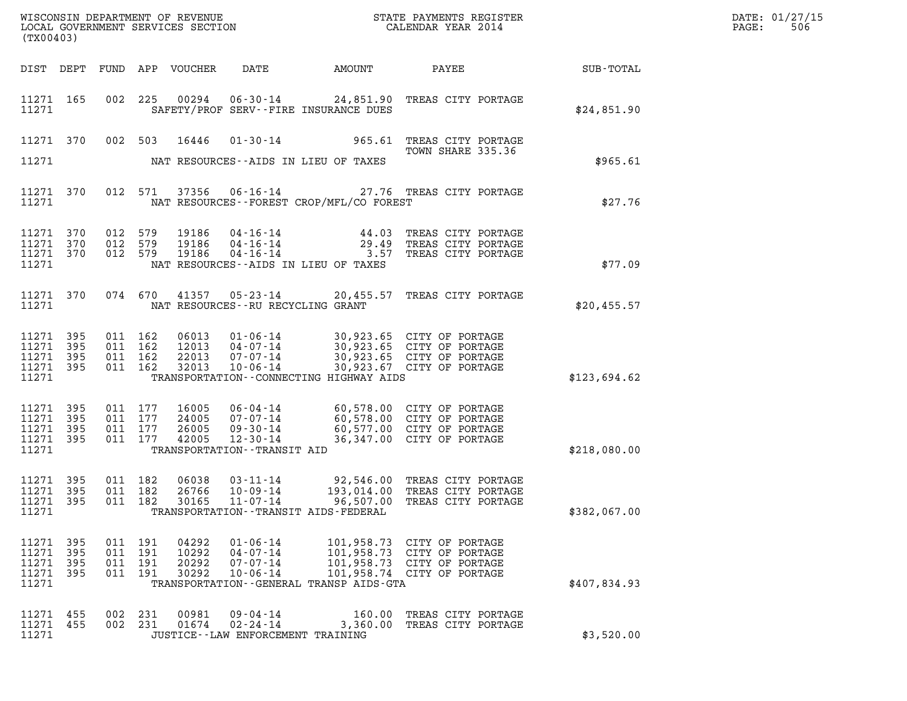| (TX00403)                                     |                            |                               |                                          |                                  | WISCONSIN DEPARTMENT OF REVENUE<br>LOCAL GOVERNMENT SERVICES SECTION |                                              | STATE PAYMENTS REGISTER<br>CALENDAR YEAR 2014                                                                                                        |              | DATE: 01/27/15<br>$\mathtt{PAGE}$ :<br>506 |
|-----------------------------------------------|----------------------------|-------------------------------|------------------------------------------|----------------------------------|----------------------------------------------------------------------|----------------------------------------------|------------------------------------------------------------------------------------------------------------------------------------------------------|--------------|--------------------------------------------|
|                                               |                            |                               |                                          | DIST DEPT FUND APP VOUCHER       | DATE                                                                 | AMOUNT                                       | PAYEE                                                                                                                                                | SUB-TOTAL    |                                            |
| 11271 165<br>11271                            |                            |                               |                                          |                                  |                                                                      | SAFETY/PROF SERV--FIRE INSURANCE DUES        | 002  225  00294  06-30-14  24,851.90  TREAS CITY PORTAGE                                                                                             | \$24,851.90  |                                            |
|                                               |                            |                               |                                          | 11271 370 002 503 16446          |                                                                      |                                              | 01-30-14 965.61 TREAS CITY PORTAGE<br>TOWN SHARE 335.36                                                                                              |              |                                            |
| 11271                                         |                            |                               |                                          |                                  |                                                                      | NAT RESOURCES--AIDS IN LIEU OF TAXES         |                                                                                                                                                      | \$965.61     |                                            |
| 11271 370<br>11271                            |                            |                               |                                          |                                  |                                                                      | NAT RESOURCES--FOREST CROP/MFL/CO FOREST     | 012 571 37356 06-16-14 27.76 TREAS CITY PORTAGE                                                                                                      | \$27.76      |                                            |
| 11271 370<br>11271<br>11271<br>11271          | 370<br>370                 | 012 579<br>012 579<br>012 579 |                                          | 19186<br>19186<br>19186          |                                                                      | NAT RESOURCES--AIDS IN LIEU OF TAXES         | 04-16-14 44.03 TREAS CITY PORTAGE<br>04-16-14 29.49 TREAS CITY PORTAGE<br>04-16-14 3.57 TREAS CITY PORTAGE                                           | \$77.09      |                                            |
| 11271 370<br>11271                            |                            |                               |                                          |                                  | NAT RESOURCES--RU RECYCLING GRANT                                    |                                              | 074 670 41357 05-23-14 20,455.57 TREAS CITY PORTAGE                                                                                                  | \$20,455.57  |                                            |
| 11271 395<br>11271<br>11271<br>11271<br>11271 | 395<br>395<br>395          |                               | 011 162<br>011 162<br>011 162<br>011 162 | 06013<br>12013<br>22013<br>32013 | $10 - 06 - 14$                                                       | TRANSPORTATION -- CONNECTING HIGHWAY AIDS    | 01-06-14 30,923.65 CITY OF PORTAGE<br>04-07-14 30,923.65 CITY OF PORTAGE<br>07-07-14 30,923.65 CITY OF PORTAGE<br>30,923.67 CITY OF PORTAGE          | \$123,694.62 |                                            |
| 11271 395<br>11271<br>11271<br>11271<br>11271 | 395<br>395<br>-395         |                               | 011 177<br>011 177<br>011 177<br>011 177 | 16005<br>24005<br>26005<br>42005 | TRANSPORTATION - - TRANSIT AID                                       |                                              | 06-04-14 60,578.00 CITY OF PORTAGE<br>07-07-14 60,578.00 CITY OF PORTAGE<br>09-30-14 60,577.00 CITY OF PORTAGE<br>12-30-14 36,347.00 CITY OF PORTAGE | \$218,080.00 |                                            |
| 11271 395<br>11271 395<br>11271 395<br>11271  |                            |                               | 011 182<br>011 182<br>011 182            | 06038<br>26766<br>30165          | 03-11-14<br>10-09-14                                                 | TRANSPORTATION - - TRANSIT AIDS - FEDERAL    | 92,546.00 TREAS CITY PORTAGE<br>193,014.00 TREAS CITY PORTAGE<br>11-07-14 96,507.00 TREAS CITY PORTAGE                                               | \$382,067.00 |                                            |
| 11271<br>11271<br>11271<br>11271<br>11271     | - 395<br>395<br>395<br>395 |                               | 011 191<br>011 191<br>011 191<br>011 191 | 04292<br>10292<br>20292<br>30292 | $01 - 06 - 14$<br>04-07-14<br>07-07-14<br>$10 - 06 - 14$             | TRANSPORTATION - - GENERAL TRANSP AIDS - GTA | 101,958.73 CITY OF PORTAGE<br>101,958.73 CITY OF PORTAGE<br>101,958.73 CITY OF PORTAGE<br>101,958.74 CITY OF PORTAGE                                 | \$407,834.93 |                                            |
| 11271 455<br>11271<br>11271                   | 455                        |                               | 002 231<br>002 231                       | 00981<br>01674                   | 09-04-14<br>$02 - 24 - 14$<br>JUSTICE - - LAW ENFORCEMENT TRAINING   |                                              | 160.00 TREAS CITY PORTAGE<br>3,360.00 TREAS CITY PORTAGE                                                                                             | \$3,520.00   |                                            |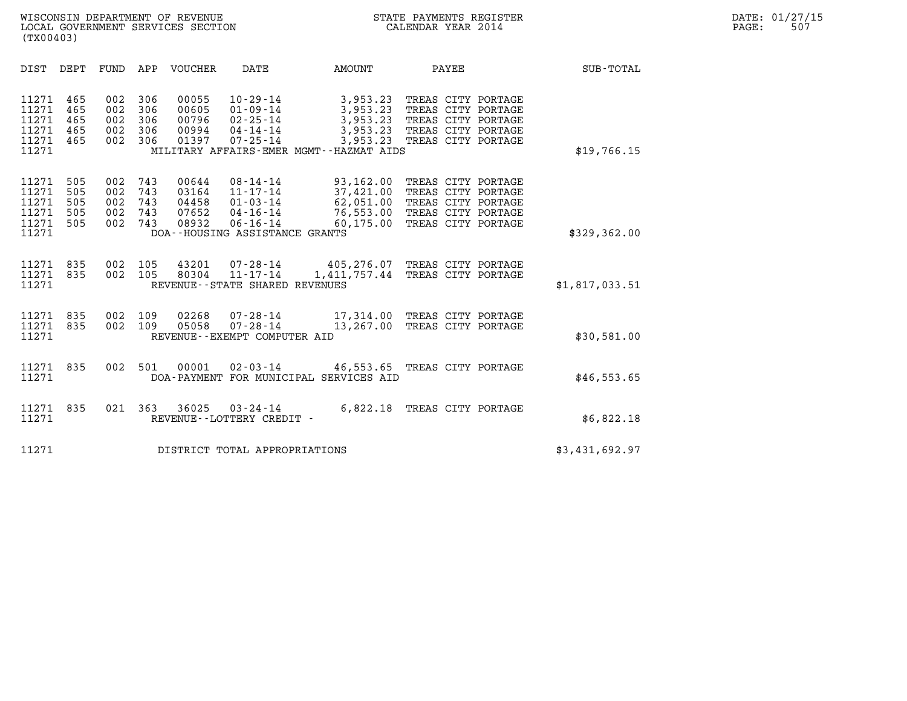| (TX00403)                                          |                                 |                                 |                                 |                                           |                                                                                                              |                                                                                                     |                                                                                                            |                  |  |
|----------------------------------------------------|---------------------------------|---------------------------------|---------------------------------|-------------------------------------------|--------------------------------------------------------------------------------------------------------------|-----------------------------------------------------------------------------------------------------|------------------------------------------------------------------------------------------------------------|------------------|--|
| DIST                                               | DEPT                            | FUND                            | APP                             | VOUCHER                                   | DATE                                                                                                         | AMOUNT                                                                                              | PAYEE                                                                                                      | <b>SUB-TOTAL</b> |  |
| 11271<br>11271<br>11271<br>11271<br>11271<br>11271 | 465<br>465<br>465<br>465<br>465 | 002<br>002<br>002<br>002<br>002 | 306<br>306<br>306<br>306<br>306 | 00055<br>00605<br>00796<br>00994<br>01397 | $10 - 29 - 14$<br>$01 - 09 - 14$<br>$02 - 25 - 14$<br>04-14-14<br>07-25-14                                   | 3,953.23<br>3,953.23<br>3,953.23<br>3,953.23<br>3,953.23<br>MILITARY AFFAIRS-EMER MGMT--HAZMAT AIDS | TREAS CITY PORTAGE<br>TREAS CITY PORTAGE<br>TREAS CITY PORTAGE<br>TREAS CITY PORTAGE<br>TREAS CITY PORTAGE | \$19,766.15      |  |
| 11271<br>11271<br>11271<br>11271<br>11271<br>11271 | 505<br>505<br>505<br>505<br>505 | 002<br>002<br>002<br>002<br>002 | 743<br>743<br>743<br>743<br>743 | 00644<br>03164<br>04458<br>07652<br>08932 | $08 - 14 - 14$<br>$11 - 17 - 14$<br>01-03-14<br>04-16-14<br>$06 - 16 - 14$<br>DOA--HOUSING ASSISTANCE GRANTS | 93,162.00<br>37,421.00<br>62,051.00<br>76,553.00<br>60,175.00                                       | TREAS CITY PORTAGE<br>TREAS CITY PORTAGE<br>TREAS CITY PORTAGE<br>TREAS CITY PORTAGE<br>TREAS CITY PORTAGE | \$329,362.00     |  |
| 11271<br>11271<br>11271                            | 835<br>835                      | 002<br>002                      | 105<br>105                      | 43201<br>80304                            | 07-28-14<br>11-17-14<br>REVENUE - - STATE SHARED REVENUES                                                    | 405,276.07 TREAS CITY PORTAGE<br>1,411,757.44                                                       | TREAS CITY PORTAGE                                                                                         | \$1,817,033.51   |  |
| 11271<br>11271<br>11271                            | 835<br>835                      | 002<br>002                      | 109<br>109                      | 02268<br>05058                            | 07-28-14<br>$07 - 28 - 14$<br>REVENUE--EXEMPT COMPUTER AID                                                   | 17,314.00 TREAS CITY PORTAGE<br>13,267.00                                                           | TREAS CITY PORTAGE                                                                                         | \$30,581.00      |  |
| 11271<br>11271                                     | 835                             | 002                             | 501                             |                                           |                                                                                                              | $00001$ 02-03-14  46,553.65<br>DOA-PAYMENT FOR MUNICIPAL SERVICES AID                               | TREAS CITY PORTAGE                                                                                         | \$46,553.65      |  |
| 11271<br>11271                                     | 835                             | 021                             | 363                             | 36025                                     | $03 - 24 - 14$<br>REVENUE--LOTTERY CREDIT -                                                                  | 6,822.18                                                                                            | TREAS CITY PORTAGE                                                                                         | \$6,822.18       |  |
| 11271                                              |                                 |                                 |                                 |                                           | DISTRICT TOTAL APPROPRIATIONS                                                                                |                                                                                                     |                                                                                                            | \$3,431,692.97   |  |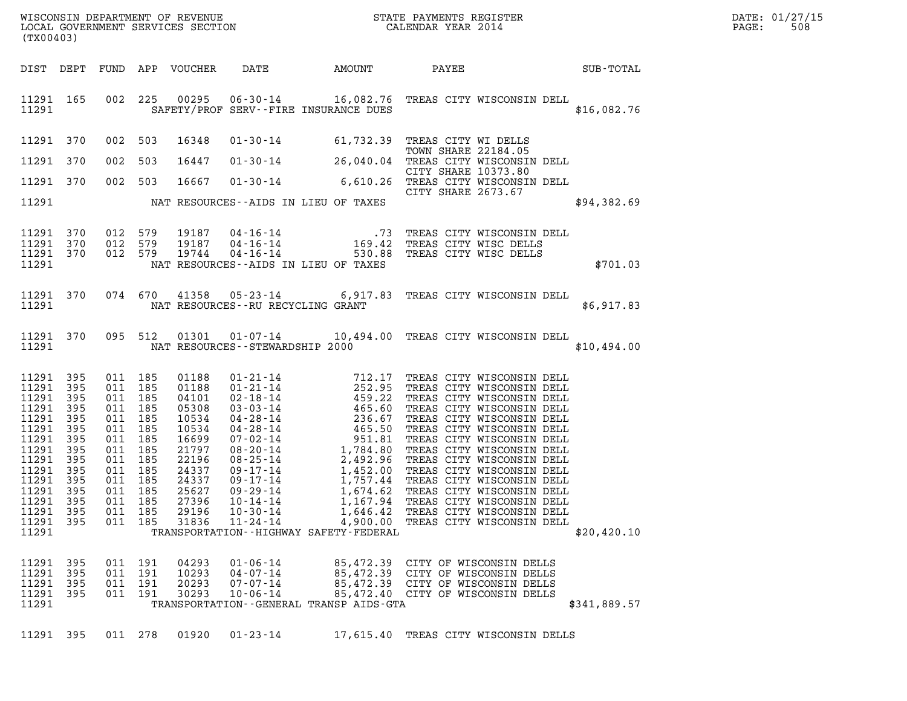| DATE: | 01/27/15 |
|-------|----------|
| PAGE: | 508      |

| (TX00403)                                                                                                                                                        |                                                                      |                                                                                                                       |                                          |                                                                                                                                     |                                                                      |                                                                     |                            |                                                                                                                                                                                                                                                                                                                                                                                                      |              | DATE: 01/27/15<br>PAGE:<br>508 |
|------------------------------------------------------------------------------------------------------------------------------------------------------------------|----------------------------------------------------------------------|-----------------------------------------------------------------------------------------------------------------------|------------------------------------------|-------------------------------------------------------------------------------------------------------------------------------------|----------------------------------------------------------------------|---------------------------------------------------------------------|----------------------------|------------------------------------------------------------------------------------------------------------------------------------------------------------------------------------------------------------------------------------------------------------------------------------------------------------------------------------------------------------------------------------------------------|--------------|--------------------------------|
| DIST DEPT                                                                                                                                                        |                                                                      |                                                                                                                       |                                          | FUND APP VOUCHER                                                                                                                    | DATE                                                                 |                                                                     |                            | AMOUNT PAYEE SUB-TOTAL                                                                                                                                                                                                                                                                                                                                                                               |              |                                |
| 11291 165<br>11291                                                                                                                                               |                                                                      |                                                                                                                       | 002 225                                  |                                                                                                                                     |                                                                      | SAFETY/PROF SERV--FIRE INSURANCE DUES                               |                            | 00295  06-30-14  16,082.76  TREAS CITY WISCONSIN DELL                                                                                                                                                                                                                                                                                                                                                | \$16,082.76  |                                |
| 11291 370                                                                                                                                                        |                                                                      | 002                                                                                                                   | 503                                      | 16348                                                                                                                               |                                                                      | 01-30-14 61,732.39 TREAS CITY WI DELLS                              | <b>TOWN SHARE 22184.05</b> |                                                                                                                                                                                                                                                                                                                                                                                                      |              |                                |
| 11291 370                                                                                                                                                        |                                                                      | 002                                                                                                                   | 503                                      | 16447                                                                                                                               |                                                                      |                                                                     | CITY SHARE 10373.80        | 01-30-14 26,040.04 TREAS CITY WISCONSIN DELL                                                                                                                                                                                                                                                                                                                                                         |              |                                |
| 11291 370                                                                                                                                                        |                                                                      |                                                                                                                       | 002 503                                  | 16667                                                                                                                               |                                                                      |                                                                     | CITY SHARE 2673.67         | 01-30-14 6,610.26 THE CITY WISCONSIN DELL                                                                                                                                                                                                                                                                                                                                                            |              |                                |
| 11291                                                                                                                                                            |                                                                      |                                                                                                                       |                                          |                                                                                                                                     |                                                                      | NAT RESOURCES -- AIDS IN LIEU OF TAXES                              |                            |                                                                                                                                                                                                                                                                                                                                                                                                      | \$94,382.69  |                                |
| 11291 370<br>11291 370<br>11291 370<br>11291                                                                                                                     |                                                                      | 012 579<br>012 579                                                                                                    | 012 579                                  | 19187<br>19187<br>19744                                                                                                             |                                                                      | NAT RESOURCES--AIDS IN LIEU OF TAXES                                |                            | 04-16-14 73 TREAS CITY WISCONSIN DELL<br>04-16-14 169.42 TREAS CITY WISC DELLS<br>04-16-14 530.88 TREAS CITY WISC DELLS                                                                                                                                                                                                                                                                              | \$701.03     |                                |
| 11291 370<br>11291                                                                                                                                               |                                                                      | 074 670                                                                                                               |                                          | 41358                                                                                                                               | NAT RESOURCES--RU RECYCLING GRANT                                    |                                                                     |                            | 05-23-14 6,917.83 TREAS CITY WISCONSIN DELL                                                                                                                                                                                                                                                                                                                                                          | \$6,917.83   |                                |
| 11291 370<br>11291                                                                                                                                               |                                                                      | 095 512                                                                                                               |                                          |                                                                                                                                     | NAT RESOURCES - - STEWARDSHIP 2000                                   |                                                                     |                            | 01301  01-07-14  10,494.00  TREAS CITY WISCONSIN DELL                                                                                                                                                                                                                                                                                                                                                | \$10,494.00  |                                |
| 11291 395<br>11291 395<br>11291<br>11291<br>11291<br>11291<br>11291<br>11291<br>11291<br>11291<br>11291<br>11291 395<br>11291<br>11291 395<br>11291 395<br>11291 | 395<br>395<br>395<br>395<br>395<br>395<br>395<br>395<br>395<br>- 395 | 011 185<br>011 185<br>011 185<br>011 185<br>011 185<br>011 185<br>011 185<br>011 185<br>011 185<br>011 185<br>011 185 | 011 185<br>011 185<br>011 185<br>011 185 | 01188<br>01188<br>04101<br>05308<br>10534<br>10534<br>16699<br>21797<br>22196<br>24337<br>24337<br>25627<br>27396<br>29196<br>31836 | $09 - 29 - 14$<br>$10 - 14 - 14$<br>$10 - 30 - 14$<br>$11 - 24 - 14$ | 1,674.62<br>1,167.94<br>TRANSPORTATION - - HIGHWAY SAFETY - FEDERAL |                            | 01-21-14<br>01-21-14<br>02-18-14<br>02-18-14<br>03-03-14<br>459.22<br>TREAS CITY WISCONSIN DELL<br>03-03-14<br>465.60<br>TREAS CITY WISCONSIN DELL<br>04-28-14<br>465.50<br>TREAS CITY WISCONSIN DELL<br>07-02-14<br>08-20-14<br>1,784.80<br>TREAS CITY WISCON<br>TREAS CITY WISCONSIN DELL<br>TREAS CITY WISCONSIN DELL<br>1,646.42 TREAS CITY WISCONSIN DELL<br>4,900.00 TREAS CITY WISCONSIN DELL | \$20,420.10  |                                |
| 11291<br>11291 395<br>11291 395<br>11291 395<br>11291                                                                                                            | 395                                                                  |                                                                                                                       | 011 191<br>011 191<br>011 191<br>011 191 | 04293<br>10293<br>20293<br>30293                                                                                                    | $01 - 06 - 14$<br>$04 - 07 - 14$<br>$07 - 07 - 14$<br>$10 - 06 - 14$ | TRANSPORTATION--GENERAL TRANSP AIDS-GTA                             |                            | 85,472.39 CITY OF WISCONSIN DELLS<br>85,472.39 CITY OF WISCONSIN DELLS<br>85,472.39 CITY OF WISCONSIN DELLS<br>85,472.40 CITY OF WISCONSIN DELLS                                                                                                                                                                                                                                                     | \$341,889.57 |                                |
| 11291 395                                                                                                                                                        |                                                                      |                                                                                                                       | 011 278                                  | 01920                                                                                                                               | $01 - 23 - 14$                                                       |                                                                     |                            | 17,615.40 TREAS CITY WISCONSIN DELLS                                                                                                                                                                                                                                                                                                                                                                 |              |                                |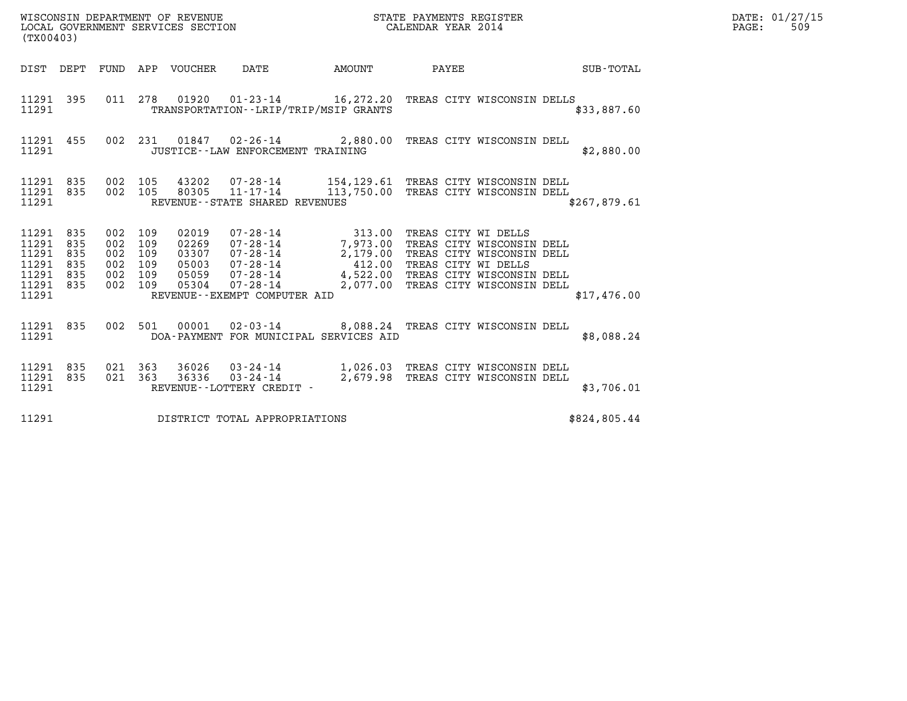| WISCONSIN DEPARTMENT OF REVENUE<br>LOCAL GOVERNMENT SERVICES SECTION<br>(TX00403) | STATE PAYMENTS REGISTER<br>CALENDAR YEAR 2014 | DATE: 01/27/15<br>509<br>PAGE: |
|-----------------------------------------------------------------------------------|-----------------------------------------------|--------------------------------|

| (TX00403)                                                   |                                        |                                        |                                        |                                                    |                                                                                                                     |                                                                              |                                                                                                                                                                |                  |
|-------------------------------------------------------------|----------------------------------------|----------------------------------------|----------------------------------------|----------------------------------------------------|---------------------------------------------------------------------------------------------------------------------|------------------------------------------------------------------------------|----------------------------------------------------------------------------------------------------------------------------------------------------------------|------------------|
| DIST                                                        | DEPT                                   | FUND                                   | APP                                    | VOUCHER                                            | DATE                                                                                                                | AMOUNT                                                                       | PAYEE                                                                                                                                                          | <b>SUB-TOTAL</b> |
| 11291<br>11291                                              | 395                                    | 011                                    | 278                                    | 01920                                              | TRANSPORTATION--LRIP/TRIP/MSIP GRANTS                                                                               | $01 - 23 - 14$ 16, 272.20                                                    | TREAS CITY WISCONSIN DELLS                                                                                                                                     | \$33,887.60      |
| 11291<br>11291                                              | 455                                    | 002                                    | 231                                    |                                                    | JUSTICE - - LAW ENFORCEMENT TRAINING                                                                                | $01847$ $02 - 26 - 14$ 2,880.00                                              | TREAS CITY WISCONSIN DELL                                                                                                                                      | \$2,880.00       |
| 11291<br>11291<br>11291                                     | 835<br>835                             | 002<br>002                             | 105<br>105                             | 43202<br>80305                                     | 07-28-14<br>$11 - 17 - 14$<br>REVENUE--STATE SHARED REVENUES                                                        | 154,129.61 TREAS CITY WISCONSIN DELL<br>113,750.00 TREAS CITY WISCONSIN DELL |                                                                                                                                                                | \$267,879.61     |
| 11291<br>11291<br>11291<br>11291<br>11291<br>11291<br>11291 | 835<br>835<br>835<br>835<br>835<br>835 | 002<br>002<br>002<br>002<br>002<br>002 | 109<br>109<br>109<br>109<br>109<br>109 | 02019<br>02269<br>03307<br>05003<br>05059<br>05304 | $07 - 28 - 14$<br>07-28-14<br>07-28-14<br>07-28-14<br>07-28-14<br>$07 - 28 - 14$<br>REVENUE - - EXEMPT COMPUTER AID | 313.00<br>7,973.00<br>2,179.00<br>412.00<br>4,522.00<br>2,077.00             | TREAS CITY WI DELLS<br>TREAS CITY WISCONSIN DELL<br>TREAS CITY WISCONSIN DELL<br>TREAS CITY WI DELLS<br>TREAS CITY WISCONSIN DELL<br>TREAS CITY WISCONSIN DELL | \$17,476.00      |
| 11291<br>11291                                              | 835                                    | 002                                    | 501                                    | 00001                                              | $02 - 03 - 14$                                                                                                      | 8,088.24 TREAS CITY WISCONSIN DELL<br>DOA-PAYMENT FOR MUNICIPAL SERVICES AID |                                                                                                                                                                | \$8,088.24       |
| 11291<br>11291<br>11291                                     | 835<br>835                             | 021<br>021                             | 363<br>363                             | 36026<br>36336                                     | 03-24-14<br>$03 - 24 - 14$<br>REVENUE--LOTTERY CREDIT -                                                             | 1,026.03<br>2,679.98                                                         | TREAS CITY WISCONSIN DELL<br>TREAS CITY WISCONSIN DELL                                                                                                         | \$3,706.01       |
| 11291                                                       |                                        |                                        |                                        |                                                    | DISTRICT TOTAL APPROPRIATIONS                                                                                       |                                                                              |                                                                                                                                                                | \$824,805.44     |

(TX00403)